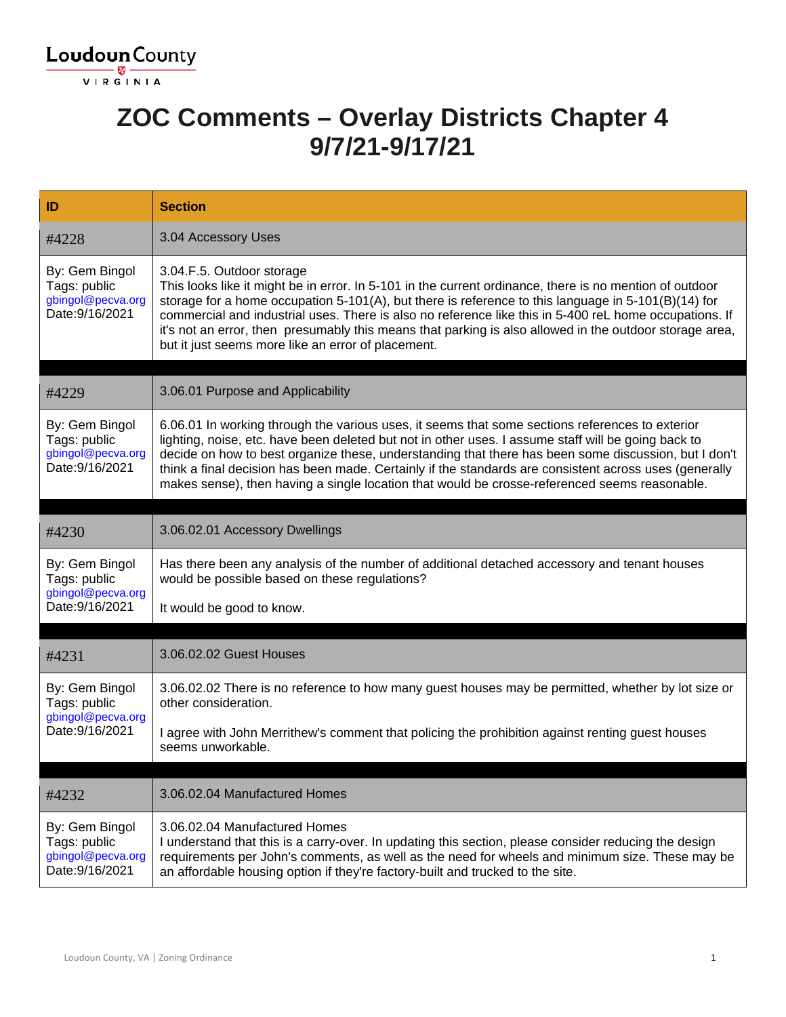

#### **ZOC Comments – Overlay Districts Chapter 4 9/7/21-9/17/21**

| ID                                                                     | <b>Section</b>                                                                                                                                                                                                                                                                                                                                                                                                                                                                                                            |
|------------------------------------------------------------------------|---------------------------------------------------------------------------------------------------------------------------------------------------------------------------------------------------------------------------------------------------------------------------------------------------------------------------------------------------------------------------------------------------------------------------------------------------------------------------------------------------------------------------|
| #4228                                                                  | 3.04 Accessory Uses                                                                                                                                                                                                                                                                                                                                                                                                                                                                                                       |
| By: Gem Bingol<br>Tags: public<br>gbingol@pecva.org<br>Date: 9/16/2021 | 3.04.F.5. Outdoor storage<br>This looks like it might be in error. In 5-101 in the current ordinance, there is no mention of outdoor<br>storage for a home occupation 5-101(A), but there is reference to this language in $5-101(B)(14)$ for<br>commercial and industrial uses. There is also no reference like this in 5-400 reL home occupations. If<br>it's not an error, then presumably this means that parking is also allowed in the outdoor storage area,<br>but it just seems more like an error of placement.  |
| #4229                                                                  | 3.06.01 Purpose and Applicability                                                                                                                                                                                                                                                                                                                                                                                                                                                                                         |
| By: Gem Bingol<br>Tags: public<br>gbingol@pecva.org<br>Date: 9/16/2021 | 6.06.01 In working through the various uses, it seems that some sections references to exterior<br>lighting, noise, etc. have been deleted but not in other uses. I assume staff will be going back to<br>decide on how to best organize these, understanding that there has been some discussion, but I don't<br>think a final decision has been made. Certainly if the standards are consistent across uses (generally<br>makes sense), then having a single location that would be crosse-referenced seems reasonable. |
| #4230                                                                  | 3.06.02.01 Accessory Dwellings                                                                                                                                                                                                                                                                                                                                                                                                                                                                                            |
| By: Gem Bingol<br>Tags: public<br>gbingol@pecva.org                    | Has there been any analysis of the number of additional detached accessory and tenant houses<br>would be possible based on these regulations?                                                                                                                                                                                                                                                                                                                                                                             |
| Date: 9/16/2021                                                        | It would be good to know.                                                                                                                                                                                                                                                                                                                                                                                                                                                                                                 |
| #4231                                                                  | 3.06.02.02 Guest Houses                                                                                                                                                                                                                                                                                                                                                                                                                                                                                                   |
| By: Gem Bingol<br>Tags: public<br>gbingol@pecva.org<br>Date: 9/16/2021 | 3.06.02.02 There is no reference to how many guest houses may be permitted, whether by lot size or<br>other consideration.                                                                                                                                                                                                                                                                                                                                                                                                |
|                                                                        | I agree with John Merrithew's comment that policing the prohibition against renting guest houses<br>seems unworkable.                                                                                                                                                                                                                                                                                                                                                                                                     |
|                                                                        |                                                                                                                                                                                                                                                                                                                                                                                                                                                                                                                           |
| #4232                                                                  | 3.06.02.04 Manufactured Homes                                                                                                                                                                                                                                                                                                                                                                                                                                                                                             |
| By: Gem Bingol<br>Tags: public<br>gbingol@pecva.org<br>Date: 9/16/2021 | 3.06.02.04 Manufactured Homes<br>I understand that this is a carry-over. In updating this section, please consider reducing the design<br>requirements per John's comments, as well as the need for wheels and minimum size. These may be<br>an affordable housing option if they're factory-built and trucked to the site.                                                                                                                                                                                               |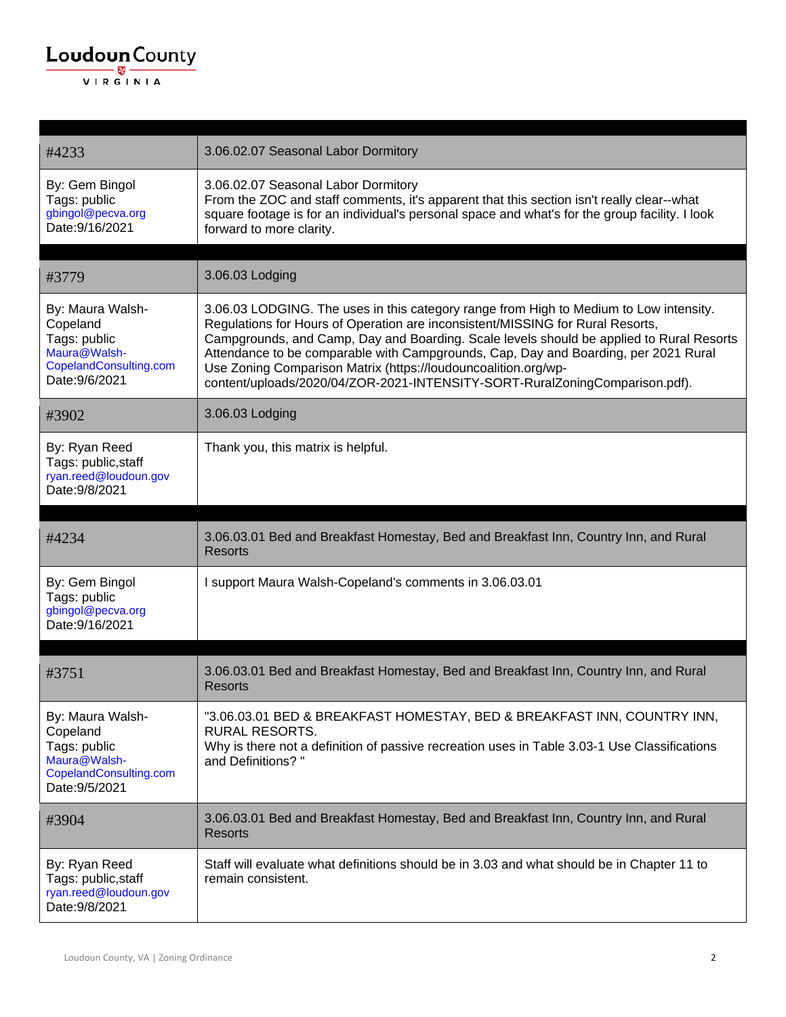

| #4233                                                                                                    | 3.06.02.07 Seasonal Labor Dormitory                                                                                                                                                                                                                                                                                                                                                                                                                                                                          |
|----------------------------------------------------------------------------------------------------------|--------------------------------------------------------------------------------------------------------------------------------------------------------------------------------------------------------------------------------------------------------------------------------------------------------------------------------------------------------------------------------------------------------------------------------------------------------------------------------------------------------------|
| By: Gem Bingol<br>Tags: public<br>gbingol@pecva.org<br>Date: 9/16/2021                                   | 3.06.02.07 Seasonal Labor Dormitory<br>From the ZOC and staff comments, it's apparent that this section isn't really clear--what<br>square footage is for an individual's personal space and what's for the group facility. I look<br>forward to more clarity.                                                                                                                                                                                                                                               |
| #3779                                                                                                    | 3.06.03 Lodging                                                                                                                                                                                                                                                                                                                                                                                                                                                                                              |
| By: Maura Walsh-<br>Copeland<br>Tags: public<br>Maura@Walsh-<br>CopelandConsulting.com<br>Date: 9/6/2021 | 3.06.03 LODGING. The uses in this category range from High to Medium to Low intensity.<br>Regulations for Hours of Operation are inconsistent/MISSING for Rural Resorts,<br>Campgrounds, and Camp, Day and Boarding. Scale levels should be applied to Rural Resorts<br>Attendance to be comparable with Campgrounds, Cap, Day and Boarding, per 2021 Rural<br>Use Zoning Comparison Matrix (https://loudouncoalition.org/wp-<br>content/uploads/2020/04/ZOR-2021-INTENSITY-SORT-RuralZoningComparison.pdf). |
| #3902                                                                                                    | 3.06.03 Lodging                                                                                                                                                                                                                                                                                                                                                                                                                                                                                              |
| By: Ryan Reed<br>Tags: public, staff<br>ryan.reed@loudoun.gov<br>Date: 9/8/2021                          | Thank you, this matrix is helpful.                                                                                                                                                                                                                                                                                                                                                                                                                                                                           |
|                                                                                                          |                                                                                                                                                                                                                                                                                                                                                                                                                                                                                                              |
| #4234                                                                                                    | 3.06.03.01 Bed and Breakfast Homestay, Bed and Breakfast Inn, Country Inn, and Rural<br><b>Resorts</b>                                                                                                                                                                                                                                                                                                                                                                                                       |
| By: Gem Bingol<br>Tags: public<br>gbingol@pecva.org<br>Date: 9/16/2021                                   | I support Maura Walsh-Copeland's comments in 3.06.03.01                                                                                                                                                                                                                                                                                                                                                                                                                                                      |
|                                                                                                          |                                                                                                                                                                                                                                                                                                                                                                                                                                                                                                              |
| #3751                                                                                                    | 3.06.03.01 Bed and Breakfast Homestay, Bed and Breakfast Inn, Country Inn, and Rural<br><b>Resorts</b>                                                                                                                                                                                                                                                                                                                                                                                                       |
| By: Maura Walsh-<br>Copeland<br>Tags: public<br>Maura@Walsh-<br>CopelandConsulting.com<br>Date: 9/5/2021 | "3.06.03.01 BED & BREAKFAST HOMESTAY, BED & BREAKFAST INN, COUNTRY INN,<br><b>RURAL RESORTS.</b><br>Why is there not a definition of passive recreation uses in Table 3.03-1 Use Classifications<br>and Definitions?"                                                                                                                                                                                                                                                                                        |
| #3904                                                                                                    | 3.06.03.01 Bed and Breakfast Homestay, Bed and Breakfast Inn, Country Inn, and Rural<br><b>Resorts</b>                                                                                                                                                                                                                                                                                                                                                                                                       |
| By: Ryan Reed<br>Tags: public, staff<br>ryan.reed@loudoun.gov<br>Date: 9/8/2021                          | Staff will evaluate what definitions should be in 3.03 and what should be in Chapter 11 to<br>remain consistent.                                                                                                                                                                                                                                                                                                                                                                                             |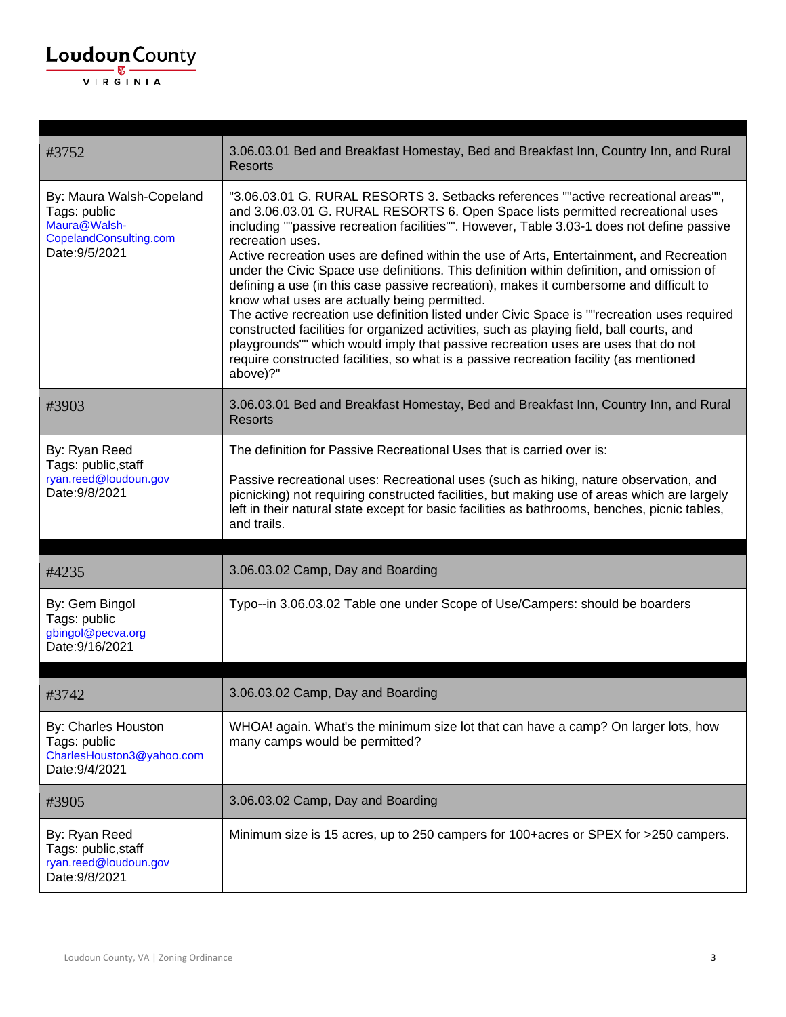| #3752                                                                                                | 3.06.03.01 Bed and Breakfast Homestay, Bed and Breakfast Inn, Country Inn, and Rural<br><b>Resorts</b>                                                                                                                                                                                                                                                                                                                                                                                                                                                                                                                                                                                                                                                                                                                                                                                                                                                                                                           |
|------------------------------------------------------------------------------------------------------|------------------------------------------------------------------------------------------------------------------------------------------------------------------------------------------------------------------------------------------------------------------------------------------------------------------------------------------------------------------------------------------------------------------------------------------------------------------------------------------------------------------------------------------------------------------------------------------------------------------------------------------------------------------------------------------------------------------------------------------------------------------------------------------------------------------------------------------------------------------------------------------------------------------------------------------------------------------------------------------------------------------|
| By: Maura Walsh-Copeland<br>Tags: public<br>Maura@Walsh-<br>CopelandConsulting.com<br>Date: 9/5/2021 | "3.06.03.01 G. RURAL RESORTS 3. Setbacks references ""active recreational areas"",<br>and 3.06.03.01 G. RURAL RESORTS 6. Open Space lists permitted recreational uses<br>including ""passive recreation facilities"". However, Table 3.03-1 does not define passive<br>recreation uses.<br>Active recreation uses are defined within the use of Arts, Entertainment, and Recreation<br>under the Civic Space use definitions. This definition within definition, and omission of<br>defining a use (in this case passive recreation), makes it cumbersome and difficult to<br>know what uses are actually being permitted.<br>The active recreation use definition listed under Civic Space is ""recreation uses required<br>constructed facilities for organized activities, such as playing field, ball courts, and<br>playgrounds"" which would imply that passive recreation uses are uses that do not<br>require constructed facilities, so what is a passive recreation facility (as mentioned<br>above)?" |
| #3903                                                                                                | 3.06.03.01 Bed and Breakfast Homestay, Bed and Breakfast Inn, Country Inn, and Rural<br><b>Resorts</b>                                                                                                                                                                                                                                                                                                                                                                                                                                                                                                                                                                                                                                                                                                                                                                                                                                                                                                           |
| By: Ryan Reed<br>Tags: public, staff<br>ryan.reed@loudoun.gov<br>Date: 9/8/2021                      | The definition for Passive Recreational Uses that is carried over is:<br>Passive recreational uses: Recreational uses (such as hiking, nature observation, and<br>picnicking) not requiring constructed facilities, but making use of areas which are largely<br>left in their natural state except for basic facilities as bathrooms, benches, picnic tables,<br>and trails.                                                                                                                                                                                                                                                                                                                                                                                                                                                                                                                                                                                                                                    |
| #4235                                                                                                | 3.06.03.02 Camp, Day and Boarding                                                                                                                                                                                                                                                                                                                                                                                                                                                                                                                                                                                                                                                                                                                                                                                                                                                                                                                                                                                |
| By: Gem Bingol<br>Tags: public<br>gbingol@pecva.org<br>Date: 9/16/2021                               | Typo--in 3.06.03.02 Table one under Scope of Use/Campers: should be boarders                                                                                                                                                                                                                                                                                                                                                                                                                                                                                                                                                                                                                                                                                                                                                                                                                                                                                                                                     |
| #3742                                                                                                | 3.06.03.02 Camp, Day and Boarding                                                                                                                                                                                                                                                                                                                                                                                                                                                                                                                                                                                                                                                                                                                                                                                                                                                                                                                                                                                |
| By: Charles Houston<br>Tags: public<br>CharlesHouston3@yahoo.com<br>Date: 9/4/2021                   | WHOA! again. What's the minimum size lot that can have a camp? On larger lots, how<br>many camps would be permitted?                                                                                                                                                                                                                                                                                                                                                                                                                                                                                                                                                                                                                                                                                                                                                                                                                                                                                             |
| #3905                                                                                                | 3.06.03.02 Camp, Day and Boarding                                                                                                                                                                                                                                                                                                                                                                                                                                                                                                                                                                                                                                                                                                                                                                                                                                                                                                                                                                                |
| By: Ryan Reed<br>Tags: public, staff<br>ryan.reed@loudoun.gov                                        | Minimum size is 15 acres, up to 250 campers for 100+acres or SPEX for >250 campers.                                                                                                                                                                                                                                                                                                                                                                                                                                                                                                                                                                                                                                                                                                                                                                                                                                                                                                                              |

Date:9/8/2021

 $\underbrace{\textbf{Loudoun}\xspace}_{\text{VIR GINIA}}$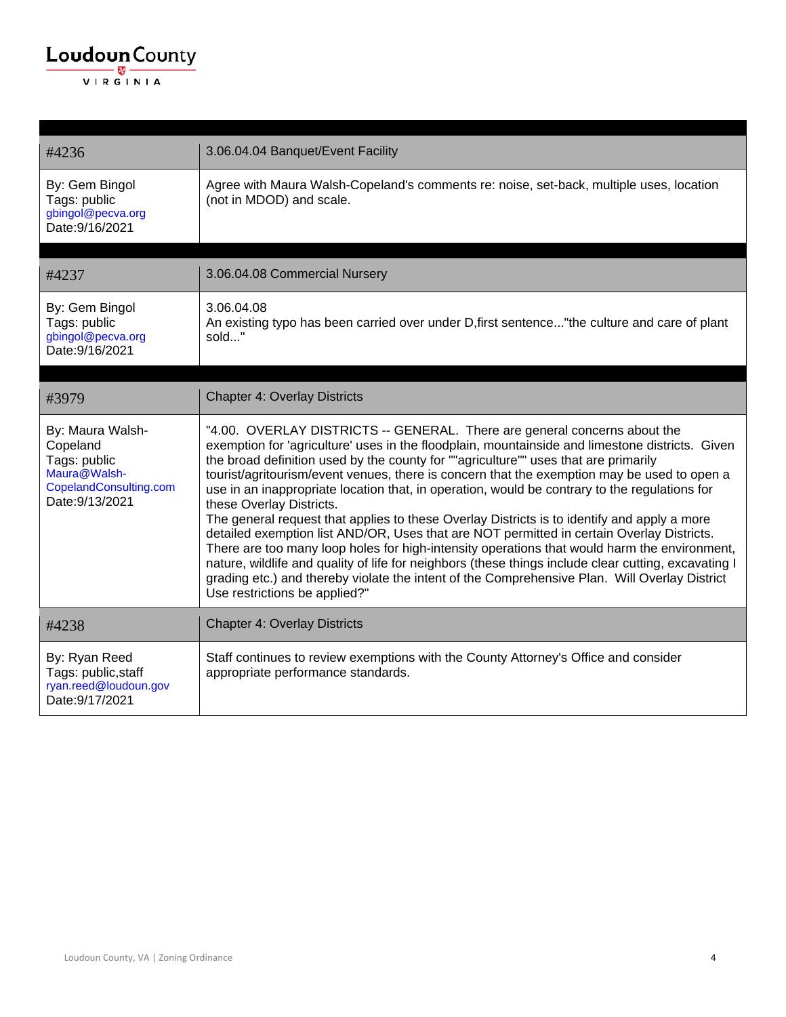| #4236                                                                                                     | 3.06.04.04 Banquet/Event Facility                                                                                                                                                                                                                                                                                                                                                                                                                                                                                                                                                                                                                                                                                                                                                                                                                                                                                                                                                                                                     |
|-----------------------------------------------------------------------------------------------------------|---------------------------------------------------------------------------------------------------------------------------------------------------------------------------------------------------------------------------------------------------------------------------------------------------------------------------------------------------------------------------------------------------------------------------------------------------------------------------------------------------------------------------------------------------------------------------------------------------------------------------------------------------------------------------------------------------------------------------------------------------------------------------------------------------------------------------------------------------------------------------------------------------------------------------------------------------------------------------------------------------------------------------------------|
| By: Gem Bingol<br>Tags: public<br>gbingol@pecva.org<br>Date: 9/16/2021                                    | Agree with Maura Walsh-Copeland's comments re: noise, set-back, multiple uses, location<br>(not in MDOD) and scale.                                                                                                                                                                                                                                                                                                                                                                                                                                                                                                                                                                                                                                                                                                                                                                                                                                                                                                                   |
|                                                                                                           | 3.06.04.08 Commercial Nursery                                                                                                                                                                                                                                                                                                                                                                                                                                                                                                                                                                                                                                                                                                                                                                                                                                                                                                                                                                                                         |
| #4237                                                                                                     |                                                                                                                                                                                                                                                                                                                                                                                                                                                                                                                                                                                                                                                                                                                                                                                                                                                                                                                                                                                                                                       |
| By: Gem Bingol<br>Tags: public<br>gbingol@pecva.org<br>Date: 9/16/2021                                    | 3.06.04.08<br>An existing typo has been carried over under D, first sentence" the culture and care of plant<br>sold"                                                                                                                                                                                                                                                                                                                                                                                                                                                                                                                                                                                                                                                                                                                                                                                                                                                                                                                  |
|                                                                                                           |                                                                                                                                                                                                                                                                                                                                                                                                                                                                                                                                                                                                                                                                                                                                                                                                                                                                                                                                                                                                                                       |
| #3979                                                                                                     | <b>Chapter 4: Overlay Districts</b>                                                                                                                                                                                                                                                                                                                                                                                                                                                                                                                                                                                                                                                                                                                                                                                                                                                                                                                                                                                                   |
| By: Maura Walsh-<br>Copeland<br>Tags: public<br>Maura@Walsh-<br>CopelandConsulting.com<br>Date: 9/13/2021 | "4.00. OVERLAY DISTRICTS -- GENERAL. There are general concerns about the<br>exemption for 'agriculture' uses in the floodplain, mountainside and limestone districts. Given<br>the broad definition used by the county for ""agriculture"" uses that are primarily<br>tourist/agritourism/event venues, there is concern that the exemption may be used to open a<br>use in an inappropriate location that, in operation, would be contrary to the regulations for<br>these Overlay Districts.<br>The general request that applies to these Overlay Districts is to identify and apply a more<br>detailed exemption list AND/OR, Uses that are NOT permitted in certain Overlay Districts.<br>There are too many loop holes for high-intensity operations that would harm the environment,<br>nature, wildlife and quality of life for neighbors (these things include clear cutting, excavating I<br>grading etc.) and thereby violate the intent of the Comprehensive Plan. Will Overlay District<br>Use restrictions be applied?" |
| #4238                                                                                                     | <b>Chapter 4: Overlay Districts</b>                                                                                                                                                                                                                                                                                                                                                                                                                                                                                                                                                                                                                                                                                                                                                                                                                                                                                                                                                                                                   |
| By: Ryan Reed<br>Tags: public, staff<br>ryan.reed@loudoun.gov<br>Date: 9/17/2021                          | Staff continues to review exemptions with the County Attorney's Office and consider<br>appropriate performance standards.                                                                                                                                                                                                                                                                                                                                                                                                                                                                                                                                                                                                                                                                                                                                                                                                                                                                                                             |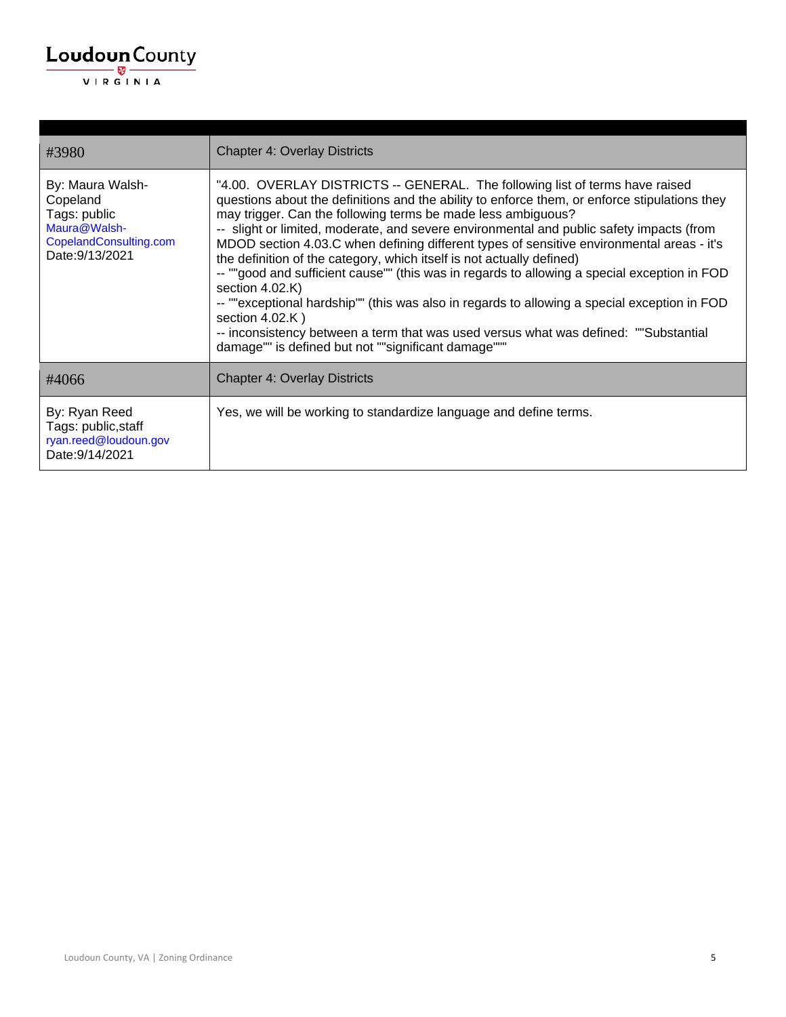| #3980                                                                                                     | <b>Chapter 4: Overlay Districts</b>                                                                                                                                                                                                                                                                                                                                                                                                                                                                                                                                                                                                                                                                                                                                                                                                                                                                     |
|-----------------------------------------------------------------------------------------------------------|---------------------------------------------------------------------------------------------------------------------------------------------------------------------------------------------------------------------------------------------------------------------------------------------------------------------------------------------------------------------------------------------------------------------------------------------------------------------------------------------------------------------------------------------------------------------------------------------------------------------------------------------------------------------------------------------------------------------------------------------------------------------------------------------------------------------------------------------------------------------------------------------------------|
| By: Maura Walsh-<br>Copeland<br>Tags: public<br>Maura@Walsh-<br>CopelandConsulting.com<br>Date: 9/13/2021 | "4.00. OVERLAY DISTRICTS -- GENERAL. The following list of terms have raised<br>questions about the definitions and the ability to enforce them, or enforce stipulations they<br>may trigger. Can the following terms be made less ambiguous?<br>-- slight or limited, moderate, and severe environmental and public safety impacts (from<br>MDOD section 4.03.C when defining different types of sensitive environmental areas - it's<br>the definition of the category, which itself is not actually defined)<br>-- ""good and sufficient cause"" (this was in regards to allowing a special exception in FOD<br>section 4.02.K)<br>-- ""exceptional hardship"" (this was also in regards to allowing a special exception in FOD<br>section $4.02$ .K)<br>-- inconsistency between a term that was used versus what was defined: ""Substantial<br>damage"" is defined but not ""significant damage""" |
| #4066                                                                                                     | <b>Chapter 4: Overlay Districts</b>                                                                                                                                                                                                                                                                                                                                                                                                                                                                                                                                                                                                                                                                                                                                                                                                                                                                     |
| By: Ryan Reed<br>Tags: public, staff<br>ryan.reed@loudoun.gov<br>Date: 9/14/2021                          | Yes, we will be working to standardize language and define terms.                                                                                                                                                                                                                                                                                                                                                                                                                                                                                                                                                                                                                                                                                                                                                                                                                                       |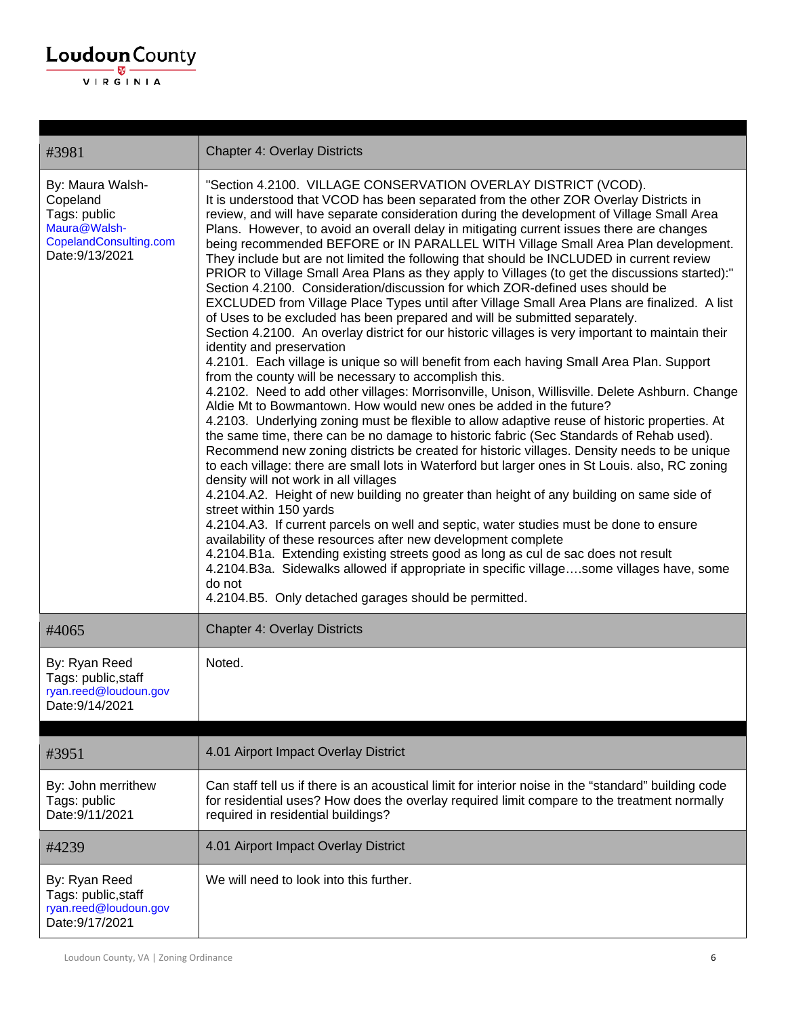#### $\underbrace{\textbf{Loudoun}\xspace}_{\text{VIR GINIA}}$

| #3981                                                                                                     | <b>Chapter 4: Overlay Districts</b>                                                                                                                                                                                                                                                                                                                                                                                                                                                                                                                                                                                                                                                                                                                                                                                                                                                                                                                                                                                                                                                                                                                                                                                                                                                                                                                                                                                                                                                                                                                                                                                                                                                                                                                                                                                                                                                                                                                                                                                                                                                                                                                                                                                                                                                                                                             |
|-----------------------------------------------------------------------------------------------------------|-------------------------------------------------------------------------------------------------------------------------------------------------------------------------------------------------------------------------------------------------------------------------------------------------------------------------------------------------------------------------------------------------------------------------------------------------------------------------------------------------------------------------------------------------------------------------------------------------------------------------------------------------------------------------------------------------------------------------------------------------------------------------------------------------------------------------------------------------------------------------------------------------------------------------------------------------------------------------------------------------------------------------------------------------------------------------------------------------------------------------------------------------------------------------------------------------------------------------------------------------------------------------------------------------------------------------------------------------------------------------------------------------------------------------------------------------------------------------------------------------------------------------------------------------------------------------------------------------------------------------------------------------------------------------------------------------------------------------------------------------------------------------------------------------------------------------------------------------------------------------------------------------------------------------------------------------------------------------------------------------------------------------------------------------------------------------------------------------------------------------------------------------------------------------------------------------------------------------------------------------------------------------------------------------------------------------------------------------|
| By: Maura Walsh-<br>Copeland<br>Tags: public<br>Maura@Walsh-<br>CopelandConsulting.com<br>Date: 9/13/2021 | "Section 4.2100. VILLAGE CONSERVATION OVERLAY DISTRICT (VCOD).<br>It is understood that VCOD has been separated from the other ZOR Overlay Districts in<br>review, and will have separate consideration during the development of Village Small Area<br>Plans. However, to avoid an overall delay in mitigating current issues there are changes<br>being recommended BEFORE or IN PARALLEL WITH Village Small Area Plan development.<br>They include but are not limited the following that should be INCLUDED in current review<br>PRIOR to Village Small Area Plans as they apply to Villages (to get the discussions started):"<br>Section 4.2100. Consideration/discussion for which ZOR-defined uses should be<br>EXCLUDED from Village Place Types until after Village Small Area Plans are finalized. A list<br>of Uses to be excluded has been prepared and will be submitted separately.<br>Section 4.2100. An overlay district for our historic villages is very important to maintain their<br>identity and preservation<br>4.2101. Each village is unique so will benefit from each having Small Area Plan. Support<br>from the county will be necessary to accomplish this.<br>4.2102. Need to add other villages: Morrisonville, Unison, Willisville. Delete Ashburn. Change<br>Aldie Mt to Bowmantown. How would new ones be added in the future?<br>4.2103. Underlying zoning must be flexible to allow adaptive reuse of historic properties. At<br>the same time, there can be no damage to historic fabric (Sec Standards of Rehab used).<br>Recommend new zoning districts be created for historic villages. Density needs to be unique<br>to each village: there are small lots in Waterford but larger ones in St Louis. also, RC zoning<br>density will not work in all villages<br>4.2104.A2. Height of new building no greater than height of any building on same side of<br>street within 150 yards<br>4.2104.A3. If current parcels on well and septic, water studies must be done to ensure<br>availability of these resources after new development complete<br>4.2104.B1a. Extending existing streets good as long as cul de sac does not result<br>4.2104.B3a. Sidewalks allowed if appropriate in specific villagesome villages have, some<br>do not<br>4.2104.B5. Only detached garages should be permitted. |
| #4065                                                                                                     | <b>Chapter 4: Overlay Districts</b>                                                                                                                                                                                                                                                                                                                                                                                                                                                                                                                                                                                                                                                                                                                                                                                                                                                                                                                                                                                                                                                                                                                                                                                                                                                                                                                                                                                                                                                                                                                                                                                                                                                                                                                                                                                                                                                                                                                                                                                                                                                                                                                                                                                                                                                                                                             |
| By: Ryan Reed<br>Tags: public, staff<br>ryan.reed@loudoun.gov<br>Date: 9/14/2021                          | Noted.                                                                                                                                                                                                                                                                                                                                                                                                                                                                                                                                                                                                                                                                                                                                                                                                                                                                                                                                                                                                                                                                                                                                                                                                                                                                                                                                                                                                                                                                                                                                                                                                                                                                                                                                                                                                                                                                                                                                                                                                                                                                                                                                                                                                                                                                                                                                          |
| #3951                                                                                                     | 4.01 Airport Impact Overlay District                                                                                                                                                                                                                                                                                                                                                                                                                                                                                                                                                                                                                                                                                                                                                                                                                                                                                                                                                                                                                                                                                                                                                                                                                                                                                                                                                                                                                                                                                                                                                                                                                                                                                                                                                                                                                                                                                                                                                                                                                                                                                                                                                                                                                                                                                                            |
| By: John merrithew<br>Tags: public<br>Date: 9/11/2021                                                     | Can staff tell us if there is an acoustical limit for interior noise in the "standard" building code<br>for residential uses? How does the overlay required limit compare to the treatment normally<br>required in residential buildings?                                                                                                                                                                                                                                                                                                                                                                                                                                                                                                                                                                                                                                                                                                                                                                                                                                                                                                                                                                                                                                                                                                                                                                                                                                                                                                                                                                                                                                                                                                                                                                                                                                                                                                                                                                                                                                                                                                                                                                                                                                                                                                       |
| #4239                                                                                                     | 4.01 Airport Impact Overlay District                                                                                                                                                                                                                                                                                                                                                                                                                                                                                                                                                                                                                                                                                                                                                                                                                                                                                                                                                                                                                                                                                                                                                                                                                                                                                                                                                                                                                                                                                                                                                                                                                                                                                                                                                                                                                                                                                                                                                                                                                                                                                                                                                                                                                                                                                                            |
| By: Ryan Reed<br>Tags: public, staff<br>ryan.reed@loudoun.gov<br>Date: 9/17/2021                          | We will need to look into this further.                                                                                                                                                                                                                                                                                                                                                                                                                                                                                                                                                                                                                                                                                                                                                                                                                                                                                                                                                                                                                                                                                                                                                                                                                                                                                                                                                                                                                                                                                                                                                                                                                                                                                                                                                                                                                                                                                                                                                                                                                                                                                                                                                                                                                                                                                                         |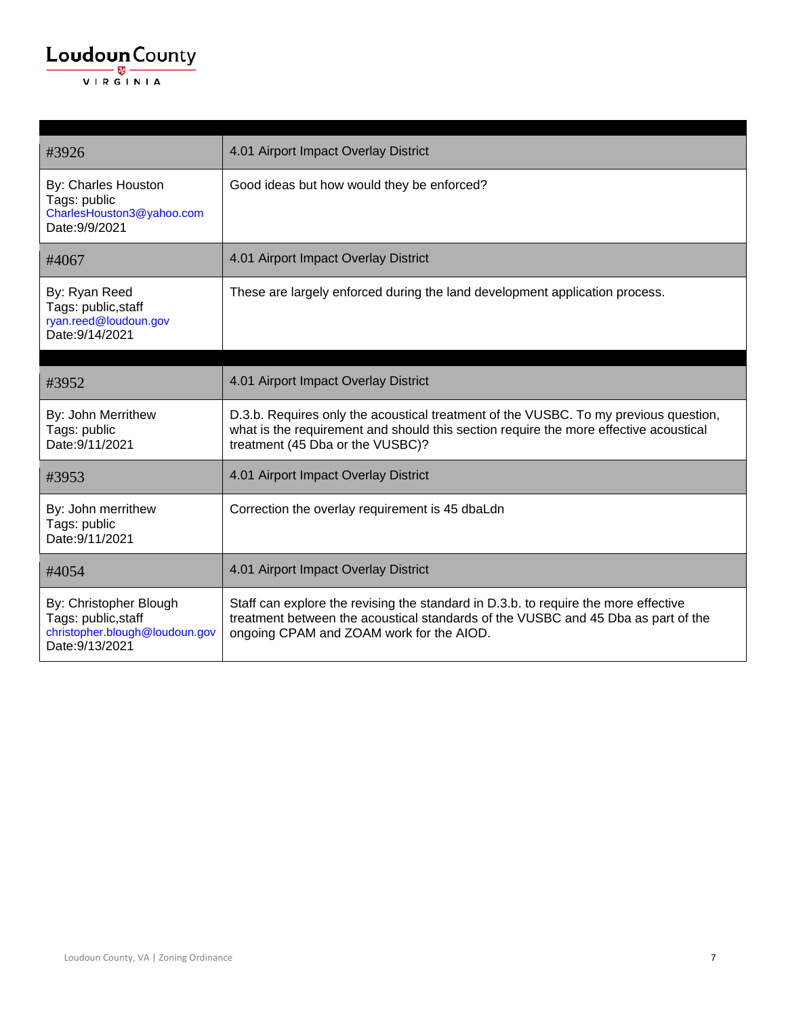| #3926                                                                                              | 4.01 Airport Impact Overlay District                                                                                                                                                                                 |
|----------------------------------------------------------------------------------------------------|----------------------------------------------------------------------------------------------------------------------------------------------------------------------------------------------------------------------|
| By: Charles Houston<br>Tags: public<br>CharlesHouston3@yahoo.com<br>Date: 9/9/2021                 | Good ideas but how would they be enforced?                                                                                                                                                                           |
| #4067                                                                                              | 4.01 Airport Impact Overlay District                                                                                                                                                                                 |
| By: Ryan Reed<br>Tags: public, staff<br>ryan.reed@loudoun.gov<br>Date: 9/14/2021                   | These are largely enforced during the land development application process.                                                                                                                                          |
| #3952                                                                                              | 4.01 Airport Impact Overlay District                                                                                                                                                                                 |
| By: John Merrithew<br>Tags: public<br>Date: 9/11/2021                                              | D.3.b. Requires only the acoustical treatment of the VUSBC. To my previous question,<br>what is the requirement and should this section require the more effective acoustical<br>treatment (45 Dba or the VUSBC)?    |
| #3953                                                                                              | 4.01 Airport Impact Overlay District                                                                                                                                                                                 |
| By: John merrithew<br>Tags: public<br>Date: 9/11/2021                                              | Correction the overlay requirement is 45 dbaLdn                                                                                                                                                                      |
| #4054                                                                                              | 4.01 Airport Impact Overlay District                                                                                                                                                                                 |
| By: Christopher Blough<br>Tags: public, staff<br>christopher.blough@loudoun.gov<br>Date: 9/13/2021 | Staff can explore the revising the standard in D.3.b. to require the more effective<br>treatment between the acoustical standards of the VUSBC and 45 Dba as part of the<br>ongoing CPAM and ZOAM work for the AIOD. |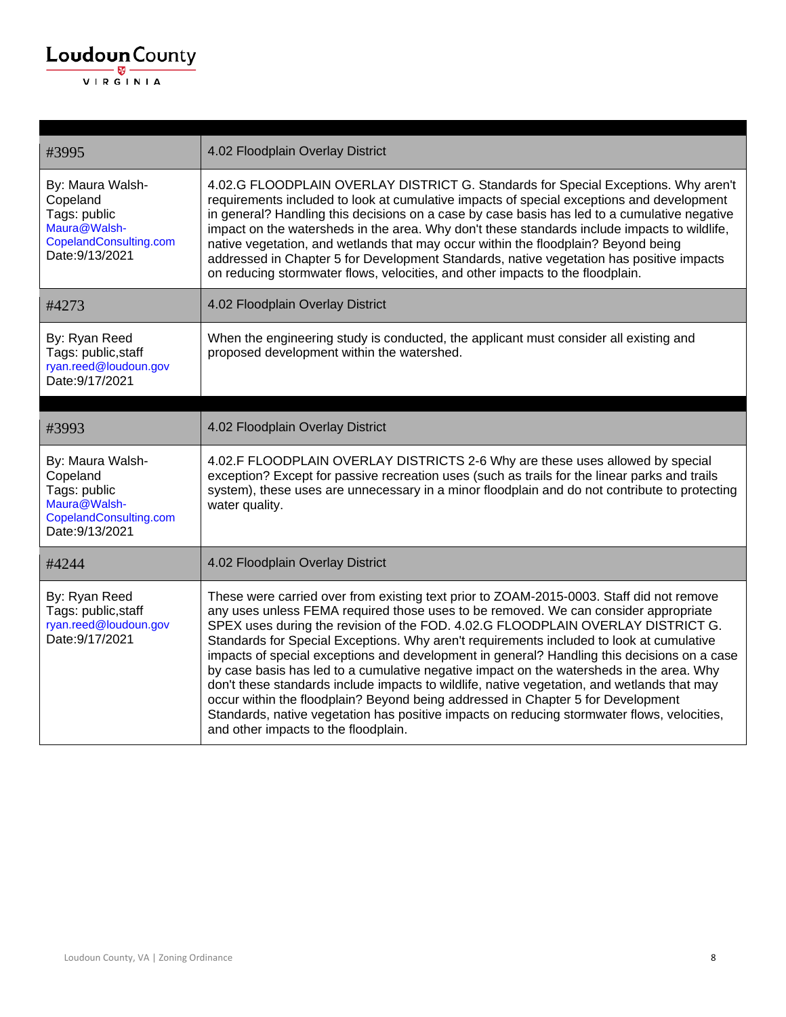

| #3995                                                                                                     | 4.02 Floodplain Overlay District                                                                                                                                                                                                                                                                                                                                                                                                                                                                                                                                                                                                                    |
|-----------------------------------------------------------------------------------------------------------|-----------------------------------------------------------------------------------------------------------------------------------------------------------------------------------------------------------------------------------------------------------------------------------------------------------------------------------------------------------------------------------------------------------------------------------------------------------------------------------------------------------------------------------------------------------------------------------------------------------------------------------------------------|
| By: Maura Walsh-<br>Copeland<br>Tags: public<br>Maura@Walsh-<br>CopelandConsulting.com<br>Date: 9/13/2021 | 4.02.G FLOODPLAIN OVERLAY DISTRICT G. Standards for Special Exceptions. Why aren't<br>requirements included to look at cumulative impacts of special exceptions and development<br>in general? Handling this decisions on a case by case basis has led to a cumulative negative<br>impact on the watersheds in the area. Why don't these standards include impacts to wildlife,<br>native vegetation, and wetlands that may occur within the floodplain? Beyond being<br>addressed in Chapter 5 for Development Standards, native vegetation has positive impacts<br>on reducing stormwater flows, velocities, and other impacts to the floodplain. |
| #4273                                                                                                     | 4.02 Floodplain Overlay District                                                                                                                                                                                                                                                                                                                                                                                                                                                                                                                                                                                                                    |
| By: Ryan Reed<br>Tags: public, staff<br>ryan.reed@loudoun.gov<br>Date: 9/17/2021                          | When the engineering study is conducted, the applicant must consider all existing and<br>proposed development within the watershed.                                                                                                                                                                                                                                                                                                                                                                                                                                                                                                                 |
|                                                                                                           |                                                                                                                                                                                                                                                                                                                                                                                                                                                                                                                                                                                                                                                     |
| #3993                                                                                                     | 4.02 Floodplain Overlay District                                                                                                                                                                                                                                                                                                                                                                                                                                                                                                                                                                                                                    |
| By: Maura Walsh-<br>Copeland<br>Tags: public<br>Maura@Walsh-<br>CopelandConsulting.com<br>Date: 9/13/2021 | 4.02.F FLOODPLAIN OVERLAY DISTRICTS 2-6 Why are these uses allowed by special<br>exception? Except for passive recreation uses (such as trails for the linear parks and trails<br>system), these uses are unnecessary in a minor floodplain and do not contribute to protecting<br>water quality.                                                                                                                                                                                                                                                                                                                                                   |
| #4244                                                                                                     | 4.02 Floodplain Overlay District                                                                                                                                                                                                                                                                                                                                                                                                                                                                                                                                                                                                                    |
| By: Ryan Reed<br>Tags: public, staff<br>ryan.reed@loudoun.gov<br>Date: 9/17/2021                          | These were carried over from existing text prior to ZOAM-2015-0003. Staff did not remove<br>any uses unless FEMA required those uses to be removed. We can consider appropriate<br>SPEX uses during the revision of the FOD. 4.02.G FLOODPLAIN OVERLAY DISTRICT G.<br>Standards for Special Exceptions. Why aren't requirements included to look at cumulative<br>impacts of special exceptions and development in general? Handling this decisions on a case<br>by case basis has led to a cumulative negative impact on the watersheds in the area. Why                                                                                           |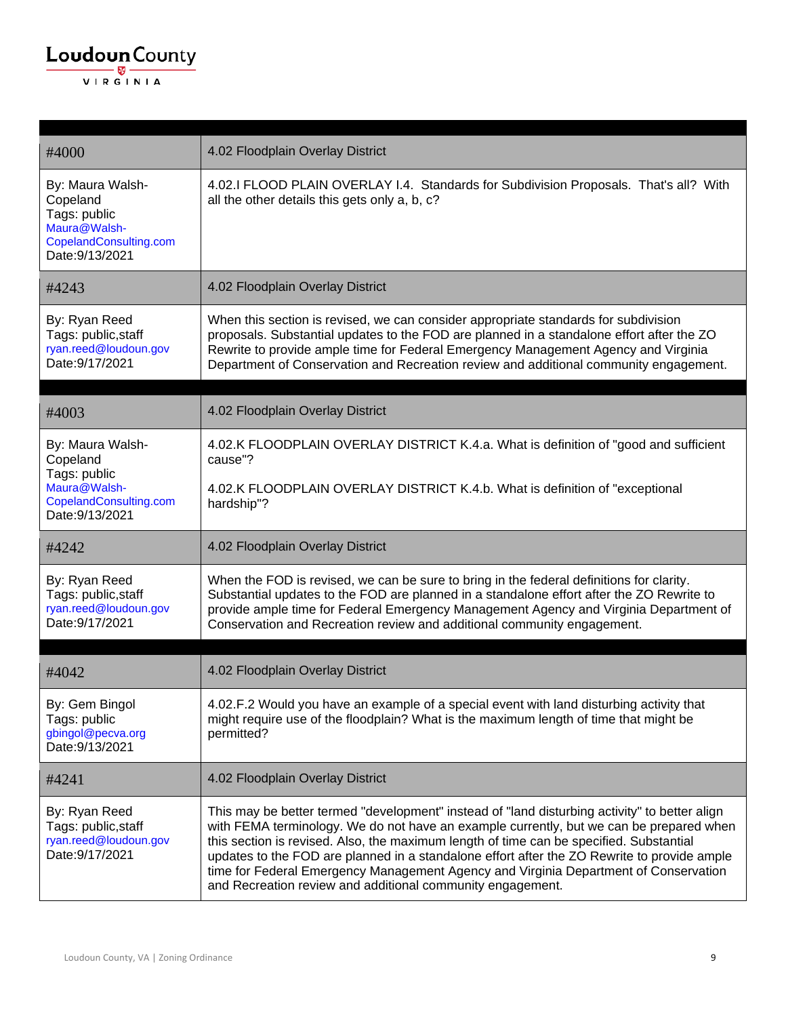| #4000                                                                                                     | 4.02 Floodplain Overlay District                                                                                                                                                                                                                                                                                                                                                                                                                                                                                                         |
|-----------------------------------------------------------------------------------------------------------|------------------------------------------------------------------------------------------------------------------------------------------------------------------------------------------------------------------------------------------------------------------------------------------------------------------------------------------------------------------------------------------------------------------------------------------------------------------------------------------------------------------------------------------|
| By: Maura Walsh-<br>Copeland<br>Tags: public<br>Maura@Walsh-<br>CopelandConsulting.com<br>Date: 9/13/2021 | 4.02.I FLOOD PLAIN OVERLAY I.4. Standards for Subdivision Proposals. That's all? With<br>all the other details this gets only a, b, c?                                                                                                                                                                                                                                                                                                                                                                                                   |
| #4243                                                                                                     | 4.02 Floodplain Overlay District                                                                                                                                                                                                                                                                                                                                                                                                                                                                                                         |
| By: Ryan Reed<br>Tags: public, staff<br>ryan.reed@loudoun.gov<br>Date: 9/17/2021                          | When this section is revised, we can consider appropriate standards for subdivision<br>proposals. Substantial updates to the FOD are planned in a standalone effort after the ZO<br>Rewrite to provide ample time for Federal Emergency Management Agency and Virginia<br>Department of Conservation and Recreation review and additional community engagement.                                                                                                                                                                          |
|                                                                                                           |                                                                                                                                                                                                                                                                                                                                                                                                                                                                                                                                          |
| #4003                                                                                                     | 4.02 Floodplain Overlay District                                                                                                                                                                                                                                                                                                                                                                                                                                                                                                         |
| By: Maura Walsh-<br>Copeland<br>Tags: public<br>Maura@Walsh-<br>CopelandConsulting.com<br>Date: 9/13/2021 | 4.02.K FLOODPLAIN OVERLAY DISTRICT K.4.a. What is definition of "good and sufficient<br>cause"?<br>4.02.K FLOODPLAIN OVERLAY DISTRICT K.4.b. What is definition of "exceptional<br>hardship"?                                                                                                                                                                                                                                                                                                                                            |
| #4242                                                                                                     | 4.02 Floodplain Overlay District                                                                                                                                                                                                                                                                                                                                                                                                                                                                                                         |
| By: Ryan Reed<br>Tags: public, staff<br>ryan.reed@loudoun.gov<br>Date: 9/17/2021                          | When the FOD is revised, we can be sure to bring in the federal definitions for clarity.<br>Substantial updates to the FOD are planned in a standalone effort after the ZO Rewrite to<br>provide ample time for Federal Emergency Management Agency and Virginia Department of<br>Conservation and Recreation review and additional community engagement.                                                                                                                                                                                |
|                                                                                                           |                                                                                                                                                                                                                                                                                                                                                                                                                                                                                                                                          |
| #4042                                                                                                     | 4.02 Floodplain Overlay District                                                                                                                                                                                                                                                                                                                                                                                                                                                                                                         |
| By: Gem Bingol<br>Tags: public<br>gbingol@pecva.org<br>Date: 9/13/2021                                    | 4.02.F.2 Would you have an example of a special event with land disturbing activity that<br>might require use of the floodplain? What is the maximum length of time that might be<br>permitted?                                                                                                                                                                                                                                                                                                                                          |
| #4241                                                                                                     | 4.02 Floodplain Overlay District                                                                                                                                                                                                                                                                                                                                                                                                                                                                                                         |
| By: Ryan Reed<br>Tags: public, staff<br>ryan.reed@loudoun.gov<br>Date: 9/17/2021                          | This may be better termed "development" instead of "land disturbing activity" to better align<br>with FEMA terminology. We do not have an example currently, but we can be prepared when<br>this section is revised. Also, the maximum length of time can be specified. Substantial<br>updates to the FOD are planned in a standalone effort after the ZO Rewrite to provide ample<br>time for Federal Emergency Management Agency and Virginia Department of Conservation<br>and Recreation review and additional community engagement. |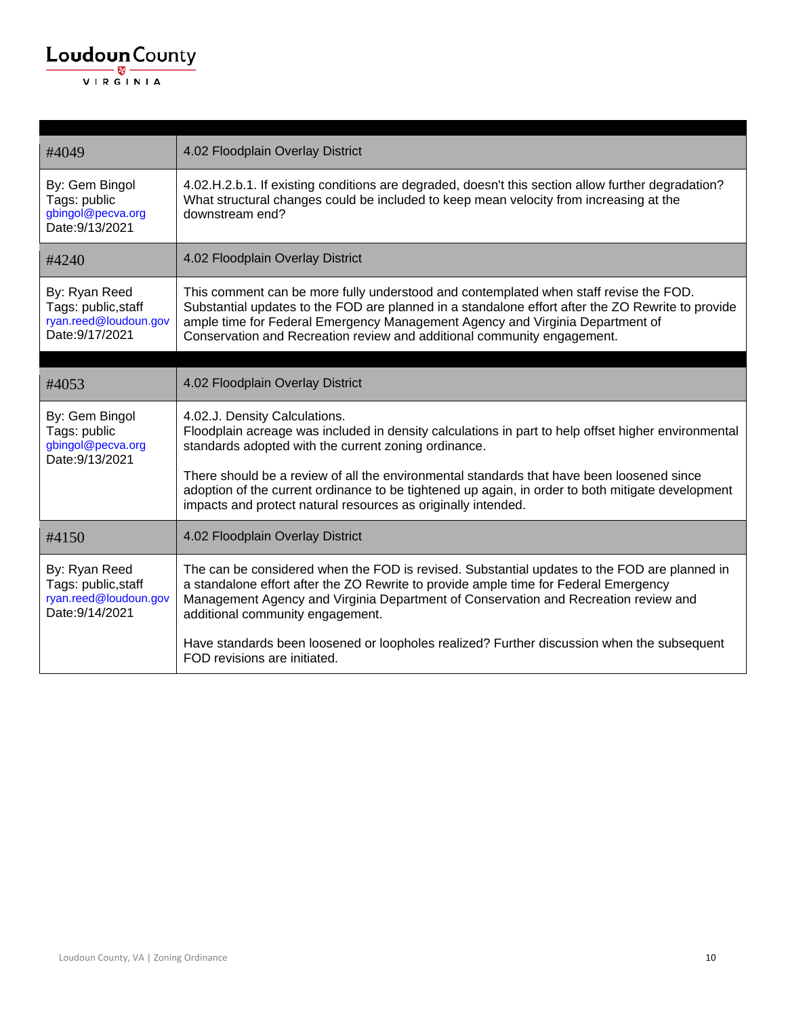| #4049                                                                            | 4.02 Floodplain Overlay District                                                                                                                                                                                                                                                                                                                       |
|----------------------------------------------------------------------------------|--------------------------------------------------------------------------------------------------------------------------------------------------------------------------------------------------------------------------------------------------------------------------------------------------------------------------------------------------------|
| By: Gem Bingol<br>Tags: public<br>gbingol@pecva.org<br>Date: 9/13/2021           | 4.02.H.2.b.1. If existing conditions are degraded, doesn't this section allow further degradation?<br>What structural changes could be included to keep mean velocity from increasing at the<br>downstream end?                                                                                                                                        |
| #4240                                                                            | 4.02 Floodplain Overlay District                                                                                                                                                                                                                                                                                                                       |
| By: Ryan Reed<br>Tags: public, staff<br>ryan.reed@loudoun.gov<br>Date: 9/17/2021 | This comment can be more fully understood and contemplated when staff revise the FOD.<br>Substantial updates to the FOD are planned in a standalone effort after the ZO Rewrite to provide<br>ample time for Federal Emergency Management Agency and Virginia Department of<br>Conservation and Recreation review and additional community engagement. |
|                                                                                  |                                                                                                                                                                                                                                                                                                                                                        |
| #4053                                                                            | 4.02 Floodplain Overlay District                                                                                                                                                                                                                                                                                                                       |
| By: Gem Bingol<br>Tags: public<br>gbingol@pecva.org<br>Date: 9/13/2021           | 4.02.J. Density Calculations.<br>Floodplain acreage was included in density calculations in part to help offset higher environmental<br>standards adopted with the current zoning ordinance.                                                                                                                                                           |
|                                                                                  | There should be a review of all the environmental standards that have been loosened since<br>adoption of the current ordinance to be tightened up again, in order to both mitigate development<br>impacts and protect natural resources as originally intended.                                                                                        |
| #4150                                                                            | 4.02 Floodplain Overlay District                                                                                                                                                                                                                                                                                                                       |
| By: Ryan Reed<br>Tags: public, staff<br>ryan.reed@loudoun.gov<br>Date: 9/14/2021 | The can be considered when the FOD is revised. Substantial updates to the FOD are planned in<br>a standalone effort after the ZO Rewrite to provide ample time for Federal Emergency<br>Management Agency and Virginia Department of Conservation and Recreation review and<br>additional community engagement.                                        |
|                                                                                  | Have standards been loosened or loopholes realized? Further discussion when the subsequent<br>FOD revisions are initiated.                                                                                                                                                                                                                             |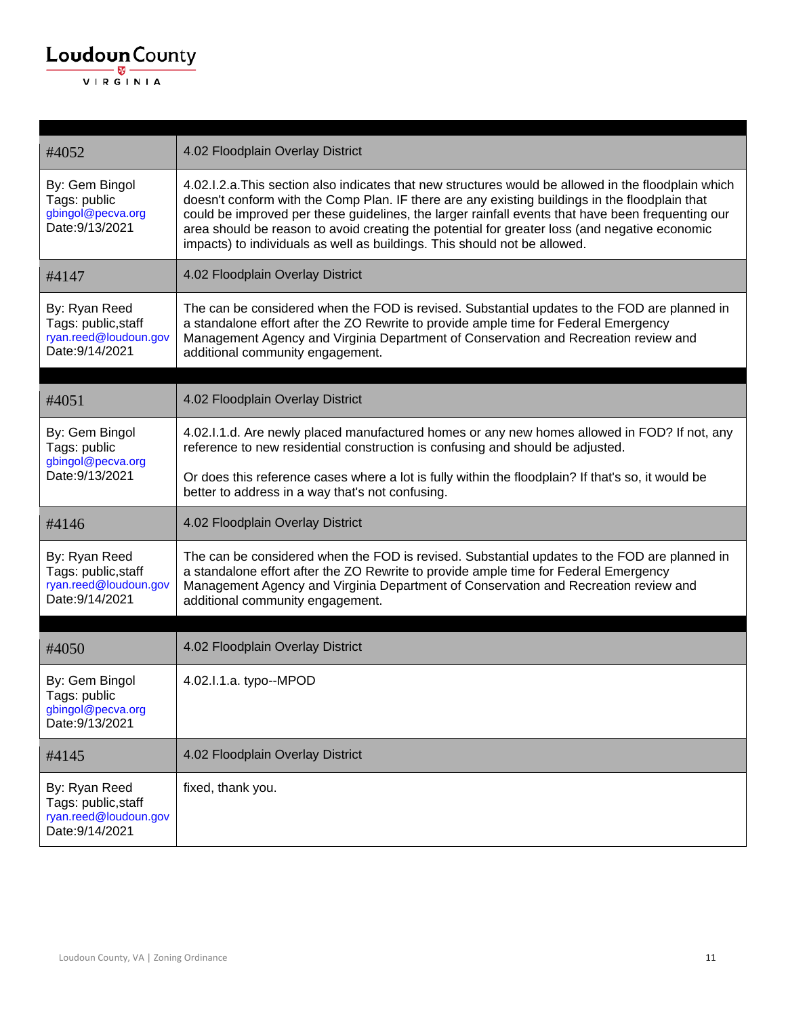| #4052                                                                            | 4.02 Floodplain Overlay District                                                                                                                                                                                                                                                                                                                                                                                                                                                          |
|----------------------------------------------------------------------------------|-------------------------------------------------------------------------------------------------------------------------------------------------------------------------------------------------------------------------------------------------------------------------------------------------------------------------------------------------------------------------------------------------------------------------------------------------------------------------------------------|
| By: Gem Bingol<br>Tags: public<br>gbingol@pecva.org<br>Date: 9/13/2021           | 4.02.1.2.a. This section also indicates that new structures would be allowed in the floodplain which<br>doesn't conform with the Comp Plan. IF there are any existing buildings in the floodplain that<br>could be improved per these guidelines, the larger rainfall events that have been frequenting our<br>area should be reason to avoid creating the potential for greater loss (and negative economic<br>impacts) to individuals as well as buildings. This should not be allowed. |
| #4147                                                                            | 4.02 Floodplain Overlay District                                                                                                                                                                                                                                                                                                                                                                                                                                                          |
| By: Ryan Reed<br>Tags: public, staff<br>ryan.reed@loudoun.gov<br>Date: 9/14/2021 | The can be considered when the FOD is revised. Substantial updates to the FOD are planned in<br>a standalone effort after the ZO Rewrite to provide ample time for Federal Emergency<br>Management Agency and Virginia Department of Conservation and Recreation review and<br>additional community engagement.                                                                                                                                                                           |
|                                                                                  |                                                                                                                                                                                                                                                                                                                                                                                                                                                                                           |
| #4051                                                                            | 4.02 Floodplain Overlay District                                                                                                                                                                                                                                                                                                                                                                                                                                                          |
| By: Gem Bingol<br>Tags: public                                                   | 4.02.1.1.d. Are newly placed manufactured homes or any new homes allowed in FOD? If not, any<br>reference to new residential construction is confusing and should be adjusted.                                                                                                                                                                                                                                                                                                            |
| gbingol@pecva.org<br>Date: 9/13/2021                                             | Or does this reference cases where a lot is fully within the floodplain? If that's so, it would be<br>better to address in a way that's not confusing.                                                                                                                                                                                                                                                                                                                                    |
| #4146                                                                            | 4.02 Floodplain Overlay District                                                                                                                                                                                                                                                                                                                                                                                                                                                          |
| By: Ryan Reed<br>Tags: public, staff<br>ryan.reed@loudoun.gov<br>Date: 9/14/2021 | The can be considered when the FOD is revised. Substantial updates to the FOD are planned in<br>a standalone effort after the ZO Rewrite to provide ample time for Federal Emergency<br>Management Agency and Virginia Department of Conservation and Recreation review and<br>additional community engagement.                                                                                                                                                                           |
|                                                                                  |                                                                                                                                                                                                                                                                                                                                                                                                                                                                                           |
| #4050                                                                            | 4.02 Floodplain Overlay District                                                                                                                                                                                                                                                                                                                                                                                                                                                          |
| By: Gem Bingol<br>Tags: public<br>gbingol@pecva.org<br>Date: 9/13/2021           | 4.02.I.1.a. typo--MPOD                                                                                                                                                                                                                                                                                                                                                                                                                                                                    |
| #4145                                                                            | 4.02 Floodplain Overlay District                                                                                                                                                                                                                                                                                                                                                                                                                                                          |
| By: Ryan Reed<br>Tags: public, staff<br>ryan.reed@loudoun.gov<br>Date: 9/14/2021 | fixed, thank you.                                                                                                                                                                                                                                                                                                                                                                                                                                                                         |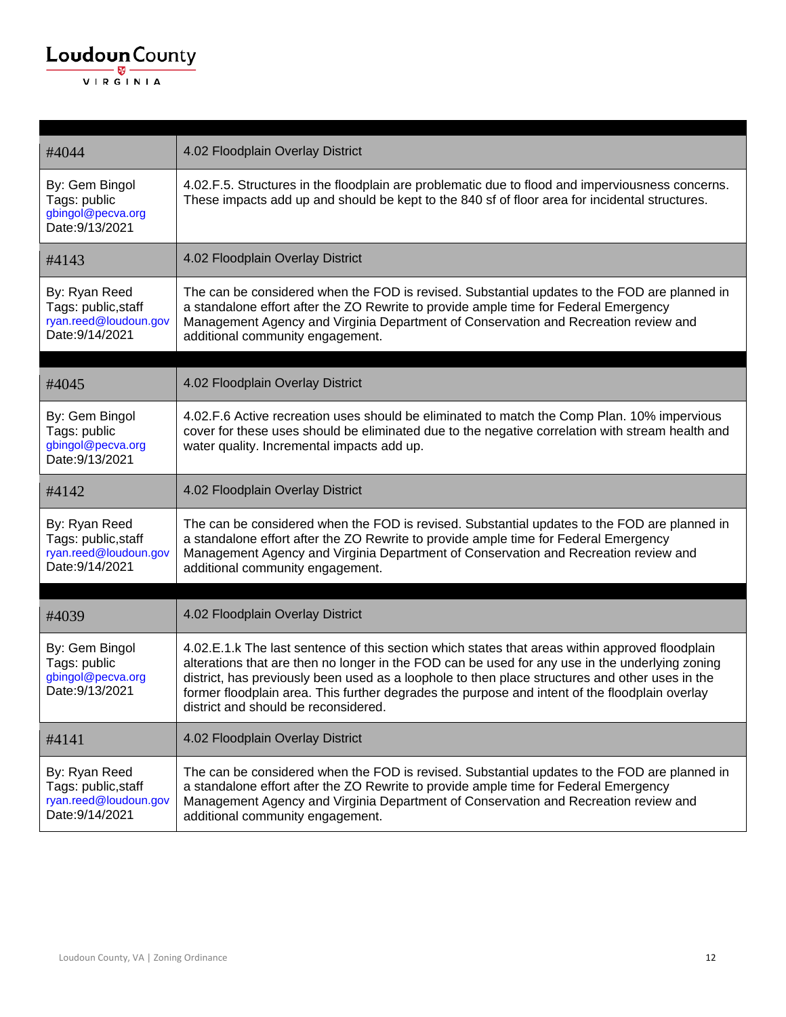| #4044                                                                            | 4.02 Floodplain Overlay District                                                                                                                                                                                                                                                                                                                                                                                                                |
|----------------------------------------------------------------------------------|-------------------------------------------------------------------------------------------------------------------------------------------------------------------------------------------------------------------------------------------------------------------------------------------------------------------------------------------------------------------------------------------------------------------------------------------------|
| By: Gem Bingol<br>Tags: public<br>gbingol@pecva.org<br>Date: 9/13/2021           | 4.02.F.5. Structures in the floodplain are problematic due to flood and imperviousness concerns.<br>These impacts add up and should be kept to the 840 sf of floor area for incidental structures.                                                                                                                                                                                                                                              |
| #4143                                                                            | 4.02 Floodplain Overlay District                                                                                                                                                                                                                                                                                                                                                                                                                |
| By: Ryan Reed<br>Tags: public, staff<br>ryan.reed@loudoun.gov<br>Date: 9/14/2021 | The can be considered when the FOD is revised. Substantial updates to the FOD are planned in<br>a standalone effort after the ZO Rewrite to provide ample time for Federal Emergency<br>Management Agency and Virginia Department of Conservation and Recreation review and<br>additional community engagement.                                                                                                                                 |
| #4045                                                                            | 4.02 Floodplain Overlay District                                                                                                                                                                                                                                                                                                                                                                                                                |
| By: Gem Bingol<br>Tags: public<br>gbingol@pecva.org<br>Date: 9/13/2021           | 4.02.F.6 Active recreation uses should be eliminated to match the Comp Plan. 10% impervious<br>cover for these uses should be eliminated due to the negative correlation with stream health and<br>water quality. Incremental impacts add up.                                                                                                                                                                                                   |
| #4142                                                                            | 4.02 Floodplain Overlay District                                                                                                                                                                                                                                                                                                                                                                                                                |
| By: Ryan Reed<br>Tags: public, staff<br>ryan.reed@loudoun.gov<br>Date: 9/14/2021 | The can be considered when the FOD is revised. Substantial updates to the FOD are planned in<br>a standalone effort after the ZO Rewrite to provide ample time for Federal Emergency<br>Management Agency and Virginia Department of Conservation and Recreation review and<br>additional community engagement.                                                                                                                                 |
| #4039                                                                            | 4.02 Floodplain Overlay District                                                                                                                                                                                                                                                                                                                                                                                                                |
| By: Gem Bingol<br>Tags: public<br>gbingol@pecva.org<br>Date: 9/13/2021           | 4.02.E.1.k The last sentence of this section which states that areas within approved floodplain<br>alterations that are then no longer in the FOD can be used for any use in the underlying zoning<br>district, has previously been used as a loophole to then place structures and other uses in the<br>former floodplain area. This further degrades the purpose and intent of the floodplain overlay<br>district and should be reconsidered. |
| #4141                                                                            | 4.02 Floodplain Overlay District                                                                                                                                                                                                                                                                                                                                                                                                                |
| By: Ryan Reed<br>Tags: public, staff<br>ryan.reed@loudoun.gov<br>Date: 9/14/2021 | The can be considered when the FOD is revised. Substantial updates to the FOD are planned in<br>a standalone effort after the ZO Rewrite to provide ample time for Federal Emergency<br>Management Agency and Virginia Department of Conservation and Recreation review and<br>additional community engagement.                                                                                                                                 |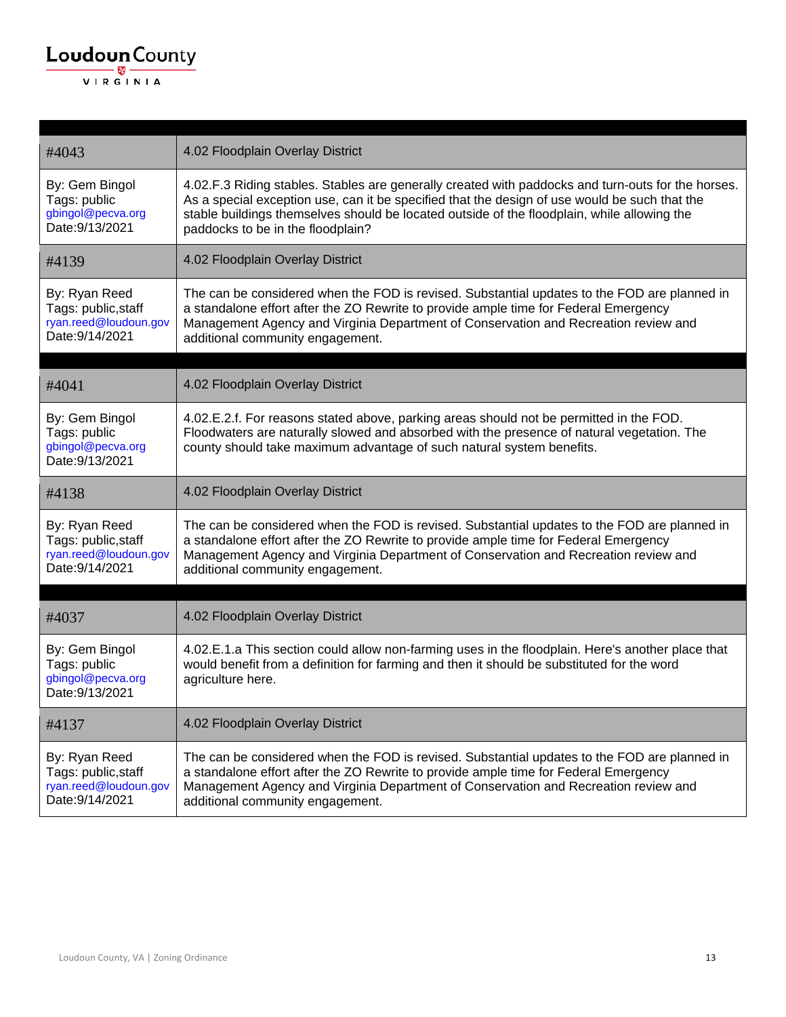| #4043                                                                            | 4.02 Floodplain Overlay District                                                                                                                                                                                                                                                                                                        |
|----------------------------------------------------------------------------------|-----------------------------------------------------------------------------------------------------------------------------------------------------------------------------------------------------------------------------------------------------------------------------------------------------------------------------------------|
| By: Gem Bingol<br>Tags: public<br>gbingol@pecva.org<br>Date: 9/13/2021           | 4.02.F.3 Riding stables. Stables are generally created with paddocks and turn-outs for the horses.<br>As a special exception use, can it be specified that the design of use would be such that the<br>stable buildings themselves should be located outside of the floodplain, while allowing the<br>paddocks to be in the floodplain? |
| #4139                                                                            | 4.02 Floodplain Overlay District                                                                                                                                                                                                                                                                                                        |
| By: Ryan Reed<br>Tags: public, staff<br>ryan.reed@loudoun.gov<br>Date: 9/14/2021 | The can be considered when the FOD is revised. Substantial updates to the FOD are planned in<br>a standalone effort after the ZO Rewrite to provide ample time for Federal Emergency<br>Management Agency and Virginia Department of Conservation and Recreation review and<br>additional community engagement.                         |
| #4041                                                                            | 4.02 Floodplain Overlay District                                                                                                                                                                                                                                                                                                        |
|                                                                                  |                                                                                                                                                                                                                                                                                                                                         |
| By: Gem Bingol<br>Tags: public<br>gbingol@pecva.org<br>Date: 9/13/2021           | 4.02.E.2.f. For reasons stated above, parking areas should not be permitted in the FOD.<br>Floodwaters are naturally slowed and absorbed with the presence of natural vegetation. The<br>county should take maximum advantage of such natural system benefits.                                                                          |
| #4138                                                                            | 4.02 Floodplain Overlay District                                                                                                                                                                                                                                                                                                        |
| By: Ryan Reed<br>Tags: public, staff<br>ryan.reed@loudoun.gov<br>Date: 9/14/2021 | The can be considered when the FOD is revised. Substantial updates to the FOD are planned in<br>a standalone effort after the ZO Rewrite to provide ample time for Federal Emergency<br>Management Agency and Virginia Department of Conservation and Recreation review and<br>additional community engagement.                         |
|                                                                                  |                                                                                                                                                                                                                                                                                                                                         |
| #4037                                                                            | 4.02 Floodplain Overlay District                                                                                                                                                                                                                                                                                                        |
| By: Gem Bingol<br>Tags: public<br>gbingol@pecva.org<br>Date: 9/13/2021           | 4.02.E.1.a This section could allow non-farming uses in the floodplain. Here's another place that<br>would benefit from a definition for farming and then it should be substituted for the word<br>agriculture here.                                                                                                                    |
| #4137                                                                            | 4.02 Floodplain Overlay District                                                                                                                                                                                                                                                                                                        |
| By: Ryan Reed<br>Tags: public, staff<br>ryan.reed@loudoun.gov<br>Date: 9/14/2021 | The can be considered when the FOD is revised. Substantial updates to the FOD are planned in<br>a standalone effort after the ZO Rewrite to provide ample time for Federal Emergency<br>Management Agency and Virginia Department of Conservation and Recreation review and<br>additional community engagement.                         |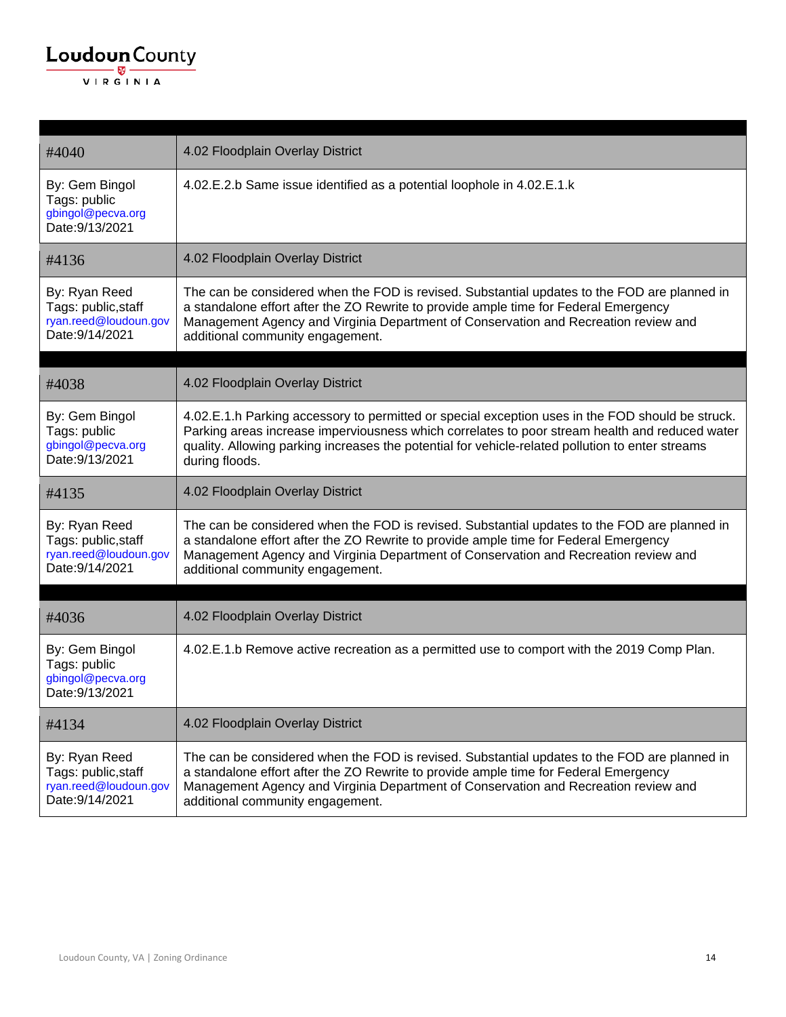| #4040                                                                            | 4.02 Floodplain Overlay District                                                                                                                                                                                                                                                                                         |
|----------------------------------------------------------------------------------|--------------------------------------------------------------------------------------------------------------------------------------------------------------------------------------------------------------------------------------------------------------------------------------------------------------------------|
| By: Gem Bingol<br>Tags: public<br>gbingol@pecva.org<br>Date: 9/13/2021           | 4.02.E.2.b Same issue identified as a potential loophole in 4.02.E.1.k                                                                                                                                                                                                                                                   |
| #4136                                                                            | 4.02 Floodplain Overlay District                                                                                                                                                                                                                                                                                         |
| By: Ryan Reed<br>Tags: public, staff<br>ryan.reed@loudoun.gov<br>Date: 9/14/2021 | The can be considered when the FOD is revised. Substantial updates to the FOD are planned in<br>a standalone effort after the ZO Rewrite to provide ample time for Federal Emergency<br>Management Agency and Virginia Department of Conservation and Recreation review and<br>additional community engagement.          |
|                                                                                  |                                                                                                                                                                                                                                                                                                                          |
| #4038                                                                            | 4.02 Floodplain Overlay District                                                                                                                                                                                                                                                                                         |
| By: Gem Bingol<br>Tags: public<br>gbingol@pecva.org<br>Date: 9/13/2021           | 4.02.E.1.h Parking accessory to permitted or special exception uses in the FOD should be struck.<br>Parking areas increase imperviousness which correlates to poor stream health and reduced water<br>quality. Allowing parking increases the potential for vehicle-related pollution to enter streams<br>during floods. |
| #4135                                                                            | 4.02 Floodplain Overlay District                                                                                                                                                                                                                                                                                         |
| By: Ryan Reed<br>Tags: public, staff<br>ryan.reed@loudoun.gov<br>Date: 9/14/2021 | The can be considered when the FOD is revised. Substantial updates to the FOD are planned in<br>a standalone effort after the ZO Rewrite to provide ample time for Federal Emergency<br>Management Agency and Virginia Department of Conservation and Recreation review and<br>additional community engagement.          |
|                                                                                  |                                                                                                                                                                                                                                                                                                                          |
| #4036                                                                            | 4.02 Floodplain Overlay District                                                                                                                                                                                                                                                                                         |
| By: Gem Bingol<br>Tags: public<br>gbingol@pecva.org<br>Date: 9/13/2021           | 4.02.E.1.b Remove active recreation as a permitted use to comport with the 2019 Comp Plan.                                                                                                                                                                                                                               |
| #4134                                                                            | 4.02 Floodplain Overlay District                                                                                                                                                                                                                                                                                         |
| By: Ryan Reed<br>Tags: public, staff<br>ryan.reed@loudoun.gov<br>Date: 9/14/2021 | The can be considered when the FOD is revised. Substantial updates to the FOD are planned in<br>a standalone effort after the ZO Rewrite to provide ample time for Federal Emergency<br>Management Agency and Virginia Department of Conservation and Recreation review and<br>additional community engagement.          |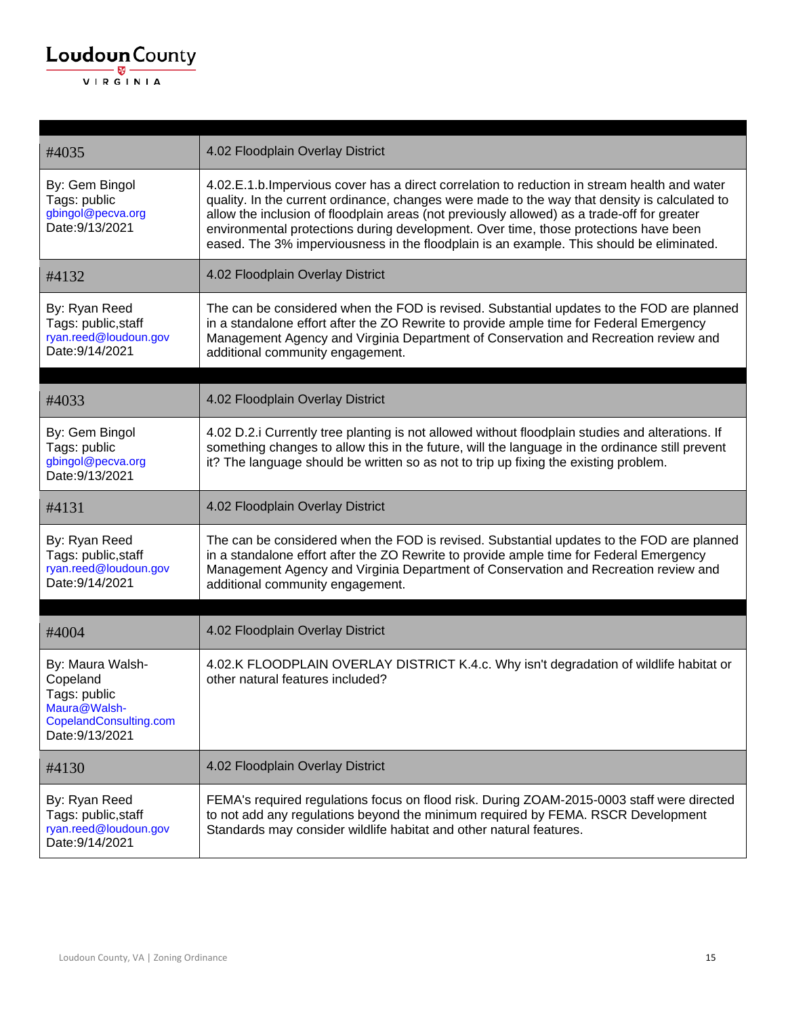

| #4035                                                                                                     | 4.02 Floodplain Overlay District                                                                                                                                                                                                                                                                                                                                                                                                                                                  |
|-----------------------------------------------------------------------------------------------------------|-----------------------------------------------------------------------------------------------------------------------------------------------------------------------------------------------------------------------------------------------------------------------------------------------------------------------------------------------------------------------------------------------------------------------------------------------------------------------------------|
| By: Gem Bingol<br>Tags: public<br>gbingol@pecva.org<br>Date: 9/13/2021                                    | 4.02.E.1.b. Impervious cover has a direct correlation to reduction in stream health and water<br>quality. In the current ordinance, changes were made to the way that density is calculated to<br>allow the inclusion of floodplain areas (not previously allowed) as a trade-off for greater<br>environmental protections during development. Over time, those protections have been<br>eased. The 3% imperviousness in the floodplain is an example. This should be eliminated. |
| #4132                                                                                                     | 4.02 Floodplain Overlay District                                                                                                                                                                                                                                                                                                                                                                                                                                                  |
| By: Ryan Reed<br>Tags: public, staff<br>ryan.reed@loudoun.gov<br>Date: 9/14/2021                          | The can be considered when the FOD is revised. Substantial updates to the FOD are planned<br>in a standalone effort after the ZO Rewrite to provide ample time for Federal Emergency<br>Management Agency and Virginia Department of Conservation and Recreation review and<br>additional community engagement.                                                                                                                                                                   |
|                                                                                                           |                                                                                                                                                                                                                                                                                                                                                                                                                                                                                   |
| #4033                                                                                                     | 4.02 Floodplain Overlay District                                                                                                                                                                                                                                                                                                                                                                                                                                                  |
| By: Gem Bingol<br>Tags: public<br>gbingol@pecva.org<br>Date: 9/13/2021                                    | 4.02 D.2.i Currently tree planting is not allowed without floodplain studies and alterations. If<br>something changes to allow this in the future, will the language in the ordinance still prevent<br>it? The language should be written so as not to trip up fixing the existing problem.                                                                                                                                                                                       |
| #4131                                                                                                     | 4.02 Floodplain Overlay District                                                                                                                                                                                                                                                                                                                                                                                                                                                  |
| By: Ryan Reed<br>Tags: public, staff<br>ryan.reed@loudoun.gov<br>Date: 9/14/2021                          | The can be considered when the FOD is revised. Substantial updates to the FOD are planned<br>in a standalone effort after the ZO Rewrite to provide ample time for Federal Emergency<br>Management Agency and Virginia Department of Conservation and Recreation review and<br>additional community engagement.                                                                                                                                                                   |
| #4004                                                                                                     | 4.02 Floodplain Overlay District                                                                                                                                                                                                                                                                                                                                                                                                                                                  |
| By: Maura Walsh-<br>Copeland<br>Tags: public<br>Maura@Waish-<br>CopelandConsulting.com<br>Date: 9/13/2021 | 4.02.K FLOODPLAIN OVERLAY DISTRICT K.4.c. Why isn't degradation of wildlife habitat or<br>other natural features included?                                                                                                                                                                                                                                                                                                                                                        |
| #4130                                                                                                     | 4.02 Floodplain Overlay District                                                                                                                                                                                                                                                                                                                                                                                                                                                  |
| By: Ryan Reed<br>Tags: public, staff<br>ryan.reed@loudoun.gov<br>Date: 9/14/2021                          | FEMA's required regulations focus on flood risk. During ZOAM-2015-0003 staff were directed<br>to not add any regulations beyond the minimum required by FEMA. RSCR Development<br>Standards may consider wildlife habitat and other natural features.                                                                                                                                                                                                                             |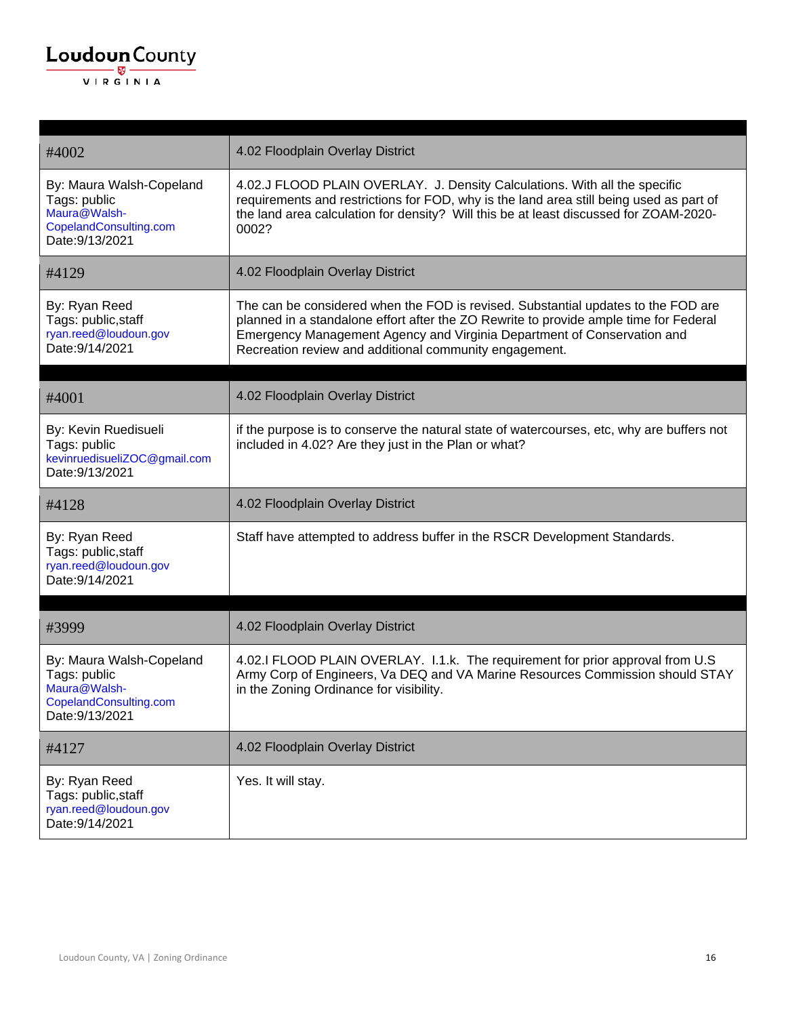| #4002                                                                                                 | 4.02 Floodplain Overlay District                                                                                                                                                                                                                                                                                |
|-------------------------------------------------------------------------------------------------------|-----------------------------------------------------------------------------------------------------------------------------------------------------------------------------------------------------------------------------------------------------------------------------------------------------------------|
| By: Maura Walsh-Copeland<br>Tags: public<br>Maura@Walsh-<br>CopelandConsulting.com<br>Date: 9/13/2021 | 4.02.J FLOOD PLAIN OVERLAY. J. Density Calculations. With all the specific<br>requirements and restrictions for FOD, why is the land area still being used as part of<br>the land area calculation for density? Will this be at least discussed for ZOAM-2020-<br>0002?                                         |
| #4129                                                                                                 | 4.02 Floodplain Overlay District                                                                                                                                                                                                                                                                                |
| By: Ryan Reed<br>Tags: public, staff<br>ryan.reed@loudoun.gov<br>Date: 9/14/2021                      | The can be considered when the FOD is revised. Substantial updates to the FOD are<br>planned in a standalone effort after the ZO Rewrite to provide ample time for Federal<br>Emergency Management Agency and Virginia Department of Conservation and<br>Recreation review and additional community engagement. |
| #4001                                                                                                 | 4.02 Floodplain Overlay District                                                                                                                                                                                                                                                                                |
| By: Kevin Ruedisueli<br>Tags: public<br>kevinruedisueliZOC@gmail.com<br>Date: 9/13/2021               | if the purpose is to conserve the natural state of watercourses, etc, why are buffers not<br>included in 4.02? Are they just in the Plan or what?                                                                                                                                                               |
| #4128                                                                                                 | 4.02 Floodplain Overlay District                                                                                                                                                                                                                                                                                |
| By: Ryan Reed<br>Tags: public, staff<br>ryan.reed@loudoun.gov<br>Date: 9/14/2021                      | Staff have attempted to address buffer in the RSCR Development Standards.                                                                                                                                                                                                                                       |
|                                                                                                       |                                                                                                                                                                                                                                                                                                                 |
| #3999                                                                                                 | 4.02 Floodplain Overlay District                                                                                                                                                                                                                                                                                |
| By: Maura Walsh-Copeland<br>Tags: public<br>Maura@Walsh-<br>CopelandConsulting.com<br>Date: 9/13/2021 | 4.02.I FLOOD PLAIN OVERLAY. I.1.k. The requirement for prior approval from U.S.<br>Army Corp of Engineers, Va DEQ and VA Marine Resources Commission should STAY<br>in the Zoning Ordinance for visibility.                                                                                                     |
| #4127                                                                                                 | 4.02 Floodplain Overlay District                                                                                                                                                                                                                                                                                |
| By: Ryan Reed<br>Tags: public, staff<br>ryan.reed@loudoun.gov<br>Date: 9/14/2021                      | Yes. It will stay.                                                                                                                                                                                                                                                                                              |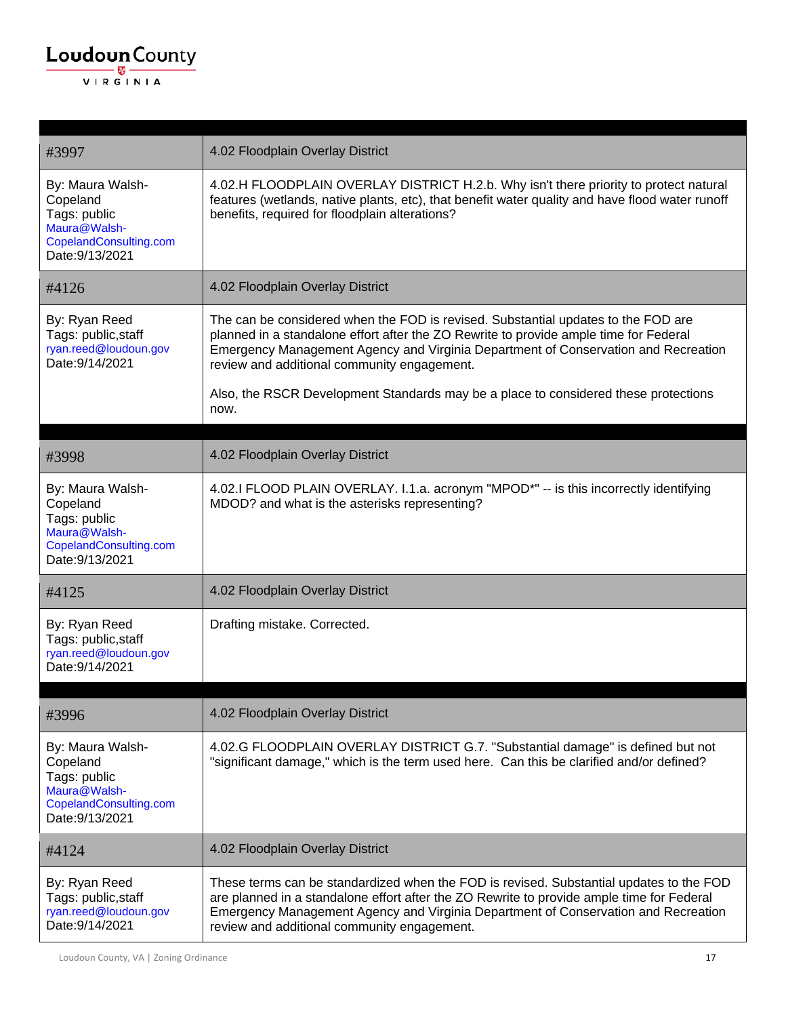

| #3997                                                                                                     | 4.02 Floodplain Overlay District                                                                                                                                                                                                                                                                                          |
|-----------------------------------------------------------------------------------------------------------|---------------------------------------------------------------------------------------------------------------------------------------------------------------------------------------------------------------------------------------------------------------------------------------------------------------------------|
| By: Maura Walsh-<br>Copeland<br>Tags: public<br>Maura@Walsh-<br>CopelandConsulting.com<br>Date: 9/13/2021 | 4.02.H FLOODPLAIN OVERLAY DISTRICT H.2.b. Why isn't there priority to protect natural<br>features (wetlands, native plants, etc), that benefit water quality and have flood water runoff<br>benefits, required for floodplain alterations?                                                                                |
| #4126                                                                                                     | 4.02 Floodplain Overlay District                                                                                                                                                                                                                                                                                          |
| By: Ryan Reed<br>Tags: public, staff<br>ryan.reed@loudoun.gov<br>Date: 9/14/2021                          | The can be considered when the FOD is revised. Substantial updates to the FOD are<br>planned in a standalone effort after the ZO Rewrite to provide ample time for Federal<br>Emergency Management Agency and Virginia Department of Conservation and Recreation<br>review and additional community engagement.           |
|                                                                                                           | Also, the RSCR Development Standards may be a place to considered these protections<br>now.                                                                                                                                                                                                                               |
| #3998                                                                                                     | 4.02 Floodplain Overlay District                                                                                                                                                                                                                                                                                          |
| By: Maura Walsh-<br>Copeland<br>Tags: public<br>Maura@Walsh-<br>CopelandConsulting.com<br>Date: 9/13/2021 | 4.02.I FLOOD PLAIN OVERLAY. I.1.a. acronym "MPOD*" -- is this incorrectly identifying<br>MDOD? and what is the asterisks representing?                                                                                                                                                                                    |
| #4125                                                                                                     | 4.02 Floodplain Overlay District                                                                                                                                                                                                                                                                                          |
| By: Ryan Reed<br>Tags: public, staff<br>ryan.reed@loudoun.gov<br>Date: 9/14/2021                          | Drafting mistake. Corrected.                                                                                                                                                                                                                                                                                              |
| #3996                                                                                                     | 4.02 Floodplain Overlay District                                                                                                                                                                                                                                                                                          |
|                                                                                                           |                                                                                                                                                                                                                                                                                                                           |
| By: Maura Walsh-<br>Copeland<br>Tags: public<br>Maura@Walsh-<br>CopelandConsulting.com<br>Date: 9/13/2021 | 4.02.G FLOODPLAIN OVERLAY DISTRICT G.7. "Substantial damage" is defined but not<br>"significant damage," which is the term used here. Can this be clarified and/or defined?                                                                                                                                               |
| #4124                                                                                                     | 4.02 Floodplain Overlay District                                                                                                                                                                                                                                                                                          |
| By: Ryan Reed<br>Tags: public, staff<br>ryan.reed@loudoun.gov<br>Date: 9/14/2021                          | These terms can be standardized when the FOD is revised. Substantial updates to the FOD<br>are planned in a standalone effort after the ZO Rewrite to provide ample time for Federal<br>Emergency Management Agency and Virginia Department of Conservation and Recreation<br>review and additional community engagement. |

Loudoun County, VA | Zoning Ordinance 17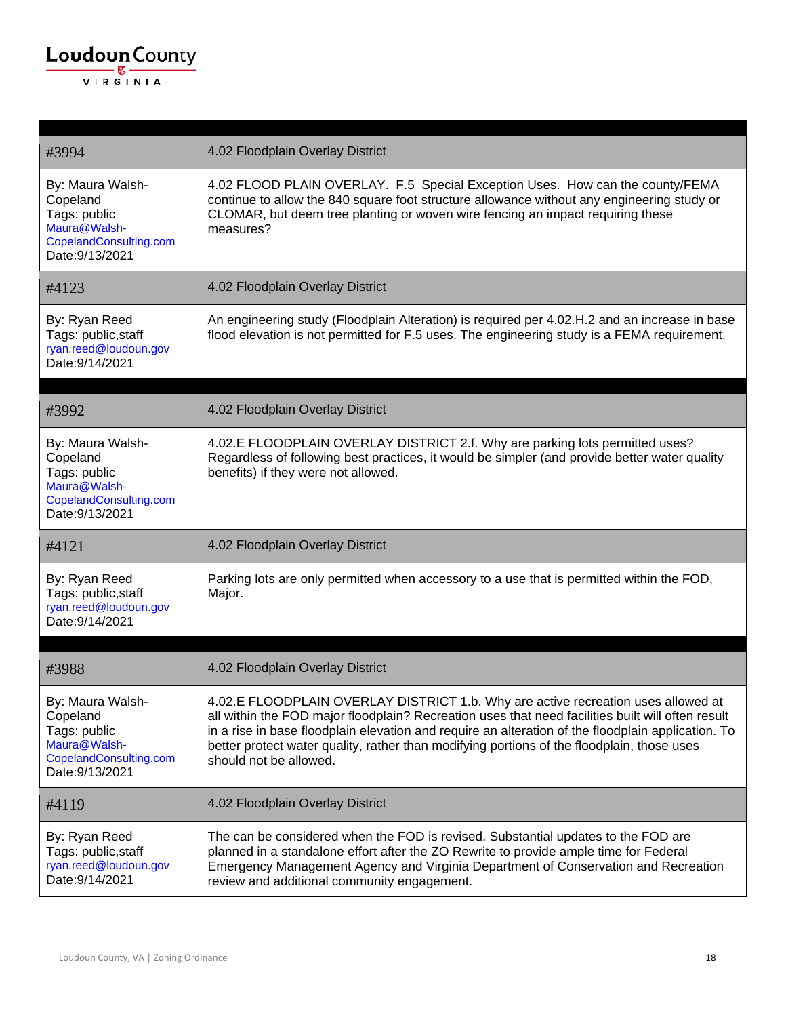

| #3994                                                                                                     | 4.02 Floodplain Overlay District                                                                                                                                                                                                                                                                                                                                                                                     |
|-----------------------------------------------------------------------------------------------------------|----------------------------------------------------------------------------------------------------------------------------------------------------------------------------------------------------------------------------------------------------------------------------------------------------------------------------------------------------------------------------------------------------------------------|
| By: Maura Walsh-<br>Copeland<br>Tags: public<br>Maura@Walsh-<br>CopelandConsulting.com<br>Date: 9/13/2021 | 4.02 FLOOD PLAIN OVERLAY. F.5 Special Exception Uses. How can the county/FEMA<br>continue to allow the 840 square foot structure allowance without any engineering study or<br>CLOMAR, but deem tree planting or woven wire fencing an impact requiring these<br>measures?                                                                                                                                           |
| #4123                                                                                                     | 4.02 Floodplain Overlay District                                                                                                                                                                                                                                                                                                                                                                                     |
| By: Ryan Reed<br>Tags: public, staff<br>ryan.reed@loudoun.gov<br>Date: 9/14/2021                          | An engineering study (Floodplain Alteration) is required per 4.02.H.2 and an increase in base<br>flood elevation is not permitted for F.5 uses. The engineering study is a FEMA requirement.                                                                                                                                                                                                                         |
| #3992                                                                                                     | 4.02 Floodplain Overlay District                                                                                                                                                                                                                                                                                                                                                                                     |
| By: Maura Walsh-<br>Copeland<br>Tags: public<br>Maura@Walsh-<br>CopelandConsulting.com<br>Date: 9/13/2021 | 4.02.E FLOODPLAIN OVERLAY DISTRICT 2.f. Why are parking lots permitted uses?<br>Regardless of following best practices, it would be simpler (and provide better water quality<br>benefits) if they were not allowed.                                                                                                                                                                                                 |
| #4121                                                                                                     | 4.02 Floodplain Overlay District                                                                                                                                                                                                                                                                                                                                                                                     |
| By: Ryan Reed<br>Tags: public, staff<br>ryan.reed@loudoun.gov<br>Date: 9/14/2021                          | Parking lots are only permitted when accessory to a use that is permitted within the FOD,<br>Major.                                                                                                                                                                                                                                                                                                                  |
|                                                                                                           |                                                                                                                                                                                                                                                                                                                                                                                                                      |
| #3988                                                                                                     | 4.02 Floodplain Overlay District                                                                                                                                                                                                                                                                                                                                                                                     |
| By: Maura Walsh-<br>Copeland<br>Tags: public<br>Maura@Walsh-<br>CopelandConsulting.com<br>Date: 9/13/2021 | 4.02.E FLOODPLAIN OVERLAY DISTRICT 1.b. Why are active recreation uses allowed at<br>all within the FOD major floodplain? Recreation uses that need facilities built will often result<br>in a rise in base floodplain elevation and require an alteration of the floodplain application. To<br>better protect water quality, rather than modifying portions of the floodplain, those uses<br>should not be allowed. |
| #4119                                                                                                     | 4.02 Floodplain Overlay District                                                                                                                                                                                                                                                                                                                                                                                     |
| By: Ryan Reed<br>Tags: public, staff<br>ryan.reed@loudoun.gov<br>Date: 9/14/2021                          | The can be considered when the FOD is revised. Substantial updates to the FOD are<br>planned in a standalone effort after the ZO Rewrite to provide ample time for Federal<br>Emergency Management Agency and Virginia Department of Conservation and Recreation<br>review and additional community engagement.                                                                                                      |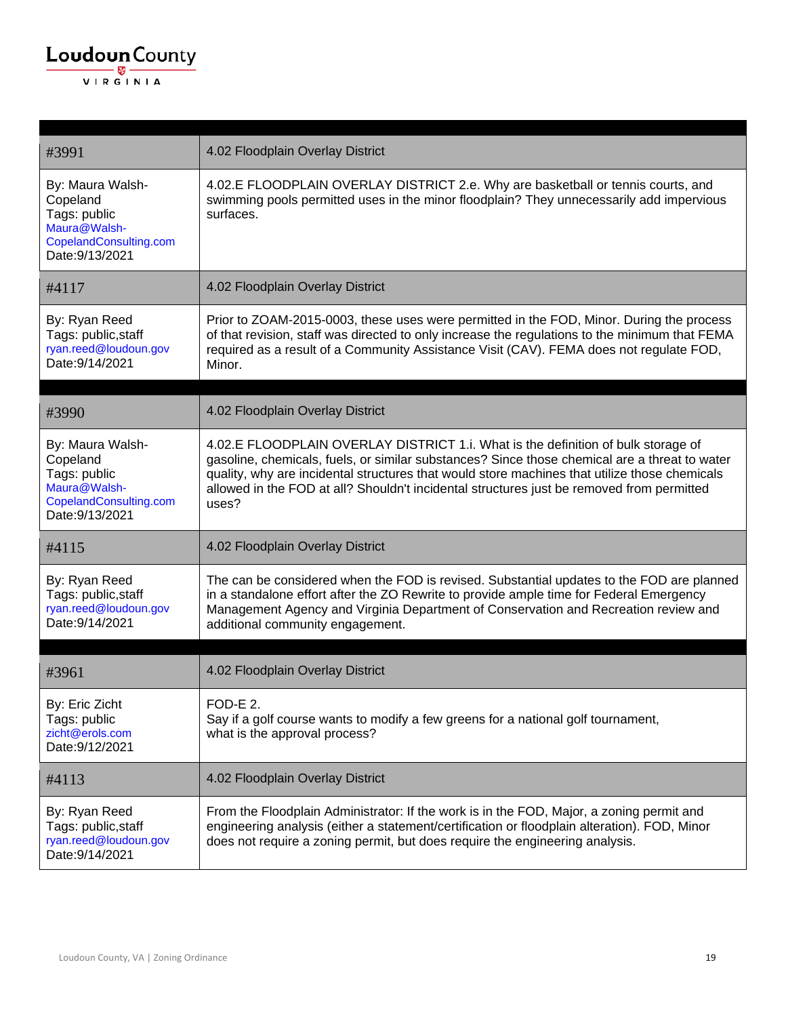| #3991                                                                                                     | 4.02 Floodplain Overlay District                                                                                                                                                                                                                                                                                                                                                          |
|-----------------------------------------------------------------------------------------------------------|-------------------------------------------------------------------------------------------------------------------------------------------------------------------------------------------------------------------------------------------------------------------------------------------------------------------------------------------------------------------------------------------|
| By: Maura Walsh-<br>Copeland<br>Tags: public<br>Maura@Walsh-<br>CopelandConsulting.com<br>Date: 9/13/2021 | 4.02.E FLOODPLAIN OVERLAY DISTRICT 2.e. Why are basketball or tennis courts, and<br>swimming pools permitted uses in the minor floodplain? They unnecessarily add impervious<br>surfaces.                                                                                                                                                                                                 |
| #4117                                                                                                     | 4.02 Floodplain Overlay District                                                                                                                                                                                                                                                                                                                                                          |
| By: Ryan Reed<br>Tags: public, staff<br>ryan.reed@loudoun.gov<br>Date: 9/14/2021                          | Prior to ZOAM-2015-0003, these uses were permitted in the FOD, Minor. During the process<br>of that revision, staff was directed to only increase the regulations to the minimum that FEMA<br>required as a result of a Community Assistance Visit (CAV). FEMA does not regulate FOD,<br>Minor.                                                                                           |
| #3990                                                                                                     | 4.02 Floodplain Overlay District                                                                                                                                                                                                                                                                                                                                                          |
| By: Maura Walsh-<br>Copeland<br>Tags: public<br>Maura@Walsh-<br>CopelandConsulting.com<br>Date: 9/13/2021 | 4.02.E FLOODPLAIN OVERLAY DISTRICT 1.i. What is the definition of bulk storage of<br>gasoline, chemicals, fuels, or similar substances? Since those chemical are a threat to water<br>quality, why are incidental structures that would store machines that utilize those chemicals<br>allowed in the FOD at all? Shouldn't incidental structures just be removed from permitted<br>uses? |
| #4115                                                                                                     | 4.02 Floodplain Overlay District                                                                                                                                                                                                                                                                                                                                                          |
| By: Ryan Reed<br>Tags: public, staff<br>ryan.reed@loudoun.gov<br>Date: 9/14/2021                          | The can be considered when the FOD is revised. Substantial updates to the FOD are planned<br>in a standalone effort after the ZO Rewrite to provide ample time for Federal Emergency<br>Management Agency and Virginia Department of Conservation and Recreation review and<br>additional community engagement.                                                                           |
| #3961                                                                                                     | 4.02 Floodplain Overlay District                                                                                                                                                                                                                                                                                                                                                          |
| By: Eric Zicht<br>Tags: public<br>zicht@erols.com<br>Date: 9/12/2021                                      | $FOD-F$ 2<br>Say if a golf course wants to modify a few greens for a national golf tournament,<br>what is the approval process?                                                                                                                                                                                                                                                           |
| #4113                                                                                                     | 4.02 Floodplain Overlay District                                                                                                                                                                                                                                                                                                                                                          |
| By: Ryan Reed<br>Tags: public, staff<br>ryan.reed@loudoun.gov<br>Date: 9/14/2021                          | From the Floodplain Administrator: If the work is in the FOD, Major, a zoning permit and<br>engineering analysis (either a statement/certification or floodplain alteration). FOD, Minor<br>does not require a zoning permit, but does require the engineering analysis.                                                                                                                  |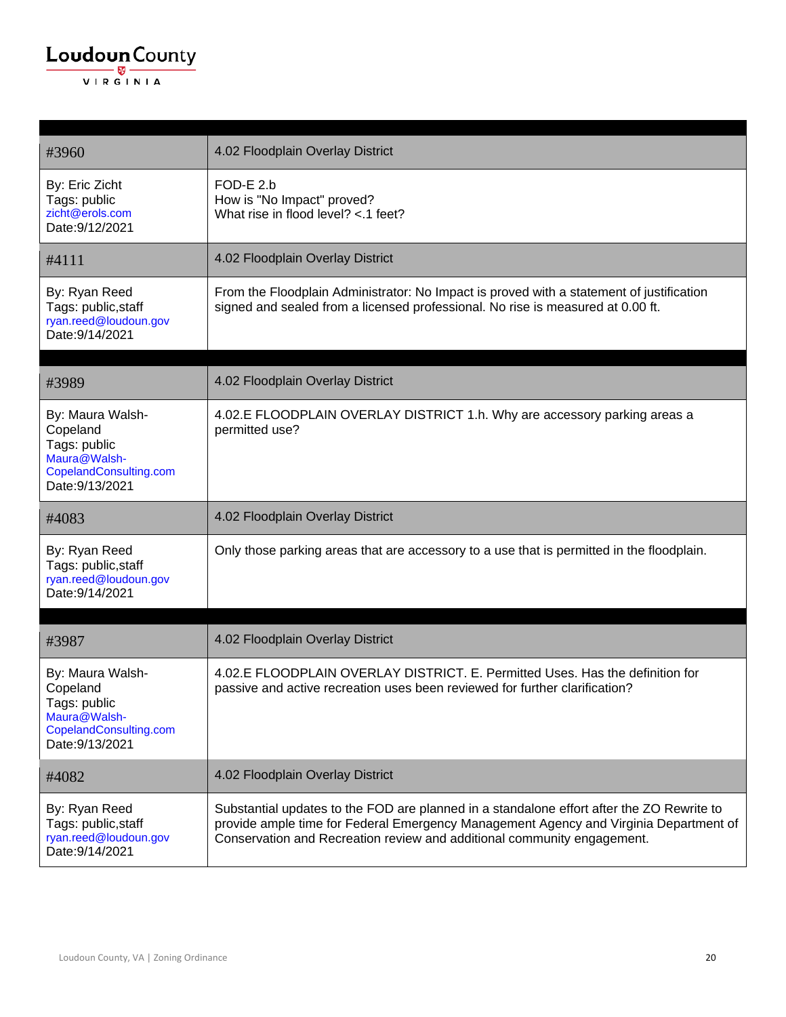

| #3960                                                                                                     | 4.02 Floodplain Overlay District                                                                                                                                            |
|-----------------------------------------------------------------------------------------------------------|-----------------------------------------------------------------------------------------------------------------------------------------------------------------------------|
| By: Eric Zicht<br>Tags: public<br>zicht@erols.com<br>Date: 9/12/2021                                      | FOD-E 2.b<br>How is "No Impact" proved?<br>What rise in flood level? <.1 feet?                                                                                              |
| #4111                                                                                                     | 4.02 Floodplain Overlay District                                                                                                                                            |
| By: Ryan Reed<br>Tags: public, staff<br>ryan.reed@loudoun.gov<br>Date: 9/14/2021                          | From the Floodplain Administrator: No Impact is proved with a statement of justification<br>signed and sealed from a licensed professional. No rise is measured at 0.00 ft. |
| #3989                                                                                                     | 4.02 Floodplain Overlay District                                                                                                                                            |
| By: Maura Walsh-<br>Copeland<br>Tags: public<br>Maura@Walsh-<br>CopelandConsulting.com<br>Date: 9/13/2021 | 4.02.E FLOODPLAIN OVERLAY DISTRICT 1.h. Why are accessory parking areas a<br>permitted use?                                                                                 |
|                                                                                                           |                                                                                                                                                                             |
| #4083                                                                                                     | 4.02 Floodplain Overlay District                                                                                                                                            |
| By: Ryan Reed<br>Tags: public, staff<br>ryan.reed@loudoun.gov<br>Date: 9/14/2021                          | Only those parking areas that are accessory to a use that is permitted in the floodplain.                                                                                   |
| #3987                                                                                                     | 4.02 Floodplain Overlay District                                                                                                                                            |
| By: Maura Walsh-<br>Copeland<br>Tags: public<br>Maura@Walsh-<br>CopelandConsulting.com<br>Date: 9/13/2021 | 4.02.E FLOODPLAIN OVERLAY DISTRICT. E. Permitted Uses. Has the definition for<br>passive and active recreation uses been reviewed for further clarification?                |
| #4082                                                                                                     | 4.02 Floodplain Overlay District                                                                                                                                            |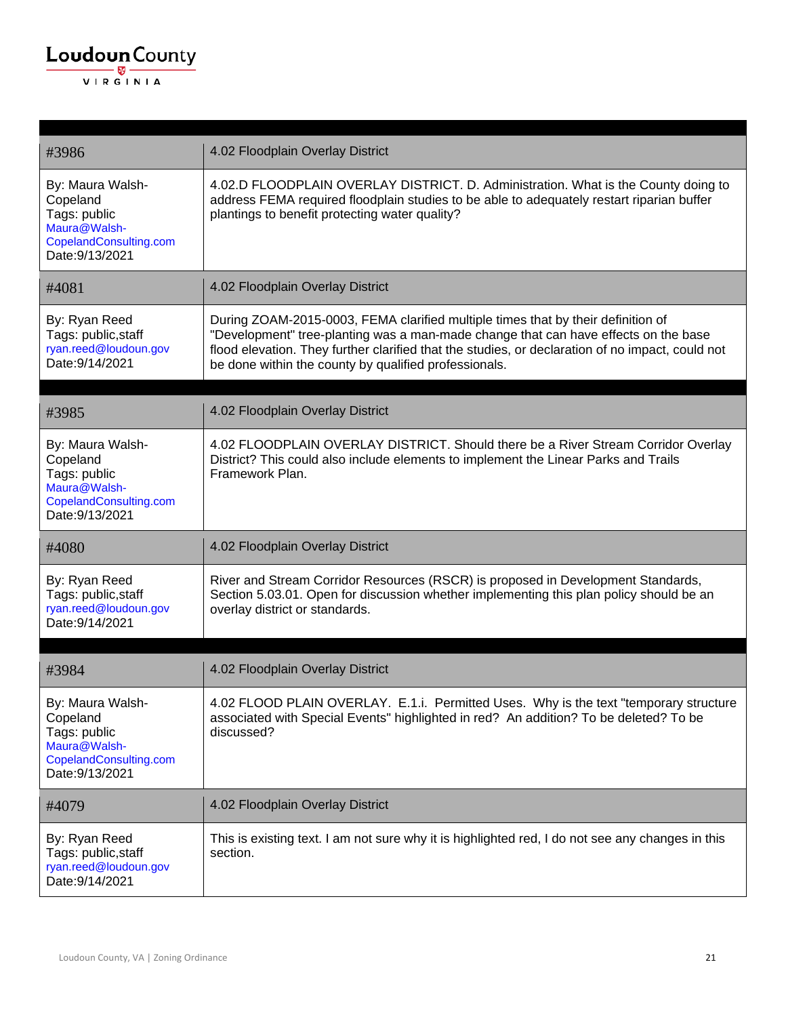| #3986                                                                                                     | 4.02 Floodplain Overlay District                                                                                                                                                                                                                                                                                                     |
|-----------------------------------------------------------------------------------------------------------|--------------------------------------------------------------------------------------------------------------------------------------------------------------------------------------------------------------------------------------------------------------------------------------------------------------------------------------|
| By: Maura Walsh-<br>Copeland<br>Tags: public<br>Maura@Walsh-<br>CopelandConsulting.com<br>Date: 9/13/2021 | 4.02.D FLOODPLAIN OVERLAY DISTRICT. D. Administration. What is the County doing to<br>address FEMA required floodplain studies to be able to adequately restart riparian buffer<br>plantings to benefit protecting water quality?                                                                                                    |
| #4081                                                                                                     | 4.02 Floodplain Overlay District                                                                                                                                                                                                                                                                                                     |
| By: Ryan Reed<br>Tags: public, staff<br>ryan.reed@loudoun.gov<br>Date: 9/14/2021                          | During ZOAM-2015-0003, FEMA clarified multiple times that by their definition of<br>"Development" tree-planting was a man-made change that can have effects on the base<br>flood elevation. They further clarified that the studies, or declaration of no impact, could not<br>be done within the county by qualified professionals. |
|                                                                                                           |                                                                                                                                                                                                                                                                                                                                      |
| #3985                                                                                                     | 4.02 Floodplain Overlay District                                                                                                                                                                                                                                                                                                     |
| By: Maura Walsh-<br>Copeland<br>Tags: public<br>Maura@Walsh-<br>CopelandConsulting.com<br>Date: 9/13/2021 | 4.02 FLOODPLAIN OVERLAY DISTRICT. Should there be a River Stream Corridor Overlay<br>District? This could also include elements to implement the Linear Parks and Trails<br>Framework Plan.                                                                                                                                          |
| #4080                                                                                                     | 4.02 Floodplain Overlay District                                                                                                                                                                                                                                                                                                     |
| By: Ryan Reed<br>Tags: public, staff<br>ryan.reed@loudoun.gov<br>Date: 9/14/2021                          | River and Stream Corridor Resources (RSCR) is proposed in Development Standards,<br>Section 5.03.01. Open for discussion whether implementing this plan policy should be an<br>overlay district or standards.                                                                                                                        |
|                                                                                                           |                                                                                                                                                                                                                                                                                                                                      |
| #3984                                                                                                     | 4.02 Floodplain Overlay District                                                                                                                                                                                                                                                                                                     |
| By: Maura Walsh-<br>Copeland<br>Tags: public<br>Maura@Walsh-<br>CopelandConsulting.com<br>Date: 9/13/2021 | 4.02 FLOOD PLAIN OVERLAY. E.1.i. Permitted Uses. Why is the text "temporary structure<br>associated with Special Events" highlighted in red? An addition? To be deleted? To be<br>discussed?                                                                                                                                         |
| #4079                                                                                                     | 4.02 Floodplain Overlay District                                                                                                                                                                                                                                                                                                     |
| By: Ryan Reed<br>Tags: public, staff<br>ryan.reed@loudoun.gov<br>Date: 9/14/2021                          | This is existing text. I am not sure why it is highlighted red, I do not see any changes in this<br>section.                                                                                                                                                                                                                         |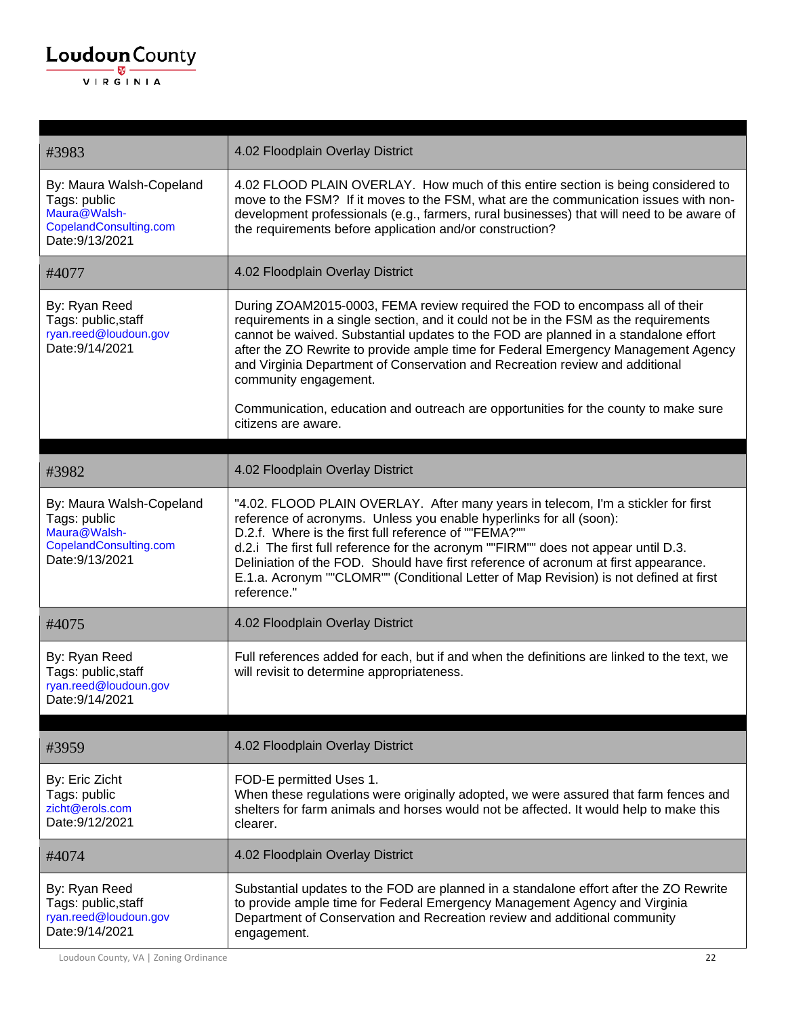| #3983                                                                                                 | 4.02 Floodplain Overlay District                                                                                                                                                                                                                                                                                                                                                                                                                                                                                                                                         |
|-------------------------------------------------------------------------------------------------------|--------------------------------------------------------------------------------------------------------------------------------------------------------------------------------------------------------------------------------------------------------------------------------------------------------------------------------------------------------------------------------------------------------------------------------------------------------------------------------------------------------------------------------------------------------------------------|
| By: Maura Walsh-Copeland<br>Tags: public<br>Maura@Walsh-<br>CopelandConsulting.com<br>Date: 9/13/2021 | 4.02 FLOOD PLAIN OVERLAY. How much of this entire section is being considered to<br>move to the FSM? If it moves to the FSM, what are the communication issues with non-<br>development professionals (e.g., farmers, rural businesses) that will need to be aware of<br>the requirements before application and/or construction?                                                                                                                                                                                                                                        |
| #4077                                                                                                 | 4.02 Floodplain Overlay District                                                                                                                                                                                                                                                                                                                                                                                                                                                                                                                                         |
| By: Ryan Reed<br>Tags: public, staff<br>ryan.reed@loudoun.gov<br>Date: 9/14/2021                      | During ZOAM2015-0003, FEMA review required the FOD to encompass all of their<br>requirements in a single section, and it could not be in the FSM as the requirements<br>cannot be waived. Substantial updates to the FOD are planned in a standalone effort<br>after the ZO Rewrite to provide ample time for Federal Emergency Management Agency<br>and Virginia Department of Conservation and Recreation review and additional<br>community engagement.<br>Communication, education and outreach are opportunities for the county to make sure<br>citizens are aware. |
|                                                                                                       |                                                                                                                                                                                                                                                                                                                                                                                                                                                                                                                                                                          |
| #3982                                                                                                 | 4.02 Floodplain Overlay District                                                                                                                                                                                                                                                                                                                                                                                                                                                                                                                                         |
| By: Maura Walsh-Copeland<br>Tags: public<br>Maura@Walsh-<br>CopelandConsulting.com<br>Date: 9/13/2021 | "4.02. FLOOD PLAIN OVERLAY. After many years in telecom, I'm a stickler for first<br>reference of acronyms. Unless you enable hyperlinks for all (soon):<br>D.2.f. Where is the first full reference of ""FEMA?""<br>d.2.i The first full reference for the acronym ""FIRM"" does not appear until D.3.<br>Deliniation of the FOD. Should have first reference of acronum at first appearance.<br>E.1.a. Acronym ""CLOMR"" (Conditional Letter of Map Revision) is not defined at first<br>reference."                                                                   |
| #4075                                                                                                 | 4.02 Floodplain Overlay District                                                                                                                                                                                                                                                                                                                                                                                                                                                                                                                                         |
| By: Ryan Reed<br>Tags: public, staff<br>ryan.reed@loudoun.gov<br>Date: 9/14/2021                      | Full references added for each, but if and when the definitions are linked to the text, we<br>will revisit to determine appropriateness.                                                                                                                                                                                                                                                                                                                                                                                                                                 |
| #3959                                                                                                 | 4.02 Floodplain Overlay District                                                                                                                                                                                                                                                                                                                                                                                                                                                                                                                                         |
| By: Eric Zicht<br>Tags: public<br>zicht@erols.com<br>Date: 9/12/2021                                  | FOD-E permitted Uses 1.<br>When these regulations were originally adopted, we were assured that farm fences and<br>shelters for farm animals and horses would not be affected. It would help to make this<br>clearer.                                                                                                                                                                                                                                                                                                                                                    |
| #4074                                                                                                 | 4.02 Floodplain Overlay District                                                                                                                                                                                                                                                                                                                                                                                                                                                                                                                                         |
| By: Ryan Reed<br>Tags: public, staff<br>ryan.reed@loudoun.gov<br>Date: 9/14/2021                      | Substantial updates to the FOD are planned in a standalone effort after the ZO Rewrite<br>to provide ample time for Federal Emergency Management Agency and Virginia<br>Department of Conservation and Recreation review and additional community<br>engagement.                                                                                                                                                                                                                                                                                                         |

Loudoun County, VA | Zoning Ordinance 22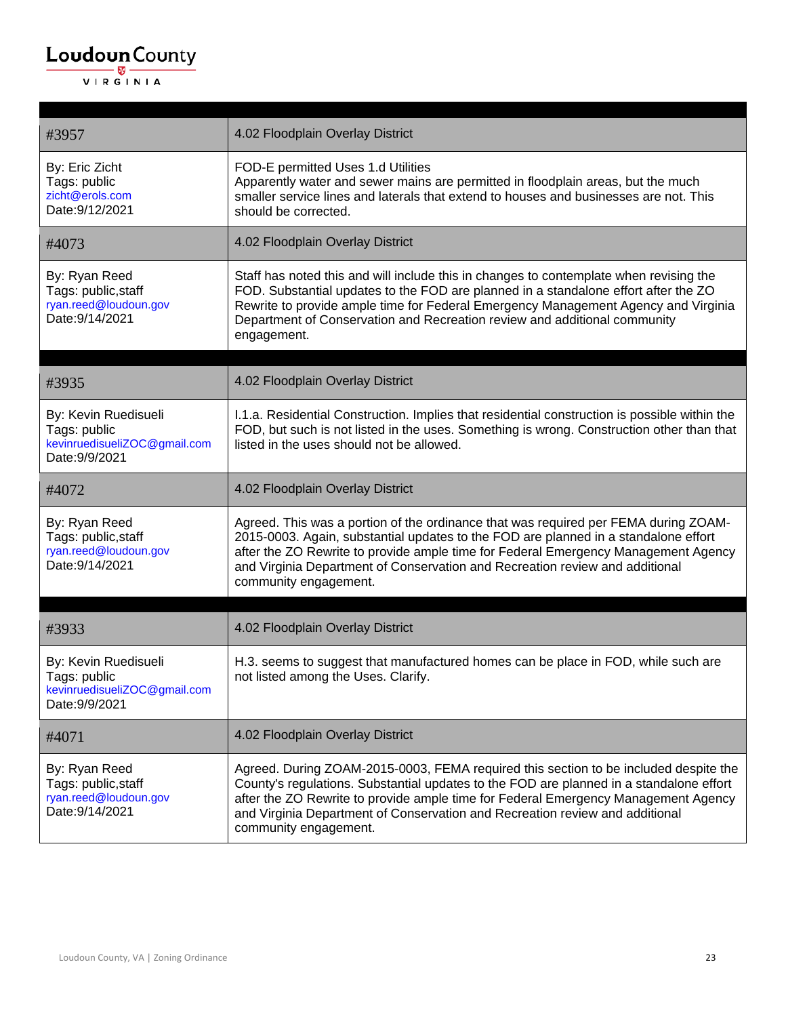| #3957                                                                                  | 4.02 Floodplain Overlay District                                                                                                                                                                                                                                                                                                                                               |
|----------------------------------------------------------------------------------------|--------------------------------------------------------------------------------------------------------------------------------------------------------------------------------------------------------------------------------------------------------------------------------------------------------------------------------------------------------------------------------|
| By: Eric Zicht<br>Tags: public<br>zicht@erols.com<br>Date: 9/12/2021                   | FOD-E permitted Uses 1.d Utilities<br>Apparently water and sewer mains are permitted in floodplain areas, but the much<br>smaller service lines and laterals that extend to houses and businesses are not. This<br>should be corrected.                                                                                                                                        |
| #4073                                                                                  | 4.02 Floodplain Overlay District                                                                                                                                                                                                                                                                                                                                               |
| By: Ryan Reed<br>Tags: public, staff<br>ryan.reed@loudoun.gov<br>Date: 9/14/2021       | Staff has noted this and will include this in changes to contemplate when revising the<br>FOD. Substantial updates to the FOD are planned in a standalone effort after the ZO<br>Rewrite to provide ample time for Federal Emergency Management Agency and Virginia<br>Department of Conservation and Recreation review and additional community<br>engagement.                |
|                                                                                        |                                                                                                                                                                                                                                                                                                                                                                                |
| #3935                                                                                  | 4.02 Floodplain Overlay District                                                                                                                                                                                                                                                                                                                                               |
| By: Kevin Ruedisueli<br>Tags: public<br>kevinruedisueliZOC@gmail.com<br>Date: 9/9/2021 | I.1.a. Residential Construction. Implies that residential construction is possible within the<br>FOD, but such is not listed in the uses. Something is wrong. Construction other than that<br>listed in the uses should not be allowed.                                                                                                                                        |
| #4072                                                                                  | 4.02 Floodplain Overlay District                                                                                                                                                                                                                                                                                                                                               |
| By: Ryan Reed<br>Tags: public, staff<br>ryan.reed@loudoun.gov<br>Date: 9/14/2021       | Agreed. This was a portion of the ordinance that was required per FEMA during ZOAM-<br>2015-0003. Again, substantial updates to the FOD are planned in a standalone effort<br>after the ZO Rewrite to provide ample time for Federal Emergency Management Agency<br>and Virginia Department of Conservation and Recreation review and additional<br>community engagement.      |
| #3933                                                                                  | 4.02 Floodplain Overlay District                                                                                                                                                                                                                                                                                                                                               |
| By: Kevin Ruedisueli<br>Tags: public<br>kevinruedisueliZOC@gmail.com<br>Date: 9/9/2021 | H.3. seems to suggest that manufactured homes can be place in FOD, while such are<br>not listed among the Uses. Clarify.                                                                                                                                                                                                                                                       |
| #4071                                                                                  | 4.02 Floodplain Overlay District                                                                                                                                                                                                                                                                                                                                               |
| By: Ryan Reed<br>Tags: public, staff<br>ryan.reed@loudoun.gov<br>Date: 9/14/2021       | Agreed. During ZOAM-2015-0003, FEMA required this section to be included despite the<br>County's regulations. Substantial updates to the FOD are planned in a standalone effort<br>after the ZO Rewrite to provide ample time for Federal Emergency Management Agency<br>and Virginia Department of Conservation and Recreation review and additional<br>community engagement. |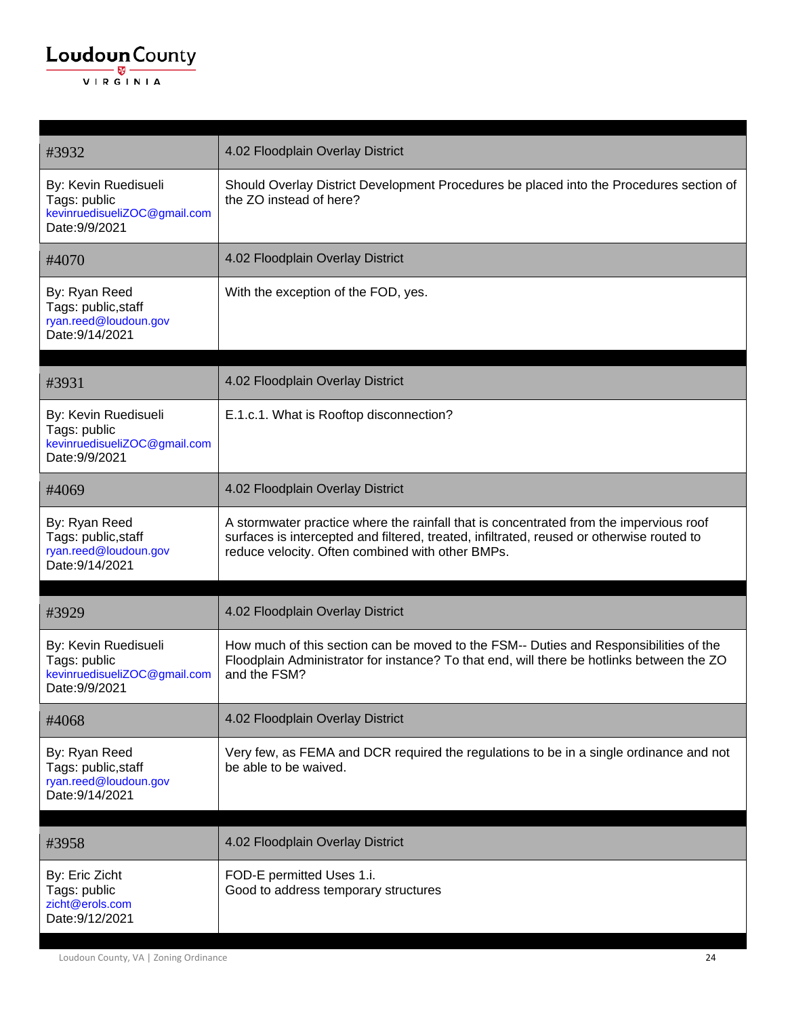#### $\underbrace{\textbf{Loudoun}\xspace}_{\text{VIR GINIA}}$

| #3932                                                                                  | 4.02 Floodplain Overlay District                                                                                                                                                                                                        |
|----------------------------------------------------------------------------------------|-----------------------------------------------------------------------------------------------------------------------------------------------------------------------------------------------------------------------------------------|
| By: Kevin Ruedisueli<br>Tags: public<br>kevinruedisueliZOC@gmail.com<br>Date: 9/9/2021 | Should Overlay District Development Procedures be placed into the Procedures section of<br>the ZO instead of here?                                                                                                                      |
| #4070                                                                                  | 4.02 Floodplain Overlay District                                                                                                                                                                                                        |
| By: Ryan Reed<br>Tags: public, staff<br>ryan.reed@loudoun.gov<br>Date: 9/14/2021       | With the exception of the FOD, yes.                                                                                                                                                                                                     |
| #3931                                                                                  | 4.02 Floodplain Overlay District                                                                                                                                                                                                        |
| By: Kevin Ruedisueli<br>Tags: public<br>kevinruedisueliZOC@gmail.com<br>Date: 9/9/2021 | E.1.c.1. What is Rooftop disconnection?                                                                                                                                                                                                 |
| #4069                                                                                  | 4.02 Floodplain Overlay District                                                                                                                                                                                                        |
| By: Ryan Reed<br>Tags: public, staff<br>ryan.reed@loudoun.gov<br>Date: 9/14/2021       | A stormwater practice where the rainfall that is concentrated from the impervious roof<br>surfaces is intercepted and filtered, treated, infiltrated, reused or otherwise routed to<br>reduce velocity. Often combined with other BMPs. |
| #3929                                                                                  | 4.02 Floodplain Overlay District                                                                                                                                                                                                        |
| By: Kevin Ruedisueli<br>Tags: public<br>kevinruedisueliZOC@gmail.com<br>Date: 9/9/2021 | How much of this section can be moved to the FSM-- Duties and Responsibilities of the<br>Floodplain Administrator for instance? To that end, will there be hotlinks between the ZO<br>and the FSM?                                      |
| #4068                                                                                  | 4.02 Floodplain Overlay District                                                                                                                                                                                                        |
| By: Ryan Reed<br>Tags: public, staff<br>ryan.reed@loudoun.gov<br>Date: 9/14/2021       | Very few, as FEMA and DCR required the regulations to be in a single ordinance and not<br>be able to be waived.                                                                                                                         |
|                                                                                        |                                                                                                                                                                                                                                         |
| #3958                                                                                  | 4.02 Floodplain Overlay District                                                                                                                                                                                                        |
| By: Eric Zicht<br>Tags: public<br>zicht@erols.com<br>Date: 9/12/2021                   | FOD-E permitted Uses 1.i.<br>Good to address temporary structures                                                                                                                                                                       |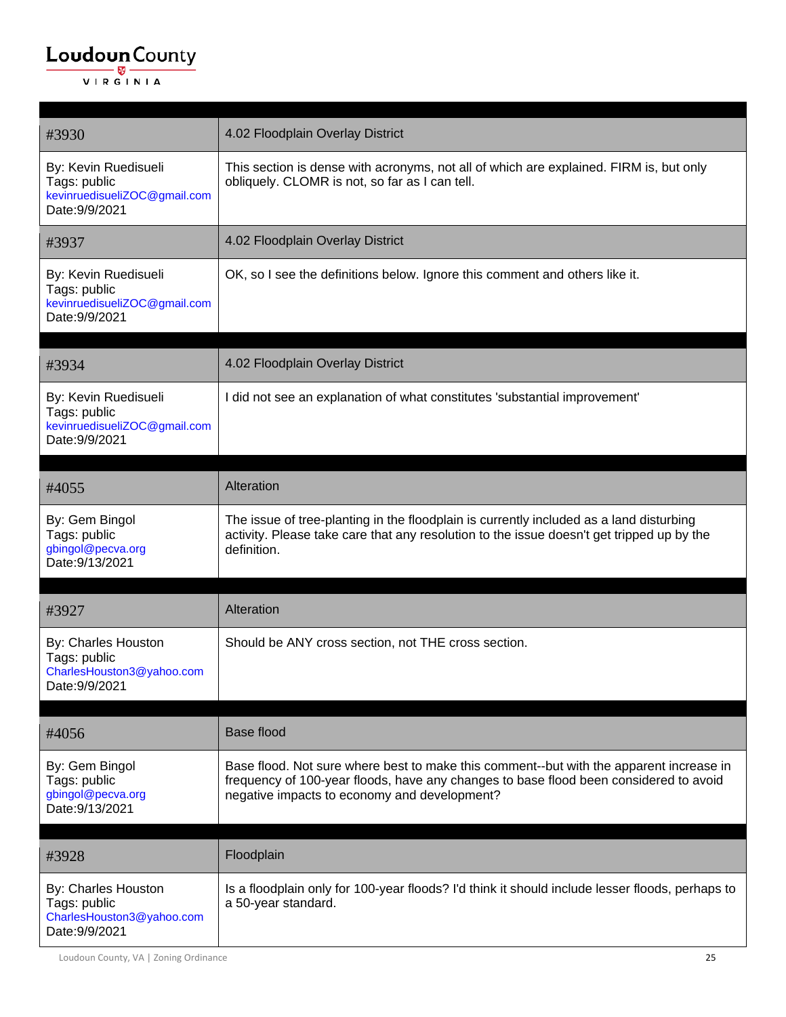| #3930                                                                                  | 4.02 Floodplain Overlay District                                                                                                                                                                                                 |
|----------------------------------------------------------------------------------------|----------------------------------------------------------------------------------------------------------------------------------------------------------------------------------------------------------------------------------|
| By: Kevin Ruedisueli<br>Tags: public<br>kevinruedisueliZOC@gmail.com<br>Date: 9/9/2021 | This section is dense with acronyms, not all of which are explained. FIRM is, but only<br>obliquely. CLOMR is not, so far as I can tell.                                                                                         |
| #3937                                                                                  | 4.02 Floodplain Overlay District                                                                                                                                                                                                 |
| By: Kevin Ruedisueli<br>Tags: public<br>kevinruedisueliZOC@gmail.com<br>Date: 9/9/2021 | OK, so I see the definitions below. Ignore this comment and others like it.                                                                                                                                                      |
| #3934                                                                                  | 4.02 Floodplain Overlay District                                                                                                                                                                                                 |
| By: Kevin Ruedisueli<br>Tags: public<br>kevinruedisueliZOC@gmail.com<br>Date: 9/9/2021 | I did not see an explanation of what constitutes 'substantial improvement'                                                                                                                                                       |
| #4055                                                                                  | Alteration                                                                                                                                                                                                                       |
| By: Gem Bingol<br>Tags: public<br>gbingol@pecva.org<br>Date: 9/13/2021                 | The issue of tree-planting in the floodplain is currently included as a land disturbing<br>activity. Please take care that any resolution to the issue doesn't get tripped up by the<br>definition.                              |
| #3927                                                                                  | Alteration                                                                                                                                                                                                                       |
| By: Charles Houston<br>Tags: public<br>CharlesHouston3@yahoo.com<br>Date: 9/9/2021     | Should be ANY cross section, not THE cross section.                                                                                                                                                                              |
| #4056                                                                                  | <b>Base flood</b>                                                                                                                                                                                                                |
| By: Gem Bingol<br>Tags: public<br>gbingol@pecva.org<br>Date: 9/13/2021                 | Base flood. Not sure where best to make this comment--but with the apparent increase in<br>frequency of 100-year floods, have any changes to base flood been considered to avoid<br>negative impacts to economy and development? |
|                                                                                        |                                                                                                                                                                                                                                  |
| #3928                                                                                  | Floodplain                                                                                                                                                                                                                       |
| By: Charles Houston<br>Tags: public<br>CharlesHouston3@yahoo.com<br>Date: 9/9/2021     | Is a floodplain only for 100-year floods? I'd think it should include lesser floods, perhaps to<br>a 50-year standard.                                                                                                           |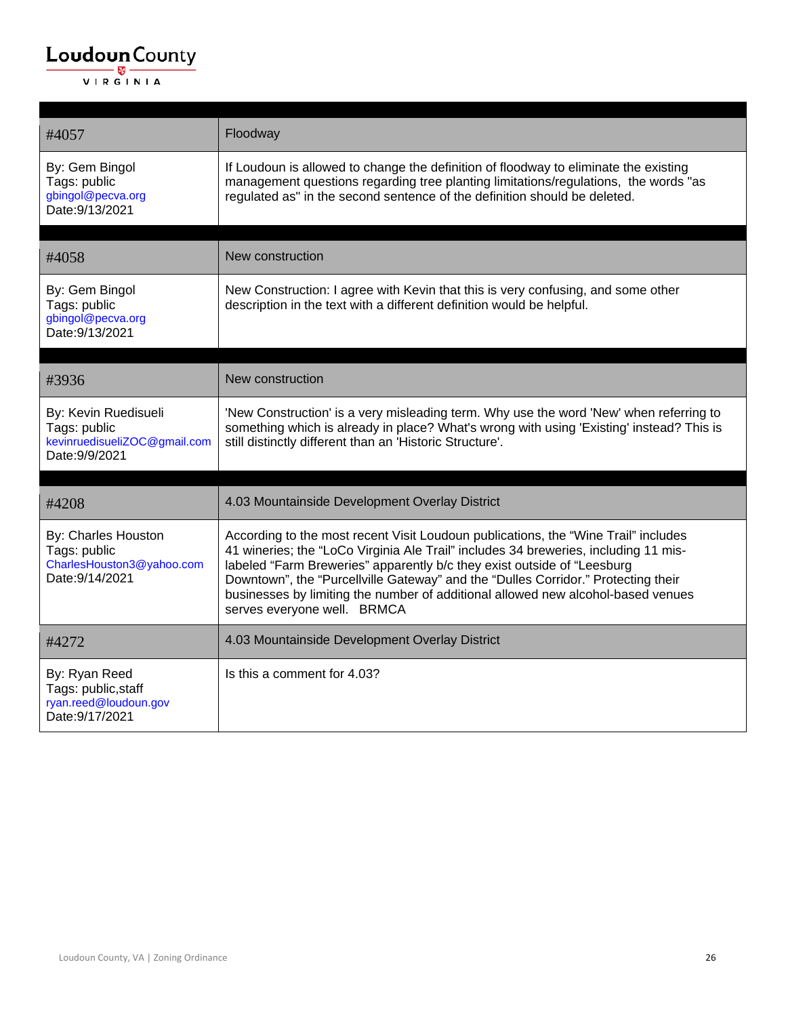| #4057                                                                                  | Floodway                                                                                                                                                                                                                                                                                                                                                                                                                                                     |
|----------------------------------------------------------------------------------------|--------------------------------------------------------------------------------------------------------------------------------------------------------------------------------------------------------------------------------------------------------------------------------------------------------------------------------------------------------------------------------------------------------------------------------------------------------------|
| By: Gem Bingol<br>Tags: public<br>gbingol@pecva.org<br>Date: 9/13/2021                 | If Loudoun is allowed to change the definition of floodway to eliminate the existing<br>management questions regarding tree planting limitations/regulations, the words "as<br>regulated as" in the second sentence of the definition should be deleted.                                                                                                                                                                                                     |
| #4058                                                                                  | New construction                                                                                                                                                                                                                                                                                                                                                                                                                                             |
| By: Gem Bingol<br>Tags: public<br>gbingol@pecva.org<br>Date: 9/13/2021                 | New Construction: I agree with Kevin that this is very confusing, and some other<br>description in the text with a different definition would be helpful.                                                                                                                                                                                                                                                                                                    |
| #3936                                                                                  | New construction                                                                                                                                                                                                                                                                                                                                                                                                                                             |
|                                                                                        |                                                                                                                                                                                                                                                                                                                                                                                                                                                              |
| By: Kevin Ruedisueli<br>Tags: public<br>kevinruedisueliZOC@gmail.com<br>Date: 9/9/2021 | 'New Construction' is a very misleading term. Why use the word 'New' when referring to<br>something which is already in place? What's wrong with using 'Existing' instead? This is<br>still distinctly different than an 'Historic Structure'.                                                                                                                                                                                                               |
| #4208                                                                                  | 4.03 Mountainside Development Overlay District                                                                                                                                                                                                                                                                                                                                                                                                               |
| By: Charles Houston<br>Tags: public<br>CharlesHouston3@yahoo.com<br>Date: 9/14/2021    | According to the most recent Visit Loudoun publications, the "Wine Trail" includes<br>41 wineries; the "LoCo Virginia Ale Trail" includes 34 breweries, including 11 mis-<br>labeled "Farm Breweries" apparently b/c they exist outside of "Leesburg<br>Downtown", the "Purcellville Gateway" and the "Dulles Corridor." Protecting their<br>businesses by limiting the number of additional allowed new alcohol-based venues<br>serves everyone well. BRMCA |
| #4272                                                                                  | 4.03 Mountainside Development Overlay District                                                                                                                                                                                                                                                                                                                                                                                                               |
| By: Ryan Reed<br>Tags: public, staff<br>ryan.reed@loudoun.gov<br>Date: 9/17/2021       | Is this a comment for 4.03?                                                                                                                                                                                                                                                                                                                                                                                                                                  |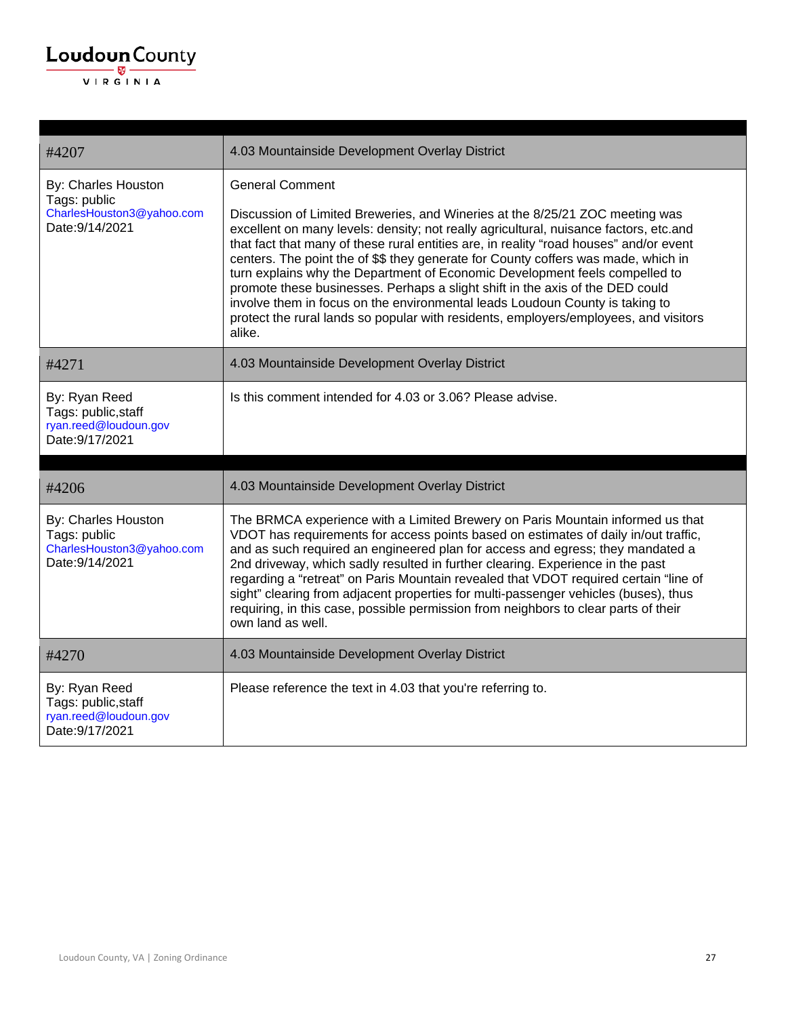

| #4207                                                                               | 4.03 Mountainside Development Overlay District                                                                                                                                                                                                                                                                                                                                                                                                                                                                                                                                                                                                                                                                                    |
|-------------------------------------------------------------------------------------|-----------------------------------------------------------------------------------------------------------------------------------------------------------------------------------------------------------------------------------------------------------------------------------------------------------------------------------------------------------------------------------------------------------------------------------------------------------------------------------------------------------------------------------------------------------------------------------------------------------------------------------------------------------------------------------------------------------------------------------|
| By: Charles Houston<br>Tags: public<br>CharlesHouston3@yahoo.com<br>Date: 9/14/2021 | <b>General Comment</b><br>Discussion of Limited Breweries, and Wineries at the 8/25/21 ZOC meeting was<br>excellent on many levels: density; not really agricultural, nuisance factors, etc.and<br>that fact that many of these rural entities are, in reality "road houses" and/or event<br>centers. The point the of \$\$ they generate for County coffers was made, which in<br>turn explains why the Department of Economic Development feels compelled to<br>promote these businesses. Perhaps a slight shift in the axis of the DED could<br>involve them in focus on the environmental leads Loudoun County is taking to<br>protect the rural lands so popular with residents, employers/employees, and visitors<br>alike. |
| #4271                                                                               | 4.03 Mountainside Development Overlay District                                                                                                                                                                                                                                                                                                                                                                                                                                                                                                                                                                                                                                                                                    |
| By: Ryan Reed<br>Tags: public, staff<br>ryan.reed@loudoun.gov<br>Date: 9/17/2021    | Is this comment intended for 4.03 or 3.06? Please advise.                                                                                                                                                                                                                                                                                                                                                                                                                                                                                                                                                                                                                                                                         |
| #4206                                                                               | 4.03 Mountainside Development Overlay District                                                                                                                                                                                                                                                                                                                                                                                                                                                                                                                                                                                                                                                                                    |
| By: Charles Houston<br>Tags: public<br>CharlesHouston3@yahoo.com<br>Date: 9/14/2021 | The BRMCA experience with a Limited Brewery on Paris Mountain informed us that<br>VDOT has requirements for access points based on estimates of daily in/out traffic,<br>and as such required an engineered plan for access and egress; they mandated a<br>2nd driveway, which sadly resulted in further clearing. Experience in the past<br>regarding a "retreat" on Paris Mountain revealed that VDOT required certain "line of<br>sight" clearing from adjacent properties for multi-passenger vehicles (buses), thus<br>requiring, in this case, possible permission from neighbors to clear parts of their<br>own land as well.                                                                                              |
| #4270                                                                               | 4.03 Mountainside Development Overlay District                                                                                                                                                                                                                                                                                                                                                                                                                                                                                                                                                                                                                                                                                    |
| By: Ryan Reed<br>Tags: public, staff<br>ryan.reed@loudoun.gov<br>Date: 9/17/2021    | Please reference the text in 4.03 that you're referring to.                                                                                                                                                                                                                                                                                                                                                                                                                                                                                                                                                                                                                                                                       |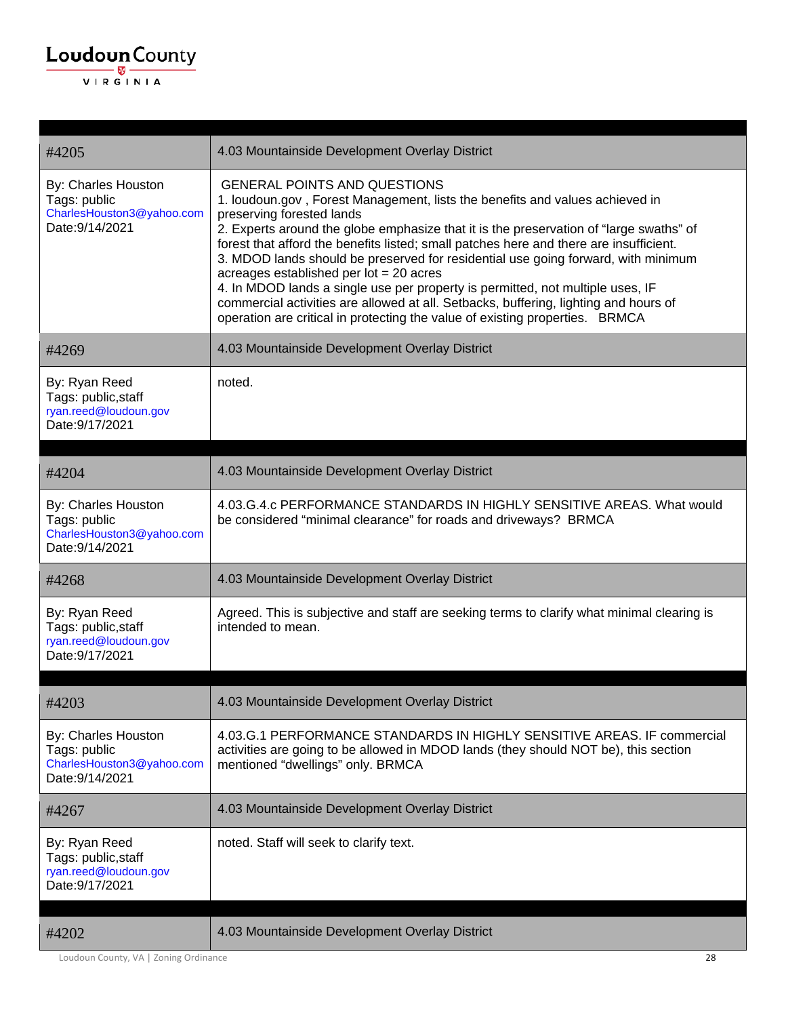| #4205                                                                               | 4.03 Mountainside Development Overlay District                                                                                                                                                                                                                                                                                                                                                                                                                                                                                                                                                                                                                                                                                   |
|-------------------------------------------------------------------------------------|----------------------------------------------------------------------------------------------------------------------------------------------------------------------------------------------------------------------------------------------------------------------------------------------------------------------------------------------------------------------------------------------------------------------------------------------------------------------------------------------------------------------------------------------------------------------------------------------------------------------------------------------------------------------------------------------------------------------------------|
| By: Charles Houston<br>Tags: public<br>CharlesHouston3@yahoo.com<br>Date: 9/14/2021 | <b>GENERAL POINTS AND QUESTIONS</b><br>1. loudoun.gov, Forest Management, lists the benefits and values achieved in<br>preserving forested lands<br>2. Experts around the globe emphasize that it is the preservation of "large swaths" of<br>forest that afford the benefits listed; small patches here and there are insufficient.<br>3. MDOD lands should be preserved for residential use going forward, with minimum<br>acreages established per $lot = 20$ acres<br>4. In MDOD lands a single use per property is permitted, not multiple uses, IF<br>commercial activities are allowed at all. Setbacks, buffering, lighting and hours of<br>operation are critical in protecting the value of existing properties. BRMCA |
| #4269                                                                               | 4.03 Mountainside Development Overlay District                                                                                                                                                                                                                                                                                                                                                                                                                                                                                                                                                                                                                                                                                   |
| By: Ryan Reed<br>Tags: public, staff<br>ryan.reed@loudoun.gov<br>Date: 9/17/2021    | noted.                                                                                                                                                                                                                                                                                                                                                                                                                                                                                                                                                                                                                                                                                                                           |
| #4204                                                                               | 4.03 Mountainside Development Overlay District                                                                                                                                                                                                                                                                                                                                                                                                                                                                                                                                                                                                                                                                                   |
| By: Charles Houston<br>Tags: public<br>CharlesHouston3@yahoo.com<br>Date: 9/14/2021 | 4.03.G.4.c PERFORMANCE STANDARDS IN HIGHLY SENSITIVE AREAS. What would<br>be considered "minimal clearance" for roads and driveways? BRMCA                                                                                                                                                                                                                                                                                                                                                                                                                                                                                                                                                                                       |
| #4268                                                                               | 4.03 Mountainside Development Overlay District                                                                                                                                                                                                                                                                                                                                                                                                                                                                                                                                                                                                                                                                                   |
| By: Ryan Reed<br>Tags: public, staff<br>ryan.reed@loudoun.gov<br>Date: 9/17/2021    | Agreed. This is subjective and staff are seeking terms to clarify what minimal clearing is<br>intended to mean.                                                                                                                                                                                                                                                                                                                                                                                                                                                                                                                                                                                                                  |
| #4203                                                                               | 4.03 Mountainside Development Overlay District                                                                                                                                                                                                                                                                                                                                                                                                                                                                                                                                                                                                                                                                                   |
| By: Charles Houston<br>Tags: public<br>CharlesHouston3@yahoo.com<br>Date: 9/14/2021 | 4.03.G.1 PERFORMANCE STANDARDS IN HIGHLY SENSITIVE AREAS. IF commercial<br>activities are going to be allowed in MDOD lands (they should NOT be), this section<br>mentioned "dwellings" only. BRMCA                                                                                                                                                                                                                                                                                                                                                                                                                                                                                                                              |
| #4267                                                                               | 4.03 Mountainside Development Overlay District                                                                                                                                                                                                                                                                                                                                                                                                                                                                                                                                                                                                                                                                                   |
| By: Ryan Reed<br>Tags: public, staff<br>ryan.reed@loudoun.gov<br>Date: 9/17/2021    | noted. Staff will seek to clarify text.                                                                                                                                                                                                                                                                                                                                                                                                                                                                                                                                                                                                                                                                                          |
| #4202                                                                               | 4.03 Mountainside Development Overlay District                                                                                                                                                                                                                                                                                                                                                                                                                                                                                                                                                                                                                                                                                   |

Loudoun County, VA | Zoning Ordinance 28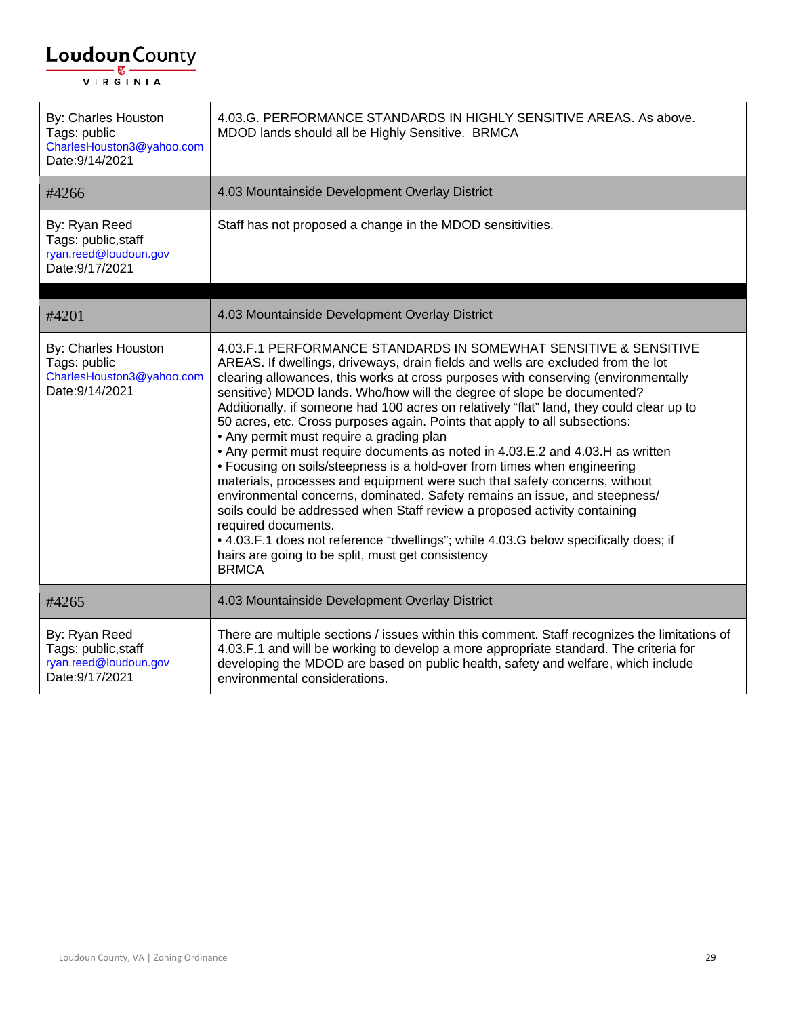| By: Charles Houston<br>Tags: public<br>CharlesHouston3@yahoo.com<br>Date: 9/14/2021 | 4.03.G. PERFORMANCE STANDARDS IN HIGHLY SENSITIVE AREAS. As above.<br>MDOD lands should all be Highly Sensitive. BRMCA                                                                                                                                                                                                                                                                                                                                                                                                                                                                                                                                                                                                                                                                                                                                                                                                                                                                                                                                                                                                               |
|-------------------------------------------------------------------------------------|--------------------------------------------------------------------------------------------------------------------------------------------------------------------------------------------------------------------------------------------------------------------------------------------------------------------------------------------------------------------------------------------------------------------------------------------------------------------------------------------------------------------------------------------------------------------------------------------------------------------------------------------------------------------------------------------------------------------------------------------------------------------------------------------------------------------------------------------------------------------------------------------------------------------------------------------------------------------------------------------------------------------------------------------------------------------------------------------------------------------------------------|
| #4266                                                                               | 4.03 Mountainside Development Overlay District                                                                                                                                                                                                                                                                                                                                                                                                                                                                                                                                                                                                                                                                                                                                                                                                                                                                                                                                                                                                                                                                                       |
| By: Ryan Reed<br>Tags: public, staff<br>ryan.reed@loudoun.gov<br>Date: 9/17/2021    | Staff has not proposed a change in the MDOD sensitivities.                                                                                                                                                                                                                                                                                                                                                                                                                                                                                                                                                                                                                                                                                                                                                                                                                                                                                                                                                                                                                                                                           |
| #4201                                                                               | 4.03 Mountainside Development Overlay District                                                                                                                                                                                                                                                                                                                                                                                                                                                                                                                                                                                                                                                                                                                                                                                                                                                                                                                                                                                                                                                                                       |
| By: Charles Houston<br>Tags: public<br>CharlesHouston3@yahoo.com<br>Date: 9/14/2021 | 4.03.F.1 PERFORMANCE STANDARDS IN SOMEWHAT SENSITIVE & SENSITIVE<br>AREAS. If dwellings, driveways, drain fields and wells are excluded from the lot<br>clearing allowances, this works at cross purposes with conserving (environmentally<br>sensitive) MDOD lands. Who/how will the degree of slope be documented?<br>Additionally, if someone had 100 acres on relatively "flat" land, they could clear up to<br>50 acres, etc. Cross purposes again. Points that apply to all subsections:<br>• Any permit must require a grading plan<br>• Any permit must require documents as noted in 4.03.E.2 and 4.03.H as written<br>• Focusing on soils/steepness is a hold-over from times when engineering<br>materials, processes and equipment were such that safety concerns, without<br>environmental concerns, dominated. Safety remains an issue, and steepness/<br>soils could be addressed when Staff review a proposed activity containing<br>required documents.<br>• 4.03.F.1 does not reference "dwellings"; while 4.03.G below specifically does; if<br>hairs are going to be split, must get consistency<br><b>BRMCA</b> |
| #4265                                                                               | 4.03 Mountainside Development Overlay District                                                                                                                                                                                                                                                                                                                                                                                                                                                                                                                                                                                                                                                                                                                                                                                                                                                                                                                                                                                                                                                                                       |
| By: Ryan Reed<br>Tags: public, staff<br>ryan.reed@loudoun.gov<br>Date: 9/17/2021    | There are multiple sections / issues within this comment. Staff recognizes the limitations of<br>4.03.F.1 and will be working to develop a more appropriate standard. The criteria for<br>developing the MDOD are based on public health, safety and welfare, which include<br>environmental considerations.                                                                                                                                                                                                                                                                                                                                                                                                                                                                                                                                                                                                                                                                                                                                                                                                                         |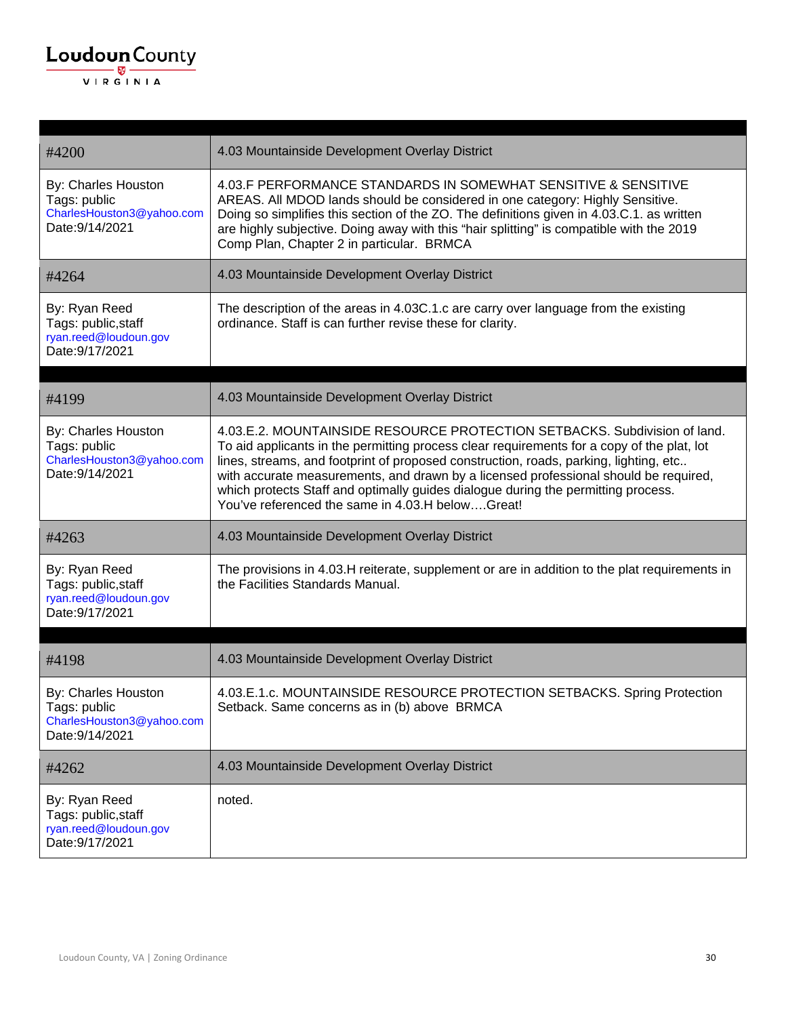| #4200                                                                               | 4.03 Mountainside Development Overlay District                                                                                                                                                                                                                                                                                                                                                                                                                                                    |
|-------------------------------------------------------------------------------------|---------------------------------------------------------------------------------------------------------------------------------------------------------------------------------------------------------------------------------------------------------------------------------------------------------------------------------------------------------------------------------------------------------------------------------------------------------------------------------------------------|
| By: Charles Houston<br>Tags: public<br>CharlesHouston3@yahoo.com<br>Date: 9/14/2021 | 4.03.F PERFORMANCE STANDARDS IN SOMEWHAT SENSITIVE & SENSITIVE<br>AREAS. All MDOD lands should be considered in one category: Highly Sensitive.<br>Doing so simplifies this section of the ZO. The definitions given in 4.03.C.1. as written<br>are highly subjective. Doing away with this "hair splitting" is compatible with the 2019<br>Comp Plan, Chapter 2 in particular. BRMCA                                                                                                             |
| #4264                                                                               | 4.03 Mountainside Development Overlay District                                                                                                                                                                                                                                                                                                                                                                                                                                                    |
| By: Ryan Reed<br>Tags: public, staff<br>ryan.reed@loudoun.gov<br>Date: 9/17/2021    | The description of the areas in 4.03C.1.c are carry over language from the existing<br>ordinance. Staff is can further revise these for clarity.                                                                                                                                                                                                                                                                                                                                                  |
|                                                                                     |                                                                                                                                                                                                                                                                                                                                                                                                                                                                                                   |
| #4199                                                                               | 4.03 Mountainside Development Overlay District                                                                                                                                                                                                                                                                                                                                                                                                                                                    |
| By: Charles Houston<br>Tags: public<br>CharlesHouston3@yahoo.com<br>Date: 9/14/2021 | 4.03.E.2. MOUNTAINSIDE RESOURCE PROTECTION SETBACKS. Subdivision of land.<br>To aid applicants in the permitting process clear requirements for a copy of the plat, lot<br>lines, streams, and footprint of proposed construction, roads, parking, lighting, etc<br>with accurate measurements, and drawn by a licensed professional should be required,<br>which protects Staff and optimally guides dialogue during the permitting process.<br>You've referenced the same in 4.03.H belowGreat! |
| #4263                                                                               | 4.03 Mountainside Development Overlay District                                                                                                                                                                                                                                                                                                                                                                                                                                                    |
| By: Ryan Reed<br>Tags: public, staff<br>ryan.reed@loudoun.gov<br>Date: 9/17/2021    | The provisions in 4.03.H reiterate, supplement or are in addition to the plat requirements in<br>the Facilities Standards Manual.                                                                                                                                                                                                                                                                                                                                                                 |
|                                                                                     |                                                                                                                                                                                                                                                                                                                                                                                                                                                                                                   |
| #4198                                                                               | 4.03 Mountainside Development Overlay District                                                                                                                                                                                                                                                                                                                                                                                                                                                    |
| By: Charles Houston<br>Tags: public<br>CharlesHouston3@yahoo.com<br>Date: 9/14/2021 | 4.03.E.1.c. MOUNTAINSIDE RESOURCE PROTECTION SETBACKS. Spring Protection<br>Setback. Same concerns as in (b) above BRMCA                                                                                                                                                                                                                                                                                                                                                                          |
| #4262                                                                               | 4.03 Mountainside Development Overlay District                                                                                                                                                                                                                                                                                                                                                                                                                                                    |
| By: Ryan Reed<br>Tags: public, staff<br>ryan.reed@loudoun.gov<br>Date: 9/17/2021    | noted.                                                                                                                                                                                                                                                                                                                                                                                                                                                                                            |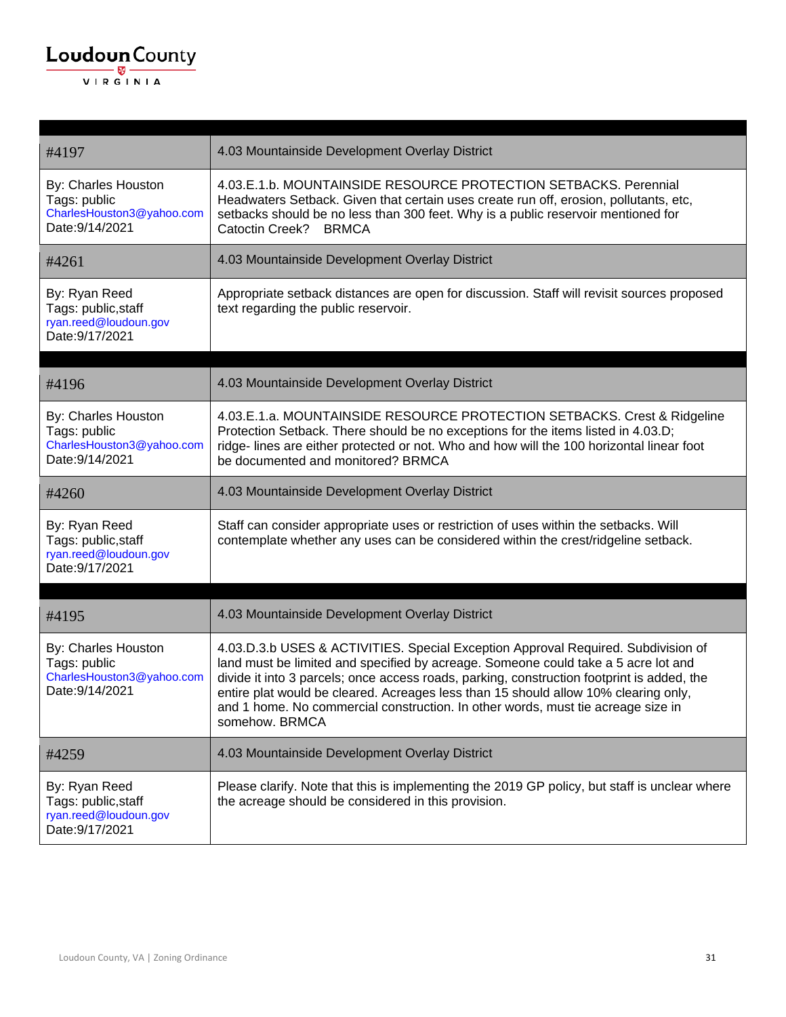| #4197                                                                               | 4.03 Mountainside Development Overlay District                                                                                                                                                                                                                                                                                                                                                                                                                     |
|-------------------------------------------------------------------------------------|--------------------------------------------------------------------------------------------------------------------------------------------------------------------------------------------------------------------------------------------------------------------------------------------------------------------------------------------------------------------------------------------------------------------------------------------------------------------|
| By: Charles Houston<br>Tags: public<br>CharlesHouston3@yahoo.com<br>Date: 9/14/2021 | 4.03.E.1.b. MOUNTAINSIDE RESOURCE PROTECTION SETBACKS. Perennial<br>Headwaters Setback. Given that certain uses create run off, erosion, pollutants, etc,<br>setbacks should be no less than 300 feet. Why is a public reservoir mentioned for<br>Catoctin Creek? BRMCA                                                                                                                                                                                            |
| #4261                                                                               | 4.03 Mountainside Development Overlay District                                                                                                                                                                                                                                                                                                                                                                                                                     |
| By: Ryan Reed<br>Tags: public, staff<br>ryan.reed@loudoun.gov<br>Date: 9/17/2021    | Appropriate setback distances are open for discussion. Staff will revisit sources proposed<br>text regarding the public reservoir.                                                                                                                                                                                                                                                                                                                                 |
| #4196                                                                               | 4.03 Mountainside Development Overlay District                                                                                                                                                                                                                                                                                                                                                                                                                     |
| By: Charles Houston<br>Tags: public<br>CharlesHouston3@yahoo.com<br>Date: 9/14/2021 | 4.03.E.1.a. MOUNTAINSIDE RESOURCE PROTECTION SETBACKS. Crest & Ridgeline<br>Protection Setback. There should be no exceptions for the items listed in 4.03.D;<br>ridge- lines are either protected or not. Who and how will the 100 horizontal linear foot<br>be documented and monitored? BRMCA                                                                                                                                                                   |
| #4260                                                                               | 4.03 Mountainside Development Overlay District                                                                                                                                                                                                                                                                                                                                                                                                                     |
| By: Ryan Reed<br>Tags: public, staff<br>ryan.reed@loudoun.gov<br>Date: 9/17/2021    | Staff can consider appropriate uses or restriction of uses within the setbacks. Will<br>contemplate whether any uses can be considered within the crest/ridgeline setback.                                                                                                                                                                                                                                                                                         |
| #4195                                                                               | 4.03 Mountainside Development Overlay District                                                                                                                                                                                                                                                                                                                                                                                                                     |
| By: Charles Houston<br>Tags: public<br>CharlesHouston3@yahoo.com<br>Date: 9/14/2021 | 4.03.D.3.b USES & ACTIVITIES. Special Exception Approval Required. Subdivision of<br>land must be limited and specified by acreage. Someone could take a 5 acre lot and<br>divide it into 3 parcels; once access roads, parking, construction footprint is added, the<br>entire plat would be cleared. Acreages less than 15 should allow 10% clearing only,<br>and 1 home. No commercial construction. In other words, must tie acreage size in<br>somehow. BRMCA |
| #4259                                                                               | 4.03 Mountainside Development Overlay District                                                                                                                                                                                                                                                                                                                                                                                                                     |
| By: Ryan Reed<br>Tags: public, staff<br>ryan.reed@loudoun.gov<br>Date: 9/17/2021    | Please clarify. Note that this is implementing the 2019 GP policy, but staff is unclear where<br>the acreage should be considered in this provision.                                                                                                                                                                                                                                                                                                               |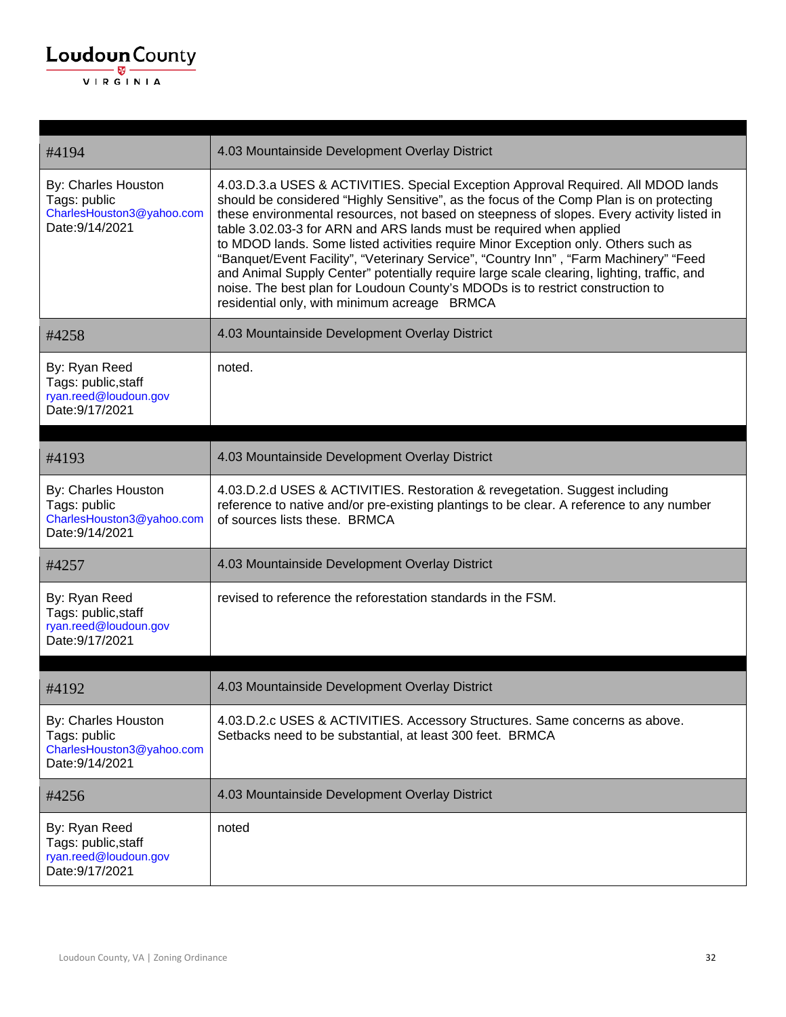| #4194                                                                               | 4.03 Mountainside Development Overlay District                                                                                                                                                                                                                                                                                                                                                                                                                                                                                                                                                                                                                                                                                                                  |
|-------------------------------------------------------------------------------------|-----------------------------------------------------------------------------------------------------------------------------------------------------------------------------------------------------------------------------------------------------------------------------------------------------------------------------------------------------------------------------------------------------------------------------------------------------------------------------------------------------------------------------------------------------------------------------------------------------------------------------------------------------------------------------------------------------------------------------------------------------------------|
| By: Charles Houston<br>Tags: public<br>CharlesHouston3@yahoo.com<br>Date: 9/14/2021 | 4.03.D.3.a USES & ACTIVITIES. Special Exception Approval Required. All MDOD lands<br>should be considered "Highly Sensitive", as the focus of the Comp Plan is on protecting<br>these environmental resources, not based on steepness of slopes. Every activity listed in<br>table 3.02.03-3 for ARN and ARS lands must be required when applied<br>to MDOD lands. Some listed activities require Minor Exception only. Others such as<br>"Banquet/Event Facility", "Veterinary Service", "Country Inn", "Farm Machinery" "Feed<br>and Animal Supply Center" potentially require large scale clearing, lighting, traffic, and<br>noise. The best plan for Loudoun County's MDODs is to restrict construction to<br>residential only, with minimum acreage BRMCA |
| #4258                                                                               | 4.03 Mountainside Development Overlay District                                                                                                                                                                                                                                                                                                                                                                                                                                                                                                                                                                                                                                                                                                                  |
| By: Ryan Reed<br>Tags: public, staff<br>ryan.reed@loudoun.gov<br>Date: 9/17/2021    | noted.                                                                                                                                                                                                                                                                                                                                                                                                                                                                                                                                                                                                                                                                                                                                                          |
|                                                                                     |                                                                                                                                                                                                                                                                                                                                                                                                                                                                                                                                                                                                                                                                                                                                                                 |
| #4193                                                                               | 4.03 Mountainside Development Overlay District                                                                                                                                                                                                                                                                                                                                                                                                                                                                                                                                                                                                                                                                                                                  |
| By: Charles Houston<br>Tags: public<br>CharlesHouston3@yahoo.com<br>Date: 9/14/2021 | 4.03.D.2.d USES & ACTIVITIES. Restoration & revegetation. Suggest including<br>reference to native and/or pre-existing plantings to be clear. A reference to any number<br>of sources lists these. BRMCA                                                                                                                                                                                                                                                                                                                                                                                                                                                                                                                                                        |
| #4257                                                                               | 4.03 Mountainside Development Overlay District                                                                                                                                                                                                                                                                                                                                                                                                                                                                                                                                                                                                                                                                                                                  |
| By: Ryan Reed<br>Tags: public, staff<br>ryan.reed@loudoun.gov<br>Date: 9/17/2021    | revised to reference the reforestation standards in the FSM.                                                                                                                                                                                                                                                                                                                                                                                                                                                                                                                                                                                                                                                                                                    |
| #4192                                                                               | 4.03 Mountainside Development Overlay District                                                                                                                                                                                                                                                                                                                                                                                                                                                                                                                                                                                                                                                                                                                  |
| By: Charles Houston<br>Tags: public<br>CharlesHouston3@yahoo.com<br>Date: 9/14/2021 | 4.03.D.2.c USES & ACTIVITIES. Accessory Structures. Same concerns as above.<br>Setbacks need to be substantial, at least 300 feet. BRMCA                                                                                                                                                                                                                                                                                                                                                                                                                                                                                                                                                                                                                        |
| #4256                                                                               | 4.03 Mountainside Development Overlay District                                                                                                                                                                                                                                                                                                                                                                                                                                                                                                                                                                                                                                                                                                                  |
| By: Ryan Reed<br>Tags: public, staff<br>ryan.reed@loudoun.gov<br>Date: 9/17/2021    | noted                                                                                                                                                                                                                                                                                                                                                                                                                                                                                                                                                                                                                                                                                                                                                           |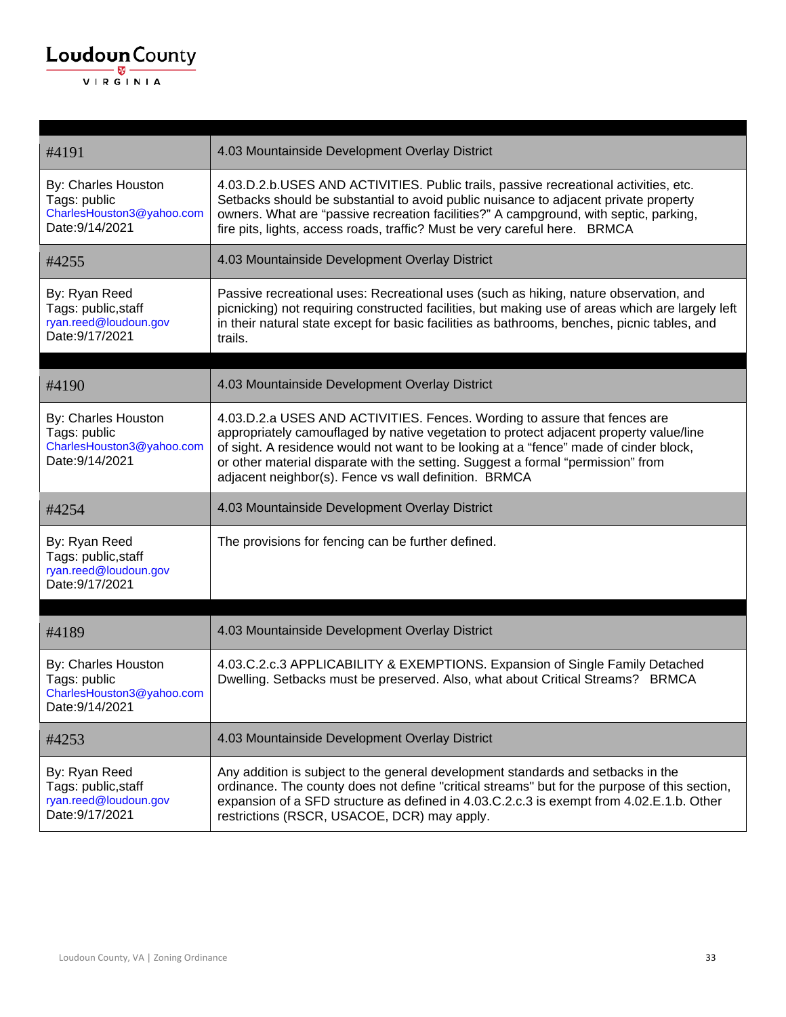| #4191                                                                               | 4.03 Mountainside Development Overlay District                                                                                                                                                                                                                                                                                                                                                            |
|-------------------------------------------------------------------------------------|-----------------------------------------------------------------------------------------------------------------------------------------------------------------------------------------------------------------------------------------------------------------------------------------------------------------------------------------------------------------------------------------------------------|
| By: Charles Houston<br>Tags: public<br>CharlesHouston3@yahoo.com<br>Date: 9/14/2021 | 4.03.D.2.b.USES AND ACTIVITIES. Public trails, passive recreational activities, etc.<br>Setbacks should be substantial to avoid public nuisance to adjacent private property<br>owners. What are "passive recreation facilities?" A campground, with septic, parking,<br>fire pits, lights, access roads, traffic? Must be very careful here. BRMCA                                                       |
| #4255                                                                               | 4.03 Mountainside Development Overlay District                                                                                                                                                                                                                                                                                                                                                            |
| By: Ryan Reed<br>Tags: public, staff<br>ryan.reed@loudoun.gov<br>Date: 9/17/2021    | Passive recreational uses: Recreational uses (such as hiking, nature observation, and<br>picnicking) not requiring constructed facilities, but making use of areas which are largely left<br>in their natural state except for basic facilities as bathrooms, benches, picnic tables, and<br>trails.                                                                                                      |
| #4190                                                                               | 4.03 Mountainside Development Overlay District                                                                                                                                                                                                                                                                                                                                                            |
| By: Charles Houston<br>Tags: public<br>CharlesHouston3@yahoo.com<br>Date: 9/14/2021 | 4.03.D.2.a USES AND ACTIVITIES. Fences. Wording to assure that fences are<br>appropriately camouflaged by native vegetation to protect adjacent property value/line<br>of sight. A residence would not want to be looking at a "fence" made of cinder block,<br>or other material disparate with the setting. Suggest a formal "permission" from<br>adjacent neighbor(s). Fence vs wall definition. BRMCA |
| #4254                                                                               | 4.03 Mountainside Development Overlay District                                                                                                                                                                                                                                                                                                                                                            |
| By: Ryan Reed<br>Tags: public, staff<br>ryan.reed@loudoun.gov<br>Date: 9/17/2021    | The provisions for fencing can be further defined.                                                                                                                                                                                                                                                                                                                                                        |
| #4189                                                                               | 4.03 Mountainside Development Overlay District                                                                                                                                                                                                                                                                                                                                                            |
| By: Charles Houston<br>Tags: public<br>CharlesHouston3@yahoo.com<br>Date:9/14/2021  | 4.03.C.2.c.3 APPLICABILITY & EXEMPTIONS. Expansion of Single Family Detached<br>Dwelling. Setbacks must be preserved. Also, what about Critical Streams? BRMCA                                                                                                                                                                                                                                            |
| #4253                                                                               | 4.03 Mountainside Development Overlay District                                                                                                                                                                                                                                                                                                                                                            |
| By: Ryan Reed<br>Tags: public, staff<br>ryan.reed@loudoun.gov<br>Date: 9/17/2021    | Any addition is subject to the general development standards and setbacks in the<br>ordinance. The county does not define "critical streams" but for the purpose of this section,<br>expansion of a SFD structure as defined in 4.03.C.2.c.3 is exempt from 4.02.E.1.b. Other<br>restrictions (RSCR, USACOE, DCR) may apply.                                                                              |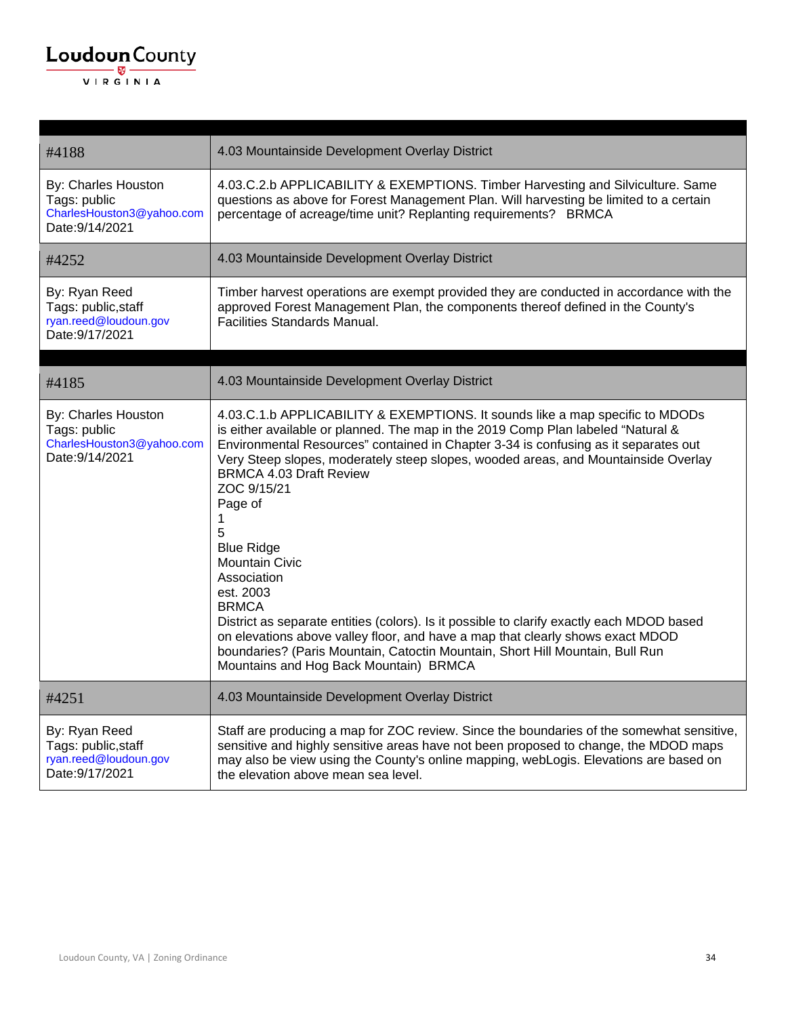| #4188                                                                               | 4.03 Mountainside Development Overlay District                                                                                                                                                                                                                                                                                                                                                                                                                                                                                                                                                                                                                                                                                                                                                                           |
|-------------------------------------------------------------------------------------|--------------------------------------------------------------------------------------------------------------------------------------------------------------------------------------------------------------------------------------------------------------------------------------------------------------------------------------------------------------------------------------------------------------------------------------------------------------------------------------------------------------------------------------------------------------------------------------------------------------------------------------------------------------------------------------------------------------------------------------------------------------------------------------------------------------------------|
| By: Charles Houston<br>Tags: public<br>CharlesHouston3@yahoo.com<br>Date: 9/14/2021 | 4.03.C.2.b APPLICABILITY & EXEMPTIONS. Timber Harvesting and Silviculture. Same<br>questions as above for Forest Management Plan. Will harvesting be limited to a certain<br>percentage of acreage/time unit? Replanting requirements? BRMCA                                                                                                                                                                                                                                                                                                                                                                                                                                                                                                                                                                             |
| #4252                                                                               | 4.03 Mountainside Development Overlay District                                                                                                                                                                                                                                                                                                                                                                                                                                                                                                                                                                                                                                                                                                                                                                           |
| By: Ryan Reed<br>Tags: public, staff<br>ryan.reed@loudoun.gov<br>Date: 9/17/2021    | Timber harvest operations are exempt provided they are conducted in accordance with the<br>approved Forest Management Plan, the components thereof defined in the County's<br><b>Facilities Standards Manual.</b>                                                                                                                                                                                                                                                                                                                                                                                                                                                                                                                                                                                                        |
| #4185                                                                               | 4.03 Mountainside Development Overlay District                                                                                                                                                                                                                                                                                                                                                                                                                                                                                                                                                                                                                                                                                                                                                                           |
| By: Charles Houston<br>Tags: public<br>CharlesHouston3@yahoo.com<br>Date: 9/14/2021 | 4.03.C.1.b APPLICABILITY & EXEMPTIONS. It sounds like a map specific to MDODs<br>is either available or planned. The map in the 2019 Comp Plan labeled "Natural &<br>Environmental Resources" contained in Chapter 3-34 is confusing as it separates out<br>Very Steep slopes, moderately steep slopes, wooded areas, and Mountainside Overlay<br><b>BRMCA 4.03 Draft Review</b><br>ZOC 9/15/21<br>Page of<br>1<br>5<br><b>Blue Ridge</b><br><b>Mountain Civic</b><br>Association<br>est. 2003<br><b>BRMCA</b><br>District as separate entities (colors). Is it possible to clarify exactly each MDOD based<br>on elevations above valley floor, and have a map that clearly shows exact MDOD<br>boundaries? (Paris Mountain, Catoctin Mountain, Short Hill Mountain, Bull Run<br>Mountains and Hog Back Mountain) BRMCA |
| #4251                                                                               | 4.03 Mountainside Development Overlay District                                                                                                                                                                                                                                                                                                                                                                                                                                                                                                                                                                                                                                                                                                                                                                           |
| By: Ryan Reed<br>Tags: public, staff<br>ryan.reed@loudoun.gov<br>Date: 9/17/2021    | Staff are producing a map for ZOC review. Since the boundaries of the somewhat sensitive,<br>sensitive and highly sensitive areas have not been proposed to change, the MDOD maps<br>may also be view using the County's online mapping, webLogis. Elevations are based on<br>the elevation above mean sea level.                                                                                                                                                                                                                                                                                                                                                                                                                                                                                                        |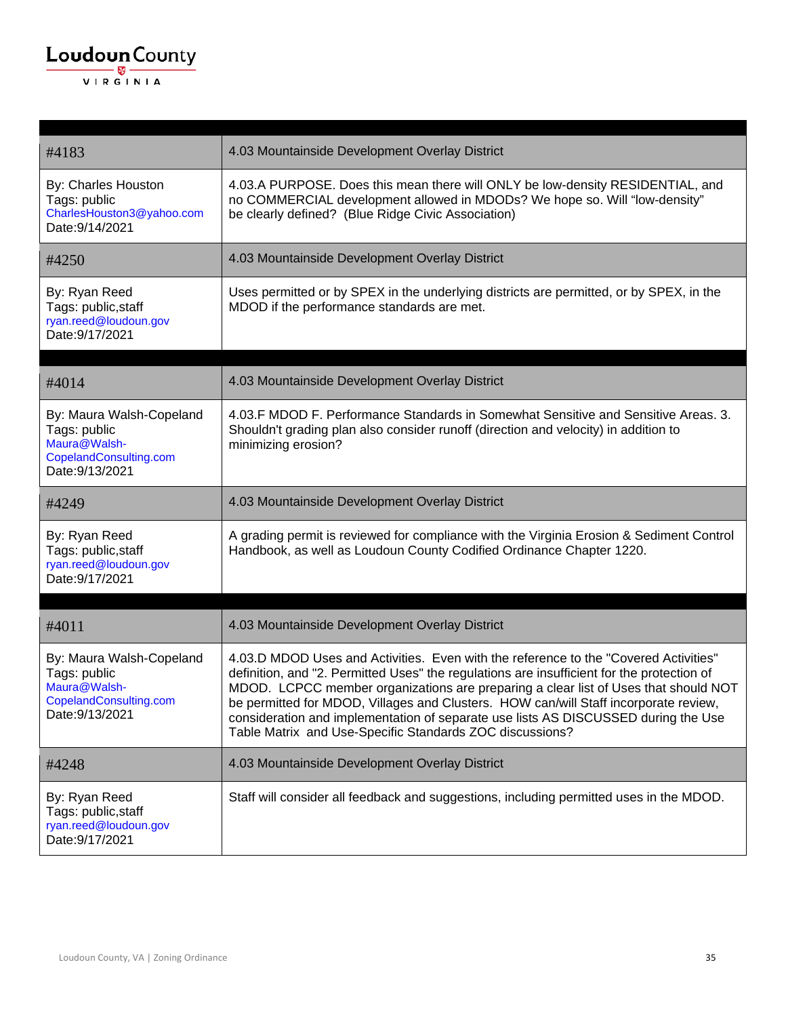| #4183                                                                                                 | 4.03 Mountainside Development Overlay District                                                                                                                                                                                                                                                                                                                                                                                                                                                                      |
|-------------------------------------------------------------------------------------------------------|---------------------------------------------------------------------------------------------------------------------------------------------------------------------------------------------------------------------------------------------------------------------------------------------------------------------------------------------------------------------------------------------------------------------------------------------------------------------------------------------------------------------|
| By: Charles Houston<br>Tags: public<br>CharlesHouston3@yahoo.com<br>Date: 9/14/2021                   | 4.03.A PURPOSE. Does this mean there will ONLY be low-density RESIDENTIAL, and<br>no COMMERCIAL development allowed in MDODs? We hope so. Will "low-density"<br>be clearly defined? (Blue Ridge Civic Association)                                                                                                                                                                                                                                                                                                  |
| #4250                                                                                                 | 4.03 Mountainside Development Overlay District                                                                                                                                                                                                                                                                                                                                                                                                                                                                      |
| By: Ryan Reed<br>Tags: public, staff<br>ryan.reed@loudoun.gov<br>Date: 9/17/2021                      | Uses permitted or by SPEX in the underlying districts are permitted, or by SPEX, in the<br>MDOD if the performance standards are met.                                                                                                                                                                                                                                                                                                                                                                               |
| #4014                                                                                                 | 4.03 Mountainside Development Overlay District                                                                                                                                                                                                                                                                                                                                                                                                                                                                      |
| By: Maura Walsh-Copeland<br>Tags: public<br>Maura@Walsh-<br>CopelandConsulting.com<br>Date: 9/13/2021 | 4.03.F MDOD F. Performance Standards in Somewhat Sensitive and Sensitive Areas. 3.<br>Shouldn't grading plan also consider runoff (direction and velocity) in addition to<br>minimizing erosion?                                                                                                                                                                                                                                                                                                                    |
| #4249                                                                                                 | 4.03 Mountainside Development Overlay District                                                                                                                                                                                                                                                                                                                                                                                                                                                                      |
| By: Ryan Reed<br>Tags: public, staff<br>ryan.reed@loudoun.gov<br>Date: 9/17/2021                      | A grading permit is reviewed for compliance with the Virginia Erosion & Sediment Control<br>Handbook, as well as Loudoun County Codified Ordinance Chapter 1220.                                                                                                                                                                                                                                                                                                                                                    |
| #4011                                                                                                 | 4.03 Mountainside Development Overlay District                                                                                                                                                                                                                                                                                                                                                                                                                                                                      |
| By: Maura Walsh-Copeland<br>Tags: public<br>Maura@Walsh-<br>CopelandConsulting.com<br>Date: 9/13/2021 | 4.03.D MDOD Uses and Activities. Even with the reference to the "Covered Activities"<br>definition, and "2. Permitted Uses" the regulations are insufficient for the protection of<br>MDOD. LCPCC member organizations are preparing a clear list of Uses that should NOT<br>be permitted for MDOD, Villages and Clusters. HOW can/will Staff incorporate review,<br>consideration and implementation of separate use lists AS DISCUSSED during the Use<br>Table Matrix and Use-Specific Standards ZOC discussions? |
| #4248                                                                                                 | 4.03 Mountainside Development Overlay District                                                                                                                                                                                                                                                                                                                                                                                                                                                                      |
| By: Ryan Reed<br>Tags: public, staff<br>ryan.reed@loudoun.gov<br>Date: 9/17/2021                      | Staff will consider all feedback and suggestions, including permitted uses in the MDOD.                                                                                                                                                                                                                                                                                                                                                                                                                             |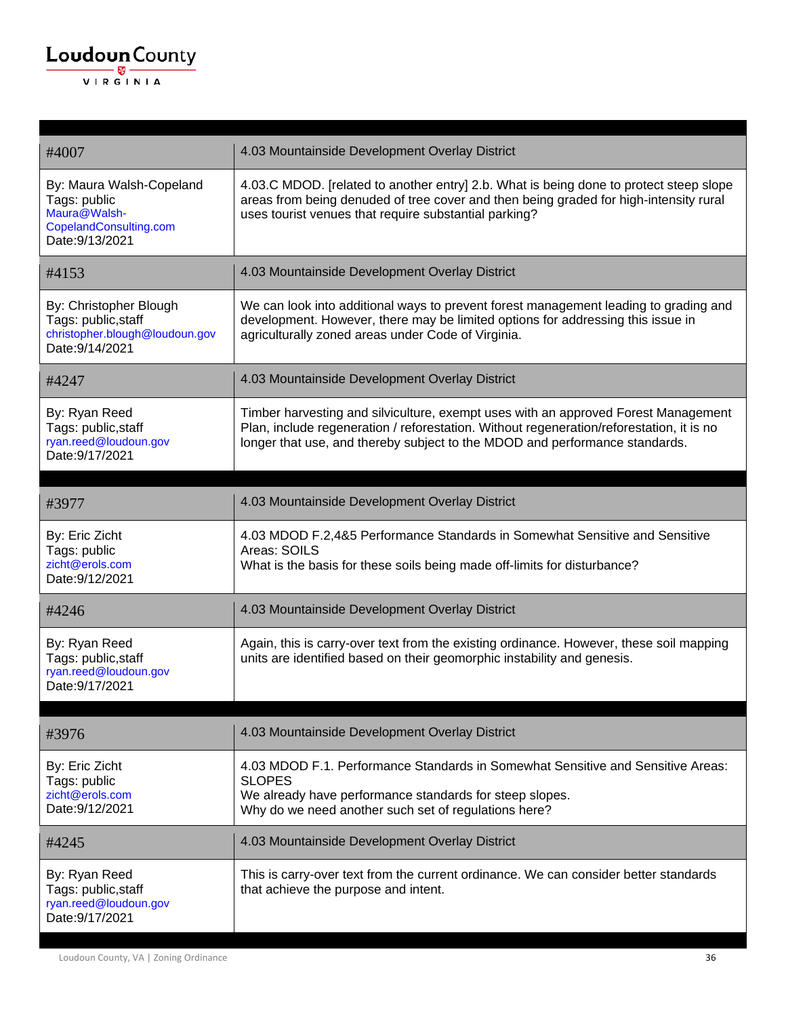| <b>Loudoun</b> County<br>— w— |  |
|-------------------------------|--|
| VIRGINIA                      |  |

| #4007                                                                                                 | 4.03 Mountainside Development Overlay District                                                                                                                                                                                                                |
|-------------------------------------------------------------------------------------------------------|---------------------------------------------------------------------------------------------------------------------------------------------------------------------------------------------------------------------------------------------------------------|
| By: Maura Walsh-Copeland<br>Tags: public<br>Maura@Walsh-<br>CopelandConsulting.com<br>Date: 9/13/2021 | 4.03.C MDOD. [related to another entry] 2.b. What is being done to protect steep slope<br>areas from being denuded of tree cover and then being graded for high-intensity rural<br>uses tourist venues that require substantial parking?                      |
| #4153                                                                                                 | 4.03 Mountainside Development Overlay District                                                                                                                                                                                                                |
| By: Christopher Blough<br>Tags: public, staff<br>christopher.blough@loudoun.gov<br>Date: 9/14/2021    | We can look into additional ways to prevent forest management leading to grading and<br>development. However, there may be limited options for addressing this issue in<br>agriculturally zoned areas under Code of Virginia.                                 |
| #4247                                                                                                 | 4.03 Mountainside Development Overlay District                                                                                                                                                                                                                |
| By: Ryan Reed<br>Tags: public, staff<br>ryan.reed@loudoun.gov<br>Date: 9/17/2021                      | Timber harvesting and silviculture, exempt uses with an approved Forest Management<br>Plan, include regeneration / reforestation. Without regeneration/reforestation, it is no<br>longer that use, and thereby subject to the MDOD and performance standards. |
| #3977                                                                                                 | 4.03 Mountainside Development Overlay District                                                                                                                                                                                                                |
| By: Eric Zicht<br>Tags: public<br>zicht@erols.com<br>Date: 9/12/2021                                  | 4.03 MDOD F.2,4&5 Performance Standards in Somewhat Sensitive and Sensitive<br>Areas: SOILS<br>What is the basis for these soils being made off-limits for disturbance?                                                                                       |
| #4246                                                                                                 | 4.03 Mountainside Development Overlay District                                                                                                                                                                                                                |
| By: Ryan Reed<br>Tags: public, staff<br>ryan.reed@loudoun.gov<br>Date: 9/17/2021                      | Again, this is carry-over text from the existing ordinance. However, these soil mapping<br>units are identified based on their geomorphic instability and genesis.                                                                                            |
| #3976                                                                                                 | 4.03 Mountainside Development Overlay District                                                                                                                                                                                                                |
| By: Eric Zicht<br>Tags: public<br>zicht@erols.com<br>Date: 9/12/2021                                  | 4.03 MDOD F.1. Performance Standards in Somewhat Sensitive and Sensitive Areas:<br><b>SLOPES</b><br>We already have performance standards for steep slopes.<br>Why do we need another such set of regulations here?                                           |
| #4245                                                                                                 | 4.03 Mountainside Development Overlay District                                                                                                                                                                                                                |
| By: Ryan Reed<br>Tags: public, staff<br>ryan.reed@loudoun.gov<br>Date: 9/17/2021                      | This is carry-over text from the current ordinance. We can consider better standards<br>that achieve the purpose and intent.                                                                                                                                  |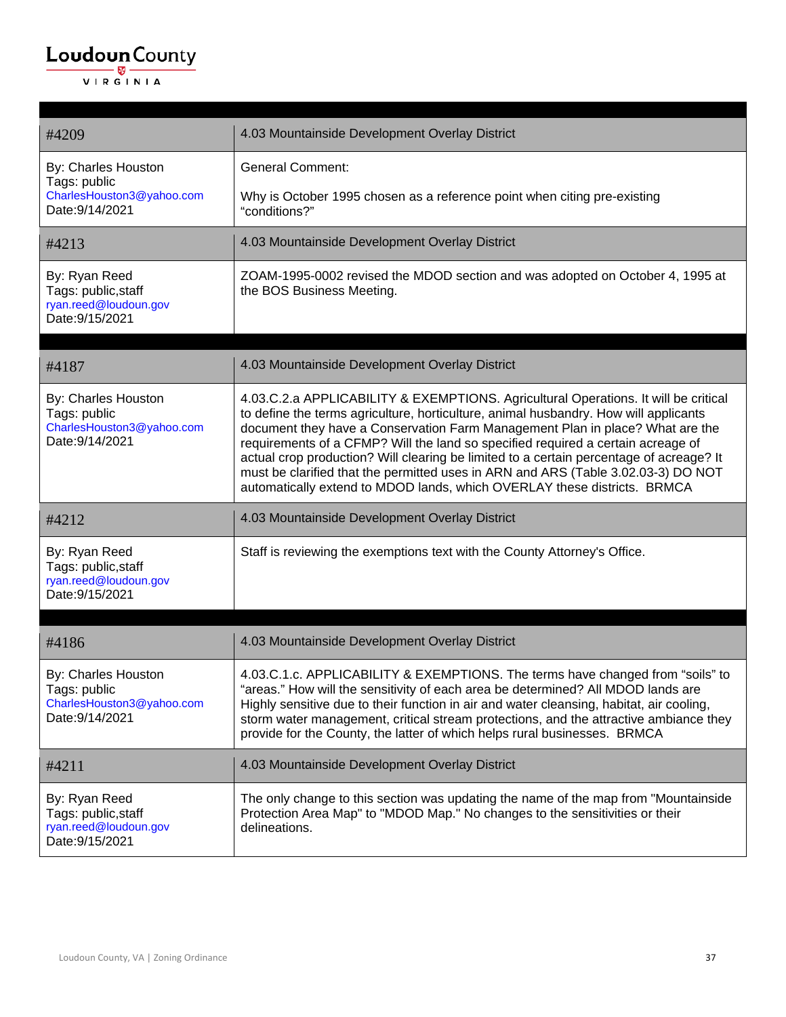| #4209                                                                               | 4.03 Mountainside Development Overlay District                                                                                                                                                                                                                                                                                                                                                                                                                                                                                                                                                               |
|-------------------------------------------------------------------------------------|--------------------------------------------------------------------------------------------------------------------------------------------------------------------------------------------------------------------------------------------------------------------------------------------------------------------------------------------------------------------------------------------------------------------------------------------------------------------------------------------------------------------------------------------------------------------------------------------------------------|
| By: Charles Houston<br>Tags: public<br>CharlesHouston3@yahoo.com<br>Date: 9/14/2021 | <b>General Comment:</b><br>Why is October 1995 chosen as a reference point when citing pre-existing<br>"conditions?"                                                                                                                                                                                                                                                                                                                                                                                                                                                                                         |
| #4213                                                                               | 4.03 Mountainside Development Overlay District                                                                                                                                                                                                                                                                                                                                                                                                                                                                                                                                                               |
| By: Ryan Reed<br>Tags: public, staff<br>ryan.reed@loudoun.gov<br>Date: 9/15/2021    | ZOAM-1995-0002 revised the MDOD section and was adopted on October 4, 1995 at<br>the BOS Business Meeting.                                                                                                                                                                                                                                                                                                                                                                                                                                                                                                   |
| #4187                                                                               | 4.03 Mountainside Development Overlay District                                                                                                                                                                                                                                                                                                                                                                                                                                                                                                                                                               |
| By: Charles Houston<br>Tags: public<br>CharlesHouston3@yahoo.com<br>Date: 9/14/2021 | 4.03.C.2.a APPLICABILITY & EXEMPTIONS. Agricultural Operations. It will be critical<br>to define the terms agriculture, horticulture, animal husbandry. How will applicants<br>document they have a Conservation Farm Management Plan in place? What are the<br>requirements of a CFMP? Will the land so specified required a certain acreage of<br>actual crop production? Will clearing be limited to a certain percentage of acreage? It<br>must be clarified that the permitted uses in ARN and ARS (Table 3.02.03-3) DO NOT<br>automatically extend to MDOD lands, which OVERLAY these districts. BRMCA |
| #4212                                                                               | 4.03 Mountainside Development Overlay District                                                                                                                                                                                                                                                                                                                                                                                                                                                                                                                                                               |
| By: Ryan Reed<br>Tags: public, staff<br>ryan.reed@loudoun.gov<br>Date: 9/15/2021    | Staff is reviewing the exemptions text with the County Attorney's Office.                                                                                                                                                                                                                                                                                                                                                                                                                                                                                                                                    |
| #4186                                                                               | 4.03 Mountainside Development Overlay District                                                                                                                                                                                                                                                                                                                                                                                                                                                                                                                                                               |
| By: Charles Houston<br>Tags: public<br>CharlesHouston3@yahoo.com<br>Date: 9/14/2021 | 4.03.C.1.c. APPLICABILITY & EXEMPTIONS. The terms have changed from "soils" to<br>"areas." How will the sensitivity of each area be determined? All MDOD lands are<br>Highly sensitive due to their function in air and water cleansing, habitat, air cooling,<br>storm water management, critical stream protections, and the attractive ambiance they<br>provide for the County, the latter of which helps rural businesses. BRMCA                                                                                                                                                                         |
| #4211                                                                               | 4.03 Mountainside Development Overlay District                                                                                                                                                                                                                                                                                                                                                                                                                                                                                                                                                               |
| By: Ryan Reed<br>Tags: public, staff<br>ryan.reed@loudoun.gov<br>Date: 9/15/2021    | The only change to this section was updating the name of the map from "Mountainside"<br>Protection Area Map" to "MDOD Map." No changes to the sensitivities or their<br>delineations.                                                                                                                                                                                                                                                                                                                                                                                                                        |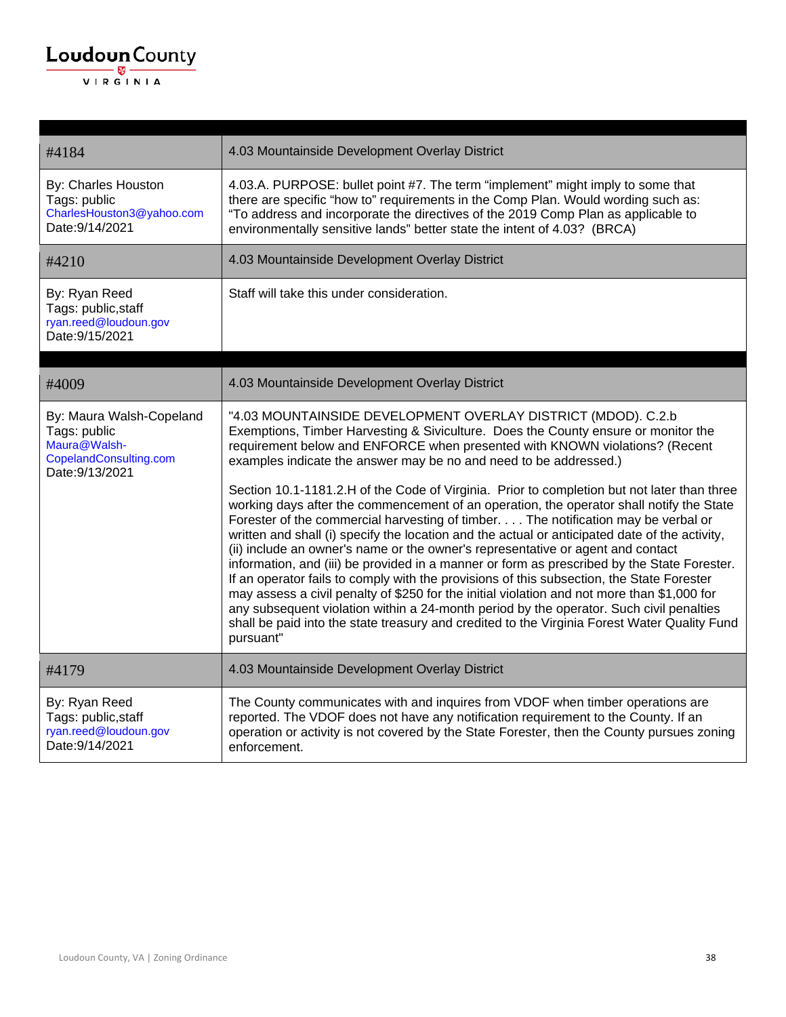| #4184                                                                                                 | 4.03 Mountainside Development Overlay District                                                                                                                                                                                                                                                                                                                                                                                                                                                                                                                                                                                                                                                                                                                                                                                                                                                                                                                                                                                                                                                                                                                                                                                                                                   |
|-------------------------------------------------------------------------------------------------------|----------------------------------------------------------------------------------------------------------------------------------------------------------------------------------------------------------------------------------------------------------------------------------------------------------------------------------------------------------------------------------------------------------------------------------------------------------------------------------------------------------------------------------------------------------------------------------------------------------------------------------------------------------------------------------------------------------------------------------------------------------------------------------------------------------------------------------------------------------------------------------------------------------------------------------------------------------------------------------------------------------------------------------------------------------------------------------------------------------------------------------------------------------------------------------------------------------------------------------------------------------------------------------|
| By: Charles Houston<br>Tags: public<br>CharlesHouston3@yahoo.com<br>Date: 9/14/2021                   | 4.03.A. PURPOSE: bullet point #7. The term "implement" might imply to some that<br>there are specific "how to" requirements in the Comp Plan. Would wording such as:<br>"To address and incorporate the directives of the 2019 Comp Plan as applicable to<br>environmentally sensitive lands" better state the intent of 4.03? (BRCA)                                                                                                                                                                                                                                                                                                                                                                                                                                                                                                                                                                                                                                                                                                                                                                                                                                                                                                                                            |
| #4210                                                                                                 | 4.03 Mountainside Development Overlay District                                                                                                                                                                                                                                                                                                                                                                                                                                                                                                                                                                                                                                                                                                                                                                                                                                                                                                                                                                                                                                                                                                                                                                                                                                   |
| By: Ryan Reed<br>Tags: public, staff<br>ryan.reed@loudoun.gov<br>Date: 9/15/2021                      | Staff will take this under consideration.                                                                                                                                                                                                                                                                                                                                                                                                                                                                                                                                                                                                                                                                                                                                                                                                                                                                                                                                                                                                                                                                                                                                                                                                                                        |
| #4009                                                                                                 | 4.03 Mountainside Development Overlay District                                                                                                                                                                                                                                                                                                                                                                                                                                                                                                                                                                                                                                                                                                                                                                                                                                                                                                                                                                                                                                                                                                                                                                                                                                   |
| By: Maura Walsh-Copeland<br>Tags: public<br>Maura@Walsh-<br>CopelandConsulting.com<br>Date: 9/13/2021 | "4.03 MOUNTAINSIDE DEVELOPMENT OVERLAY DISTRICT (MDOD). C.2.b<br>Exemptions, Timber Harvesting & Siviculture. Does the County ensure or monitor the<br>requirement below and ENFORCE when presented with KNOWN violations? (Recent<br>examples indicate the answer may be no and need to be addressed.)<br>Section 10.1-1181.2.H of the Code of Virginia. Prior to completion but not later than three<br>working days after the commencement of an operation, the operator shall notify the State<br>Forester of the commercial harvesting of timber. The notification may be verbal or<br>written and shall (i) specify the location and the actual or anticipated date of the activity,<br>(ii) include an owner's name or the owner's representative or agent and contact<br>information, and (iii) be provided in a manner or form as prescribed by the State Forester.<br>If an operator fails to comply with the provisions of this subsection, the State Forester<br>may assess a civil penalty of \$250 for the initial violation and not more than \$1,000 for<br>any subsequent violation within a 24-month period by the operator. Such civil penalties<br>shall be paid into the state treasury and credited to the Virginia Forest Water Quality Fund<br>pursuant" |
| #4179                                                                                                 | 4.03 Mountainside Development Overlay District                                                                                                                                                                                                                                                                                                                                                                                                                                                                                                                                                                                                                                                                                                                                                                                                                                                                                                                                                                                                                                                                                                                                                                                                                                   |
| By: Ryan Reed<br>Tags: public, staff<br>ryan.reed@loudoun.gov<br>Date: 9/14/2021                      | The County communicates with and inquires from VDOF when timber operations are<br>reported. The VDOF does not have any notification requirement to the County. If an<br>operation or activity is not covered by the State Forester, then the County pursues zoning<br>enforcement.                                                                                                                                                                                                                                                                                                                                                                                                                                                                                                                                                                                                                                                                                                                                                                                                                                                                                                                                                                                               |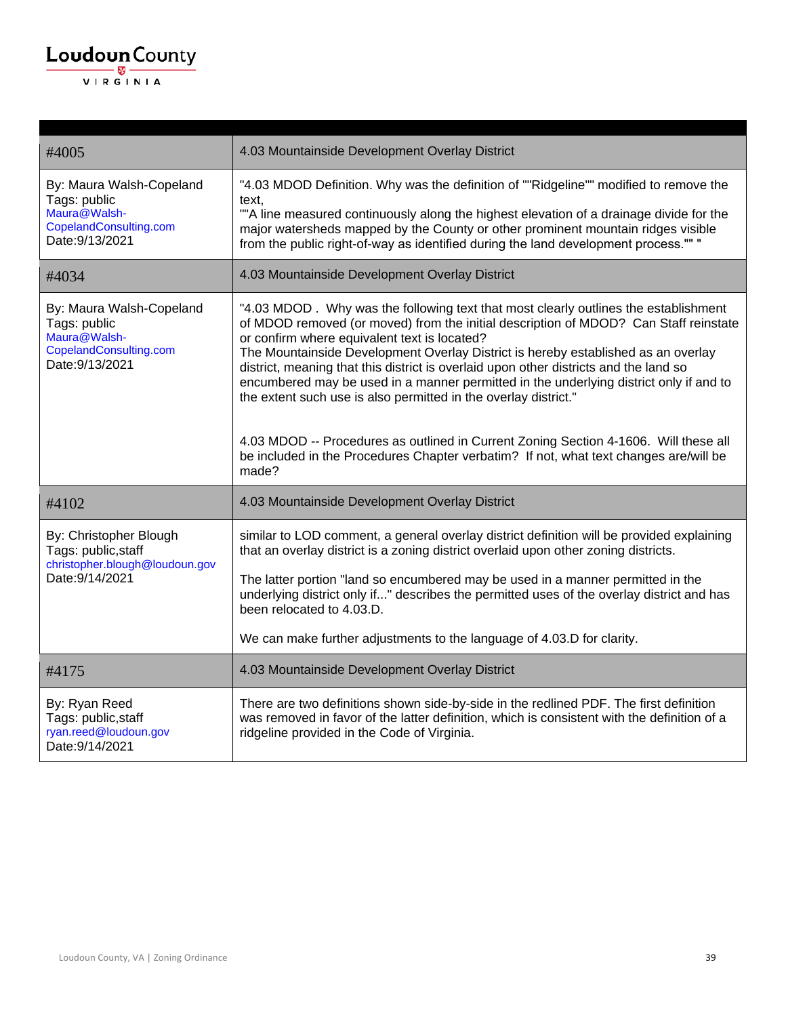| <b>Loudoun</b> County<br>—— छ -<br>VIRGINIA |                                          |                                                                                                |
|---------------------------------------------|------------------------------------------|------------------------------------------------------------------------------------------------|
|                                             | #4005                                    | 4.03 Mountainside Development Overlay District                                                 |
|                                             | By: Maura Walsh-Copeland<br>Tags: public | "4.03 MDOD Definition. Why was the definition of ""Ridgeline"" modified to remove the<br>text. |

Maura@Walsh-CopelandConsulting.com Date:9/13/2021 ""A line measured continuously along the highest elevation of a drainage divide for the major watersheds mapped by the County or other prominent mountain ridges visible from the public right-of-way as identified during the land development process."" " #4034 4.03 Mountainside Development Overlay District By: Maura Walsh-Copeland Tags: public Maura@Walsh-CopelandConsulting.com Date:9/13/2021 "4.03 MDOD . Why was the following text that most clearly outlines the establishment of MDOD removed (or moved) from the initial description of MDOD? Can Staff reinstate or confirm where equivalent text is located? The Mountainside Development Overlay District is hereby established as an overlay district, meaning that this district is overlaid upon other districts and the land so encumbered may be used in a manner permitted in the underlying district only if and to the extent such use is also permitted in the overlay district." 4.03 MDOD -- Procedures as outlined in Current Zoning Section 4-1606. Will these all be included in the Procedures Chapter verbatim? If not, what text changes are/will be made? #4102 4.03 Mountainside Development Overlay District By: Christopher Blough Tags: public,staff christopher.blough@loudoun.gov Date:9/14/2021 similar to LOD comment, a general overlay district definition will be provided explaining that an overlay district is a zoning district overlaid upon other zoning districts. The latter portion "land so encumbered may be used in a manner permitted in the underlying district only if..." describes the permitted uses of the overlay district and has been relocated to 4.03.D. We can make further adjustments to the language of 4.03.D for clarity. #4175 4.03 Mountainside Development Overlay District By: Ryan Reed Tags: public,staff ryan.reed@loudoun.gov Date:9/14/2021 There are two definitions shown side-by-side in the redlined PDF. The first definition was removed in favor of the latter definition, which is consistent with the definition of a ridgeline provided in the Code of Virginia.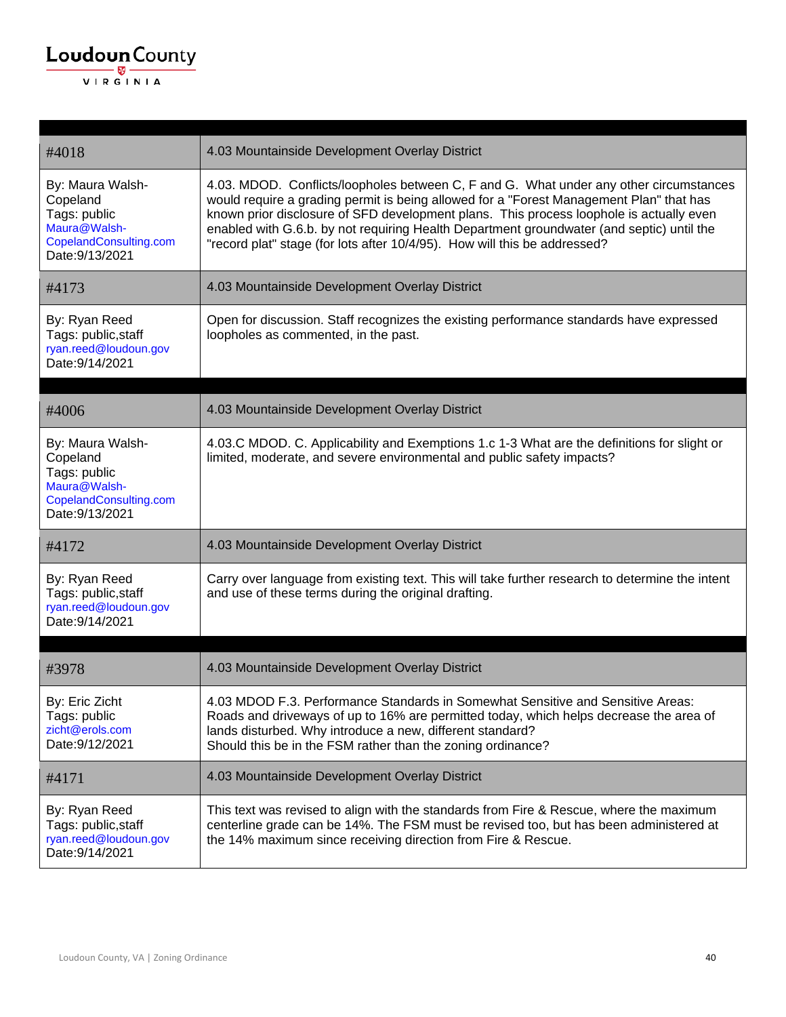

| #4018                                                                                                     | 4.03 Mountainside Development Overlay District                                                                                                                                                                                                                                                                                                                                                                                                         |
|-----------------------------------------------------------------------------------------------------------|--------------------------------------------------------------------------------------------------------------------------------------------------------------------------------------------------------------------------------------------------------------------------------------------------------------------------------------------------------------------------------------------------------------------------------------------------------|
| By: Maura Walsh-<br>Copeland<br>Tags: public<br>Maura@Walsh-<br>CopelandConsulting.com<br>Date: 9/13/2021 | 4.03. MDOD. Conflicts/loopholes between C, F and G. What under any other circumstances<br>would require a grading permit is being allowed for a "Forest Management Plan" that has<br>known prior disclosure of SFD development plans. This process loophole is actually even<br>enabled with G.6.b. by not requiring Health Department groundwater (and septic) until the<br>"record plat" stage (for lots after 10/4/95). How will this be addressed? |
| #4173                                                                                                     | 4.03 Mountainside Development Overlay District                                                                                                                                                                                                                                                                                                                                                                                                         |
| By: Ryan Reed<br>Tags: public, staff<br>ryan.reed@loudoun.gov<br>Date: 9/14/2021                          | Open for discussion. Staff recognizes the existing performance standards have expressed<br>loopholes as commented, in the past.                                                                                                                                                                                                                                                                                                                        |
| #4006                                                                                                     | 4.03 Mountainside Development Overlay District                                                                                                                                                                                                                                                                                                                                                                                                         |
| By: Maura Walsh-<br>Copeland<br>Tags: public<br>Maura@Walsh-<br>CopelandConsulting.com<br>Date: 9/13/2021 | 4.03.C MDOD. C. Applicability and Exemptions 1.c 1-3 What are the definitions for slight or<br>limited, moderate, and severe environmental and public safety impacts?                                                                                                                                                                                                                                                                                  |
| #4172                                                                                                     | 4.03 Mountainside Development Overlay District                                                                                                                                                                                                                                                                                                                                                                                                         |
| By: Ryan Reed<br>Tags: public, staff<br>ryan.reed@loudoun.gov<br>Date: 9/14/2021                          | Carry over language from existing text. This will take further research to determine the intent<br>and use of these terms during the original drafting.                                                                                                                                                                                                                                                                                                |
|                                                                                                           |                                                                                                                                                                                                                                                                                                                                                                                                                                                        |
| #3978                                                                                                     | 4.03 Mountainside Development Overlay District                                                                                                                                                                                                                                                                                                                                                                                                         |
| By: Eric Zicht<br>Tags: public<br>zicht@erols.com<br>Date: 9/12/2021                                      | 4.03 MDOD F.3. Performance Standards in Somewhat Sensitive and Sensitive Areas:<br>Roads and driveways of up to 16% are permitted today, which helps decrease the area of<br>lands disturbed. Why introduce a new, different standard?<br>Should this be in the FSM rather than the zoning ordinance?                                                                                                                                                  |
| #4171                                                                                                     | 4.03 Mountainside Development Overlay District                                                                                                                                                                                                                                                                                                                                                                                                         |
| By: Ryan Reed<br>Tags: public, staff<br>ryan.reed@loudoun.gov<br>Date: 9/14/2021                          | This text was revised to align with the standards from Fire & Rescue, where the maximum<br>centerline grade can be 14%. The FSM must be revised too, but has been administered at<br>the 14% maximum since receiving direction from Fire & Rescue.                                                                                                                                                                                                     |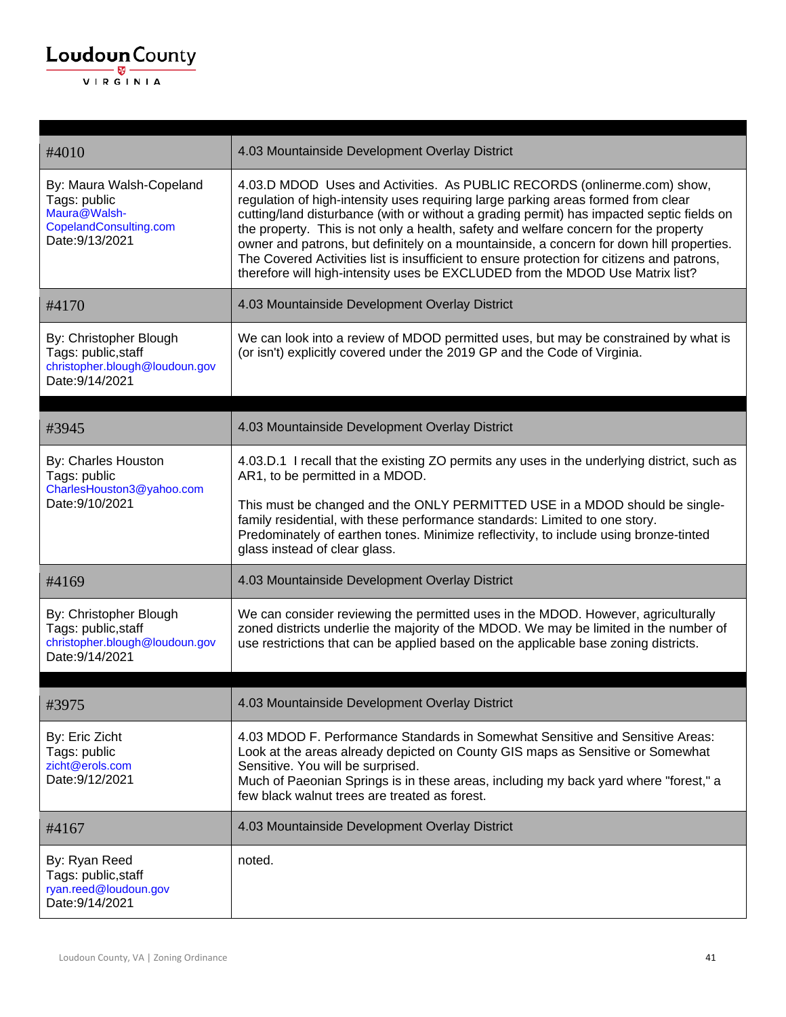| #4010                                                                                                 | 4.03 Mountainside Development Overlay District                                                                                                                                                                                                                                                                                                                                                                                                                                                                                                                                                                                |
|-------------------------------------------------------------------------------------------------------|-------------------------------------------------------------------------------------------------------------------------------------------------------------------------------------------------------------------------------------------------------------------------------------------------------------------------------------------------------------------------------------------------------------------------------------------------------------------------------------------------------------------------------------------------------------------------------------------------------------------------------|
| By: Maura Walsh-Copeland<br>Tags: public<br>Maura@Walsh-<br>CopelandConsulting.com<br>Date: 9/13/2021 | 4.03.D MDOD Uses and Activities. As PUBLIC RECORDS (onlinerme.com) show,<br>regulation of high-intensity uses requiring large parking areas formed from clear<br>cutting/land disturbance (with or without a grading permit) has impacted septic fields on<br>the property. This is not only a health, safety and welfare concern for the property<br>owner and patrons, but definitely on a mountainside, a concern for down hill properties.<br>The Covered Activities list is insufficient to ensure protection for citizens and patrons,<br>therefore will high-intensity uses be EXCLUDED from the MDOD Use Matrix list? |
| #4170                                                                                                 | 4.03 Mountainside Development Overlay District                                                                                                                                                                                                                                                                                                                                                                                                                                                                                                                                                                                |
| By: Christopher Blough<br>Tags: public, staff<br>christopher.blough@loudoun.gov<br>Date: 9/14/2021    | We can look into a review of MDOD permitted uses, but may be constrained by what is<br>(or isn't) explicitly covered under the 2019 GP and the Code of Virginia.                                                                                                                                                                                                                                                                                                                                                                                                                                                              |
| #3945                                                                                                 | 4.03 Mountainside Development Overlay District                                                                                                                                                                                                                                                                                                                                                                                                                                                                                                                                                                                |
| By: Charles Houston<br>Tags: public<br>CharlesHouston3@yahoo.com<br>Date: 9/10/2021                   | 4.03.D.1 I recall that the existing ZO permits any uses in the underlying district, such as<br>AR1, to be permitted in a MDOD.<br>This must be changed and the ONLY PERMITTED USE in a MDOD should be single-<br>family residential, with these performance standards: Limited to one story.<br>Predominately of earthen tones. Minimize reflectivity, to include using bronze-tinted<br>glass instead of clear glass.                                                                                                                                                                                                        |
| #4169                                                                                                 | 4.03 Mountainside Development Overlay District                                                                                                                                                                                                                                                                                                                                                                                                                                                                                                                                                                                |
| By: Christopher Blough<br>Tags: public, staff<br>christopher.blough@loudoun.gov<br>Date: 9/14/2021    | We can consider reviewing the permitted uses in the MDOD. However, agriculturally<br>zoned districts underlie the majority of the MDOD. We may be limited in the number of<br>use restrictions that can be applied based on the applicable base zoning districts.                                                                                                                                                                                                                                                                                                                                                             |
| #3975                                                                                                 | 4.03 Mountainside Development Overlay District                                                                                                                                                                                                                                                                                                                                                                                                                                                                                                                                                                                |
| By: Eric Zicht<br>Tags: public<br>zicht@erols.com<br>Date: 9/12/2021                                  | 4.03 MDOD F. Performance Standards in Somewhat Sensitive and Sensitive Areas:<br>Look at the areas already depicted on County GIS maps as Sensitive or Somewhat<br>Sensitive. You will be surprised.<br>Much of Paeonian Springs is in these areas, including my back yard where "forest," a<br>few black walnut trees are treated as forest.                                                                                                                                                                                                                                                                                 |
| #4167                                                                                                 | 4.03 Mountainside Development Overlay District                                                                                                                                                                                                                                                                                                                                                                                                                                                                                                                                                                                |
| By: Ryan Reed<br>Tags: public, staff<br>ryan.reed@loudoun.gov<br>Date: 9/14/2021                      | noted.                                                                                                                                                                                                                                                                                                                                                                                                                                                                                                                                                                                                                        |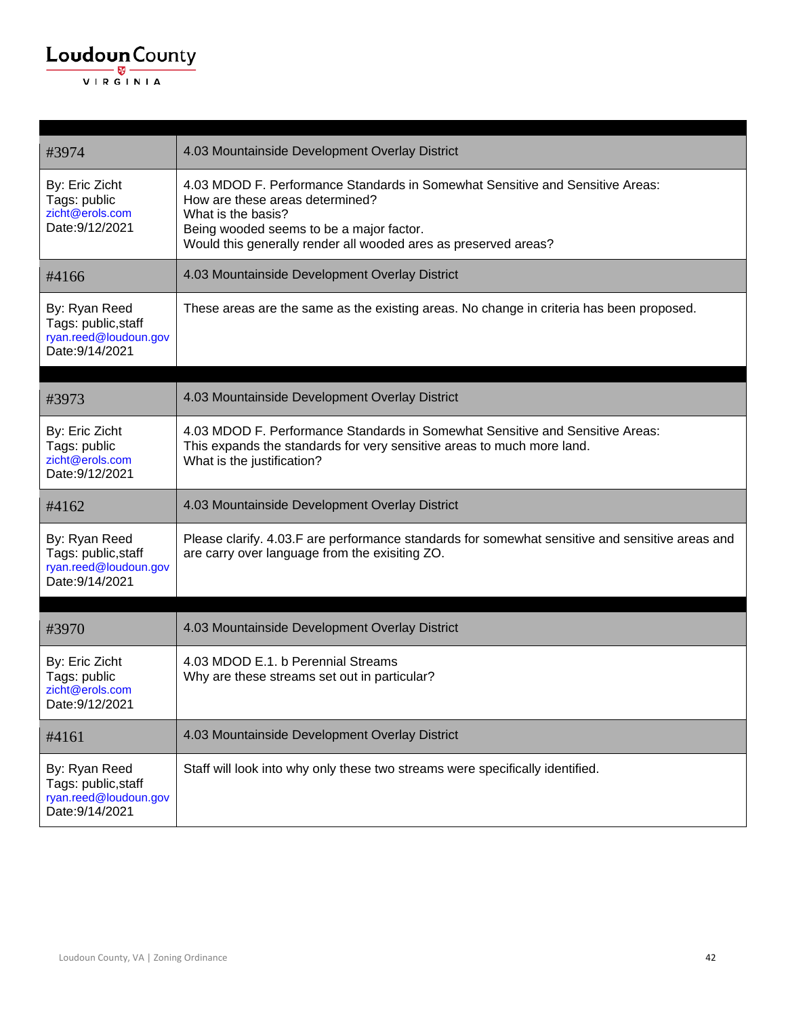| #3974                                                                            | 4.03 Mountainside Development Overlay District                                                                                                                                                                                                        |
|----------------------------------------------------------------------------------|-------------------------------------------------------------------------------------------------------------------------------------------------------------------------------------------------------------------------------------------------------|
| By: Eric Zicht<br>Tags: public<br>zicht@erols.com<br>Date: 9/12/2021             | 4.03 MDOD F. Performance Standards in Somewhat Sensitive and Sensitive Areas:<br>How are these areas determined?<br>What is the basis?<br>Being wooded seems to be a major factor.<br>Would this generally render all wooded ares as preserved areas? |
| #4166                                                                            | 4.03 Mountainside Development Overlay District                                                                                                                                                                                                        |
| By: Ryan Reed<br>Tags: public, staff<br>ryan.reed@loudoun.gov<br>Date: 9/14/2021 | These areas are the same as the existing areas. No change in criteria has been proposed.                                                                                                                                                              |
| #3973                                                                            | 4.03 Mountainside Development Overlay District                                                                                                                                                                                                        |
| By: Eric Zicht<br>Tags: public<br>zicht@erols.com<br>Date: 9/12/2021             | 4.03 MDOD F. Performance Standards in Somewhat Sensitive and Sensitive Areas:<br>This expands the standards for very sensitive areas to much more land.<br>What is the justification?                                                                 |
| #4162                                                                            | 4.03 Mountainside Development Overlay District                                                                                                                                                                                                        |
| By: Ryan Reed<br>Tags: public, staff<br>ryan.reed@loudoun.gov<br>Date: 9/14/2021 | Please clarify. 4.03.F are performance standards for somewhat sensitive and sensitive areas and<br>are carry over language from the exisiting ZO.                                                                                                     |
| #3970                                                                            | 4.03 Mountainside Development Overlay District                                                                                                                                                                                                        |
| By: Eric Zicht<br>Tags: public<br>zicht@erols.com<br>Date: 9/12/2021             | 4.03 MDOD E.1. b Perennial Streams<br>Why are these streams set out in particular?                                                                                                                                                                    |
| #4161                                                                            | 4.03 Mountainside Development Overlay District                                                                                                                                                                                                        |
| By: Ryan Reed<br>Tags: public, staff<br>ryan.reed@loudoun.gov<br>Date: 9/14/2021 | Staff will look into why only these two streams were specifically identified.                                                                                                                                                                         |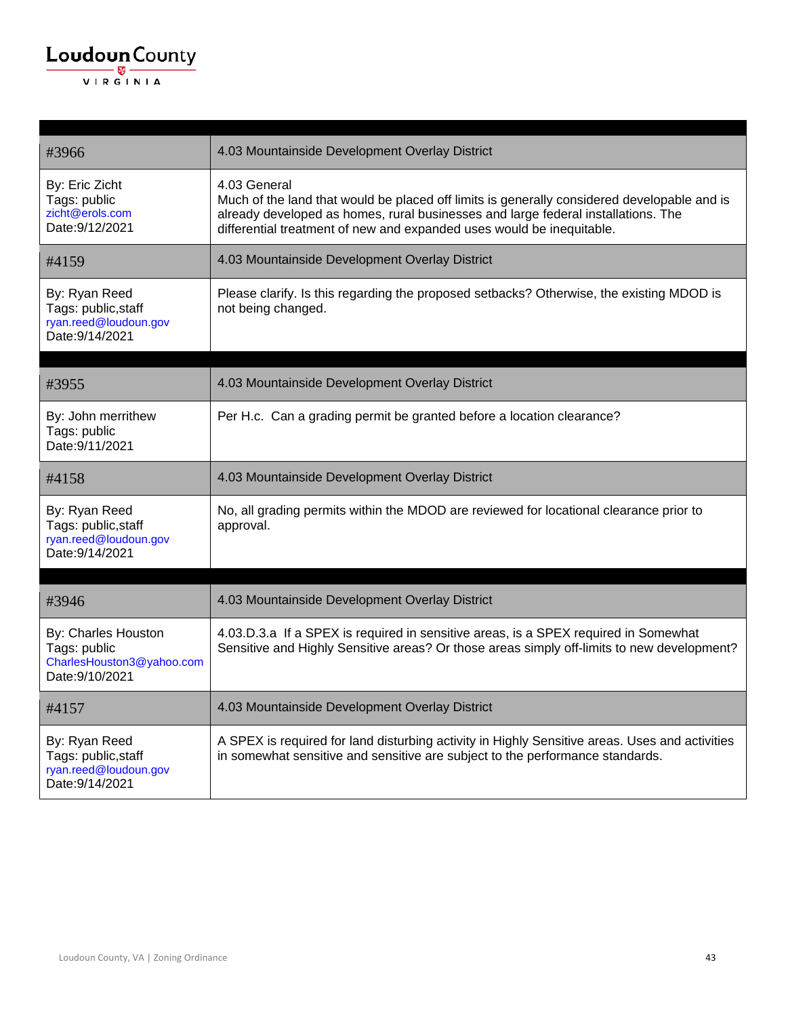

| #3966                                                                               | 4.03 Mountainside Development Overlay District                                                                                                                                                                                                                            |
|-------------------------------------------------------------------------------------|---------------------------------------------------------------------------------------------------------------------------------------------------------------------------------------------------------------------------------------------------------------------------|
| By: Eric Zicht<br>Tags: public<br>zicht@erols.com<br>Date: 9/12/2021                | 4.03 General<br>Much of the land that would be placed off limits is generally considered developable and is<br>already developed as homes, rural businesses and large federal installations. The<br>differential treatment of new and expanded uses would be inequitable. |
| #4159                                                                               | 4.03 Mountainside Development Overlay District                                                                                                                                                                                                                            |
| By: Ryan Reed<br>Tags: public, staff<br>ryan.reed@loudoun.gov<br>Date: 9/14/2021    | Please clarify. Is this regarding the proposed setbacks? Otherwise, the existing MDOD is<br>not being changed.                                                                                                                                                            |
| #3955                                                                               | 4.03 Mountainside Development Overlay District                                                                                                                                                                                                                            |
| By: John merrithew<br>Tags: public<br>Date: 9/11/2021                               | Per H.c. Can a grading permit be granted before a location clearance?                                                                                                                                                                                                     |
| #4158                                                                               | 4.03 Mountainside Development Overlay District                                                                                                                                                                                                                            |
| By: Ryan Reed<br>Tags: public, staff<br>ryan.reed@loudoun.gov<br>Date: 9/14/2021    | No, all grading permits within the MDOD are reviewed for locational clearance prior to<br>approval.                                                                                                                                                                       |
| #3946                                                                               | 4.03 Mountainside Development Overlay District                                                                                                                                                                                                                            |
| By: Charles Houston<br>Tags: public<br>CharlesHouston3@yahoo.com<br>Date: 9/10/2021 | 4.03.D.3.a If a SPEX is required in sensitive areas, is a SPEX required in Somewhat<br>Sensitive and Highly Sensitive areas? Or those areas simply off-limits to new development?                                                                                         |
| #4157                                                                               | 4.03 Mountainside Development Overlay District                                                                                                                                                                                                                            |
| By: Ryan Reed<br>Tags: public, staff<br>ryan.reed@loudoun.gov<br>Date: 9/14/2021    | A SPEX is required for land disturbing activity in Highly Sensitive areas. Uses and activities<br>in somewhat sensitive and sensitive are subject to the performance standards.                                                                                           |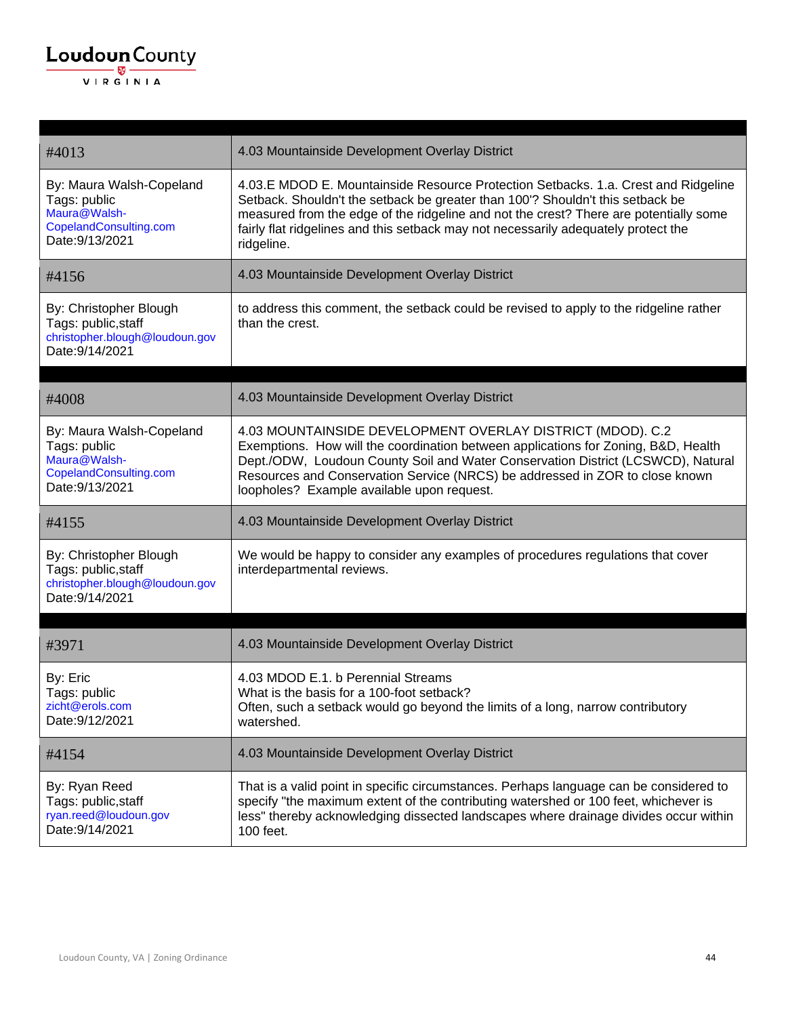| #4013                                                                                                 | 4.03 Mountainside Development Overlay District                                                                                                                                                                                                                                                                                                                     |
|-------------------------------------------------------------------------------------------------------|--------------------------------------------------------------------------------------------------------------------------------------------------------------------------------------------------------------------------------------------------------------------------------------------------------------------------------------------------------------------|
| By: Maura Walsh-Copeland<br>Tags: public<br>Maura@Walsh-<br>CopelandConsulting.com<br>Date: 9/13/2021 | 4.03.E MDOD E. Mountainside Resource Protection Setbacks. 1.a. Crest and Ridgeline<br>Setback. Shouldn't the setback be greater than 100'? Shouldn't this setback be<br>measured from the edge of the ridgeline and not the crest? There are potentially some<br>fairly flat ridgelines and this setback may not necessarily adequately protect the<br>ridgeline.  |
| #4156                                                                                                 | 4.03 Mountainside Development Overlay District                                                                                                                                                                                                                                                                                                                     |
| By: Christopher Blough<br>Tags: public, staff<br>christopher.blough@loudoun.gov<br>Date: 9/14/2021    | to address this comment, the setback could be revised to apply to the ridgeline rather<br>than the crest.                                                                                                                                                                                                                                                          |
| #4008                                                                                                 | 4.03 Mountainside Development Overlay District                                                                                                                                                                                                                                                                                                                     |
| By: Maura Walsh-Copeland<br>Tags: public<br>Maura@Walsh-<br>CopelandConsulting.com<br>Date: 9/13/2021 | 4.03 MOUNTAINSIDE DEVELOPMENT OVERLAY DISTRICT (MDOD). C.2<br>Exemptions. How will the coordination between applications for Zoning, B&D, Health<br>Dept./ODW, Loudoun County Soil and Water Conservation District (LCSWCD), Natural<br>Resources and Conservation Service (NRCS) be addressed in ZOR to close known<br>loopholes? Example available upon request. |
| #4155                                                                                                 | 4.03 Mountainside Development Overlay District                                                                                                                                                                                                                                                                                                                     |
| By: Christopher Blough<br>Tags: public, staff<br>christopher.blough@loudoun.gov<br>Date: 9/14/2021    | We would be happy to consider any examples of procedures regulations that cover<br>interdepartmental reviews.                                                                                                                                                                                                                                                      |
| #3971                                                                                                 | 4.03 Mountainside Development Overlay District                                                                                                                                                                                                                                                                                                                     |
| By: Eric<br>Tags: public<br>zicht@erols.com<br>Date: 9/12/2021                                        | 4.03 MDOD E.1. b Perennial Streams<br>What is the basis for a 100-foot setback?<br>Often, such a setback would go beyond the limits of a long, narrow contributory<br>watershed.                                                                                                                                                                                   |
| #4154                                                                                                 | 4.03 Mountainside Development Overlay District                                                                                                                                                                                                                                                                                                                     |
| By: Ryan Reed<br>Tags: public, staff<br>ryan.reed@loudoun.gov<br>Date: 9/14/2021                      | That is a valid point in specific circumstances. Perhaps language can be considered to<br>specify "the maximum extent of the contributing watershed or 100 feet, whichever is<br>less" thereby acknowledging dissected landscapes where drainage divides occur within<br>100 feet.                                                                                 |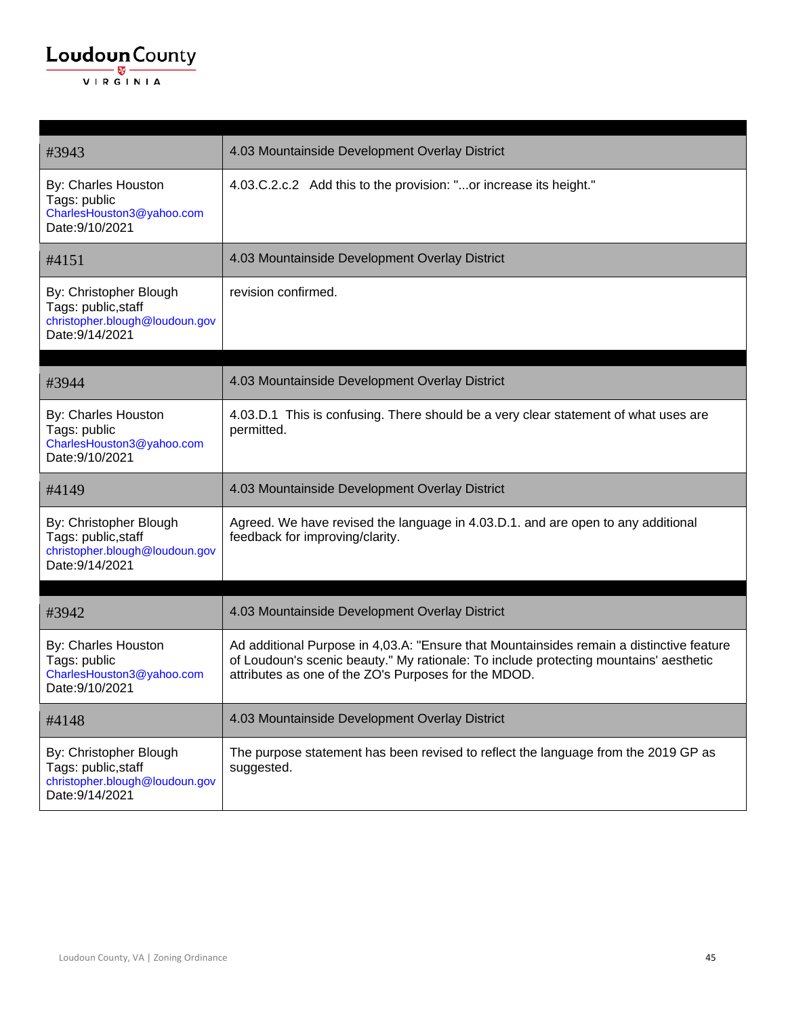| #3943                                                                                              | 4.03 Mountainside Development Overlay District                                                                                                                                                                                            |
|----------------------------------------------------------------------------------------------------|-------------------------------------------------------------------------------------------------------------------------------------------------------------------------------------------------------------------------------------------|
| By: Charles Houston<br>Tags: public<br>CharlesHouston3@yahoo.com<br>Date: 9/10/2021                | 4.03.C.2.c.2 Add this to the provision: "or increase its height."                                                                                                                                                                         |
| #4151                                                                                              | 4.03 Mountainside Development Overlay District                                                                                                                                                                                            |
| By: Christopher Blough<br>Tags: public, staff<br>christopher.blough@loudoun.gov<br>Date: 9/14/2021 | revision confirmed.                                                                                                                                                                                                                       |
|                                                                                                    |                                                                                                                                                                                                                                           |
| #3944                                                                                              | 4.03 Mountainside Development Overlay District                                                                                                                                                                                            |
| By: Charles Houston<br>Tags: public<br>CharlesHouston3@yahoo.com<br>Date: 9/10/2021                | 4.03.D.1 This is confusing. There should be a very clear statement of what uses are<br>permitted.                                                                                                                                         |
| #4149                                                                                              | 4.03 Mountainside Development Overlay District                                                                                                                                                                                            |
| By: Christopher Blough<br>Tags: public, staff<br>christopher.blough@loudoun.gov<br>Date: 9/14/2021 | Agreed. We have revised the language in 4.03.D.1. and are open to any additional<br>feedback for improving/clarity.                                                                                                                       |
|                                                                                                    |                                                                                                                                                                                                                                           |
| #3942                                                                                              | 4.03 Mountainside Development Overlay District                                                                                                                                                                                            |
| By: Charles Houston<br>Tags: public<br>CharlesHouston3@yahoo.com<br>Date: 9/10/2021                | Ad additional Purpose in 4,03.A: "Ensure that Mountainsides remain a distinctive feature<br>of Loudoun's scenic beauty." My rationale: To include protecting mountains' aesthetic<br>attributes as one of the ZO's Purposes for the MDOD. |
| #4148                                                                                              | 4.03 Mountainside Development Overlay District                                                                                                                                                                                            |
| By: Christopher Blough<br>Tags: public, staff<br>christopher.blough@loudoun.gov<br>Date: 9/14/2021 | The purpose statement has been revised to reflect the language from the 2019 GP as<br>suggested.                                                                                                                                          |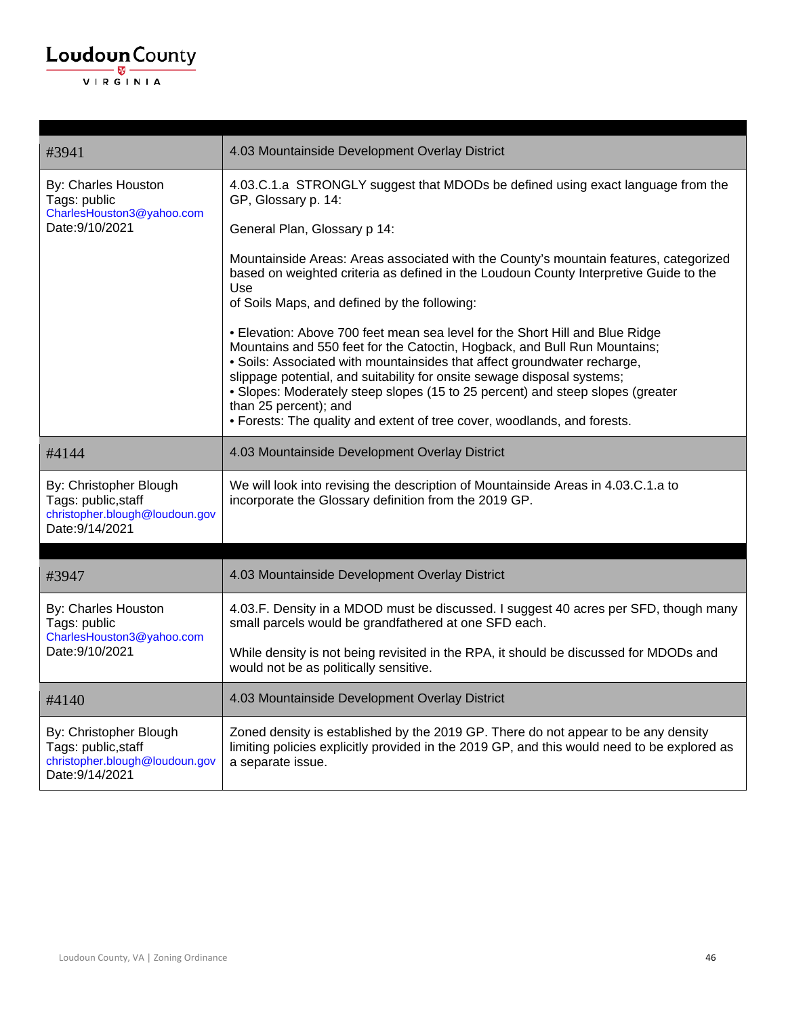| #3941                                                                                              | 4.03 Mountainside Development Overlay District                                                                                                                                                                                                                                                                                                                                                                                                                                                          |
|----------------------------------------------------------------------------------------------------|---------------------------------------------------------------------------------------------------------------------------------------------------------------------------------------------------------------------------------------------------------------------------------------------------------------------------------------------------------------------------------------------------------------------------------------------------------------------------------------------------------|
| By: Charles Houston<br>Tags: public                                                                | 4.03.C.1.a STRONGLY suggest that MDODs be defined using exact language from the<br>GP, Glossary p. 14:                                                                                                                                                                                                                                                                                                                                                                                                  |
| CharlesHouston3@yahoo.com<br>Date: 9/10/2021                                                       | General Plan, Glossary p 14:                                                                                                                                                                                                                                                                                                                                                                                                                                                                            |
|                                                                                                    | Mountainside Areas: Areas associated with the County's mountain features, categorized<br>based on weighted criteria as defined in the Loudoun County Interpretive Guide to the<br>Use<br>of Soils Maps, and defined by the following:                                                                                                                                                                                                                                                                   |
|                                                                                                    | • Elevation: Above 700 feet mean sea level for the Short Hill and Blue Ridge<br>Mountains and 550 feet for the Catoctin, Hogback, and Bull Run Mountains;<br>• Soils: Associated with mountainsides that affect groundwater recharge,<br>slippage potential, and suitability for onsite sewage disposal systems;<br>• Slopes: Moderately steep slopes (15 to 25 percent) and steep slopes (greater<br>than 25 percent); and<br>· Forests: The quality and extent of tree cover, woodlands, and forests. |
| #4144                                                                                              | 4.03 Mountainside Development Overlay District                                                                                                                                                                                                                                                                                                                                                                                                                                                          |
| By: Christopher Blough<br>Tags: public, staff<br>christopher.blough@loudoun.gov<br>Date: 9/14/2021 | We will look into revising the description of Mountainside Areas in 4.03.C.1.a to<br>incorporate the Glossary definition from the 2019 GP.                                                                                                                                                                                                                                                                                                                                                              |
| #3947                                                                                              | 4.03 Mountainside Development Overlay District                                                                                                                                                                                                                                                                                                                                                                                                                                                          |
| By: Charles Houston<br>Tags: public<br>CharlesHouston3@yahoo.com                                   | 4.03.F. Density in a MDOD must be discussed. I suggest 40 acres per SFD, though many<br>small parcels would be grandfathered at one SFD each.                                                                                                                                                                                                                                                                                                                                                           |
| Date: 9/10/2021                                                                                    | While density is not being revisited in the RPA, it should be discussed for MDODs and<br>would not be as politically sensitive.                                                                                                                                                                                                                                                                                                                                                                         |
| #4140                                                                                              | 4.03 Mountainside Development Overlay District                                                                                                                                                                                                                                                                                                                                                                                                                                                          |
| By: Christopher Blough<br>Tags: public, staff<br>christopher.blough@loudoun.gov<br>Date: 9/14/2021 | Zoned density is established by the 2019 GP. There do not appear to be any density<br>limiting policies explicitly provided in the 2019 GP, and this would need to be explored as<br>a separate issue.                                                                                                                                                                                                                                                                                                  |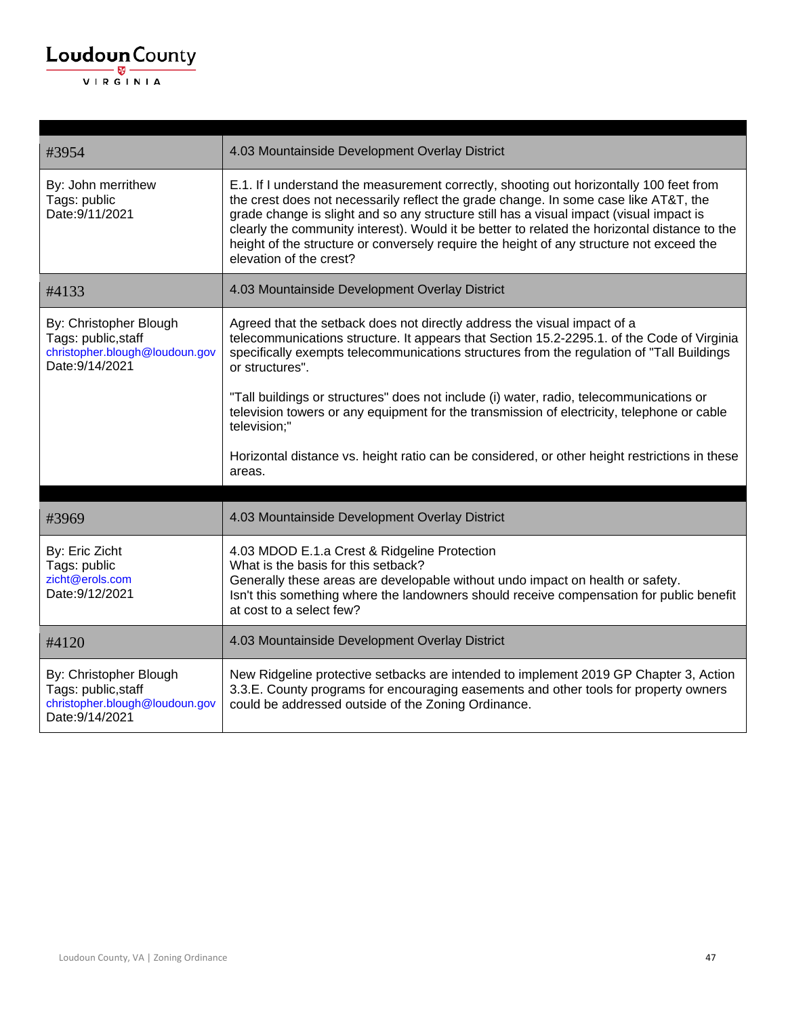| #3954                                                                                              | 4.03 Mountainside Development Overlay District                                                                                                                                                                                                                                                                                                                                                                                                                                                     |
|----------------------------------------------------------------------------------------------------|----------------------------------------------------------------------------------------------------------------------------------------------------------------------------------------------------------------------------------------------------------------------------------------------------------------------------------------------------------------------------------------------------------------------------------------------------------------------------------------------------|
| By: John merrithew<br>Tags: public<br>Date: 9/11/2021                                              | E.1. If I understand the measurement correctly, shooting out horizontally 100 feet from<br>the crest does not necessarily reflect the grade change. In some case like AT&T, the<br>grade change is slight and so any structure still has a visual impact (visual impact is<br>clearly the community interest). Would it be better to related the horizontal distance to the<br>height of the structure or conversely require the height of any structure not exceed the<br>elevation of the crest? |
| #4133                                                                                              | 4.03 Mountainside Development Overlay District                                                                                                                                                                                                                                                                                                                                                                                                                                                     |
| By: Christopher Blough<br>Tags: public, staff<br>christopher.blough@loudoun.gov<br>Date: 9/14/2021 | Agreed that the setback does not directly address the visual impact of a<br>telecommunications structure. It appears that Section 15.2-2295.1. of the Code of Virginia<br>specifically exempts telecommunications structures from the regulation of "Tall Buildings<br>or structures".                                                                                                                                                                                                             |
|                                                                                                    | "Tall buildings or structures" does not include (i) water, radio, telecommunications or<br>television towers or any equipment for the transmission of electricity, telephone or cable<br>television;"                                                                                                                                                                                                                                                                                              |
|                                                                                                    | Horizontal distance vs. height ratio can be considered, or other height restrictions in these<br>areas.                                                                                                                                                                                                                                                                                                                                                                                            |
|                                                                                                    |                                                                                                                                                                                                                                                                                                                                                                                                                                                                                                    |
| #3969                                                                                              | 4.03 Mountainside Development Overlay District                                                                                                                                                                                                                                                                                                                                                                                                                                                     |
| By: Eric Zicht<br>Tags: public<br>zicht@erols.com<br>Date: 9/12/2021                               | 4.03 MDOD E.1.a Crest & Ridgeline Protection<br>What is the basis for this setback?<br>Generally these areas are developable without undo impact on health or safety.<br>Isn't this something where the landowners should receive compensation for public benefit<br>at cost to a select few?                                                                                                                                                                                                      |
| #4120                                                                                              | 4.03 Mountainside Development Overlay District                                                                                                                                                                                                                                                                                                                                                                                                                                                     |
| By: Christopher Blough<br>Tags: public, staff<br>christopher.blough@loudoun.gov<br>Date: 9/14/2021 | New Ridgeline protective setbacks are intended to implement 2019 GP Chapter 3, Action<br>3.3.E. County programs for encouraging easements and other tools for property owners<br>could be addressed outside of the Zoning Ordinance.                                                                                                                                                                                                                                                               |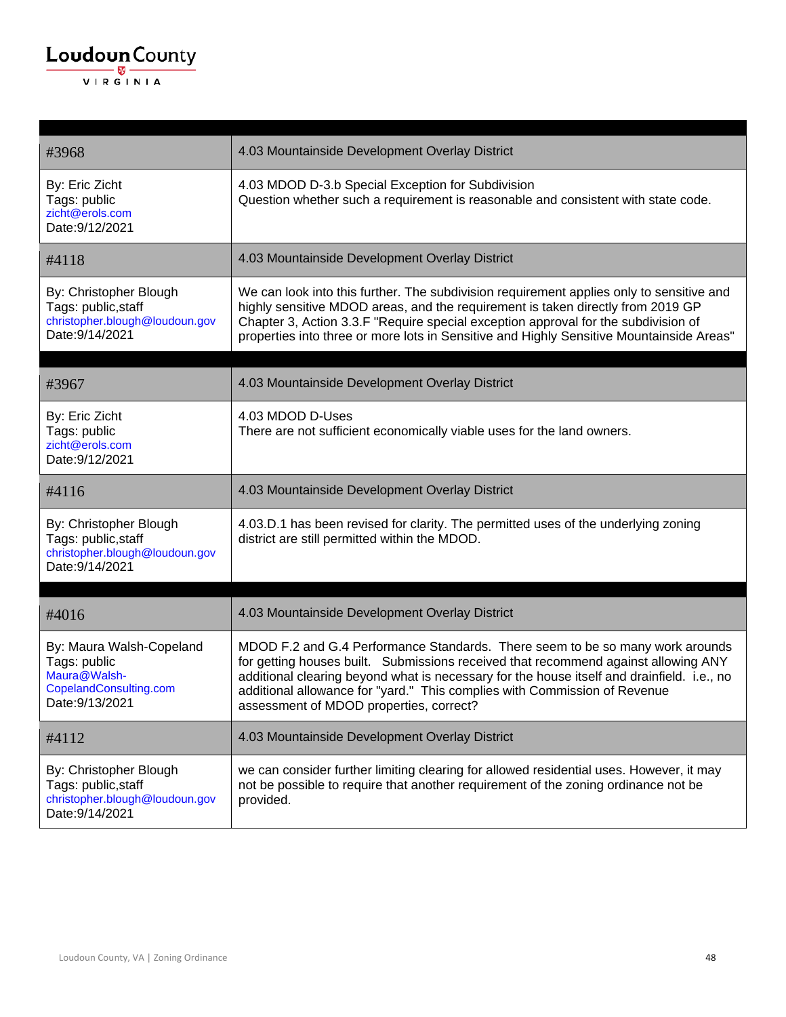| #3968                                                                                                 | 4.03 Mountainside Development Overlay District                                                                                                                                                                                                                                                                                                                                            |
|-------------------------------------------------------------------------------------------------------|-------------------------------------------------------------------------------------------------------------------------------------------------------------------------------------------------------------------------------------------------------------------------------------------------------------------------------------------------------------------------------------------|
| By: Eric Zicht<br>Tags: public<br>zicht@erols.com<br>Date: 9/12/2021                                  | 4.03 MDOD D-3.b Special Exception for Subdivision<br>Question whether such a requirement is reasonable and consistent with state code.                                                                                                                                                                                                                                                    |
| #4118                                                                                                 | 4.03 Mountainside Development Overlay District                                                                                                                                                                                                                                                                                                                                            |
| By: Christopher Blough<br>Tags: public, staff<br>christopher.blough@loudoun.gov<br>Date: 9/14/2021    | We can look into this further. The subdivision requirement applies only to sensitive and<br>highly sensitive MDOD areas, and the requirement is taken directly from 2019 GP<br>Chapter 3, Action 3.3.F "Require special exception approval for the subdivision of<br>properties into three or more lots in Sensitive and Highly Sensitive Mountainside Areas"                             |
| #3967                                                                                                 | 4.03 Mountainside Development Overlay District                                                                                                                                                                                                                                                                                                                                            |
| By: Eric Zicht<br>Tags: public<br>zicht@erols.com<br>Date: 9/12/2021                                  | 4.03 MDOD D-Uses<br>There are not sufficient economically viable uses for the land owners.                                                                                                                                                                                                                                                                                                |
| #4116                                                                                                 | 4.03 Mountainside Development Overlay District                                                                                                                                                                                                                                                                                                                                            |
| By: Christopher Blough<br>Tags: public, staff<br>christopher.blough@loudoun.gov<br>Date: 9/14/2021    | 4.03.D.1 has been revised for clarity. The permitted uses of the underlying zoning<br>district are still permitted within the MDOD.                                                                                                                                                                                                                                                       |
| #4016                                                                                                 | 4.03 Mountainside Development Overlay District                                                                                                                                                                                                                                                                                                                                            |
| By: Maura Walsh-Copeland<br>Tags: public<br>Maura@Walsh-<br>CopelandConsulting.com<br>Date: 9/13/2021 | MDOD F.2 and G.4 Performance Standards. There seem to be so many work arounds<br>for getting houses built. Submissions received that recommend against allowing ANY<br>additional clearing beyond what is necessary for the house itself and drainfield. i.e., no<br>additional allowance for "yard." This complies with Commission of Revenue<br>assessment of MDOD properties, correct? |
| #4112                                                                                                 | 4.03 Mountainside Development Overlay District                                                                                                                                                                                                                                                                                                                                            |
| By: Christopher Blough<br>Tags: public, staff<br>christopher.blough@loudoun.gov<br>Date: 9/14/2021    | we can consider further limiting clearing for allowed residential uses. However, it may<br>not be possible to require that another requirement of the zoning ordinance not be<br>provided.                                                                                                                                                                                                |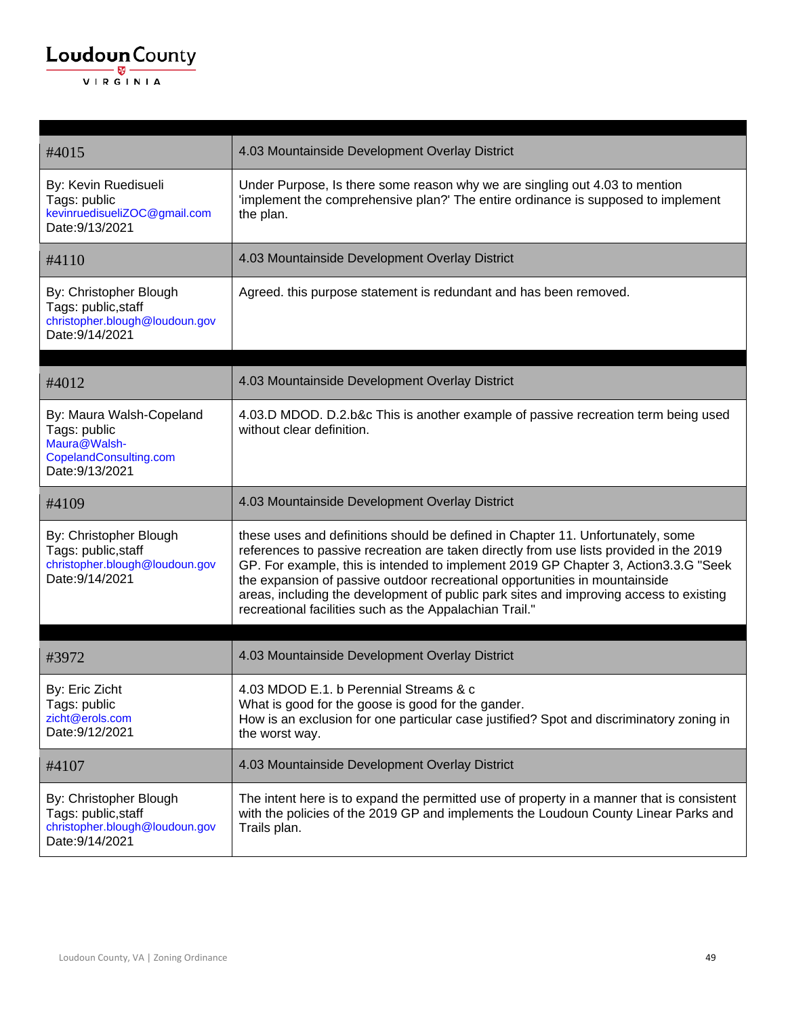| #4015                                                                                                 | 4.03 Mountainside Development Overlay District                                                                                                                                                                                                                                                                                                                                                                                                                                                         |
|-------------------------------------------------------------------------------------------------------|--------------------------------------------------------------------------------------------------------------------------------------------------------------------------------------------------------------------------------------------------------------------------------------------------------------------------------------------------------------------------------------------------------------------------------------------------------------------------------------------------------|
| By: Kevin Ruedisueli<br>Tags: public<br>kevinruedisueliZOC@gmail.com<br>Date: 9/13/2021               | Under Purpose, Is there some reason why we are singling out 4.03 to mention<br>'implement the comprehensive plan?' The entire ordinance is supposed to implement<br>the plan.                                                                                                                                                                                                                                                                                                                          |
| #4110                                                                                                 | 4.03 Mountainside Development Overlay District                                                                                                                                                                                                                                                                                                                                                                                                                                                         |
| By: Christopher Blough<br>Tags: public, staff<br>christopher.blough@loudoun.gov<br>Date: 9/14/2021    | Agreed. this purpose statement is redundant and has been removed.                                                                                                                                                                                                                                                                                                                                                                                                                                      |
| #4012                                                                                                 | 4.03 Mountainside Development Overlay District                                                                                                                                                                                                                                                                                                                                                                                                                                                         |
| By: Maura Walsh-Copeland<br>Tags: public<br>Maura@Walsh-<br>CopelandConsulting.com<br>Date: 9/13/2021 | 4.03.D MDOD. D.2.b&c This is another example of passive recreation term being used<br>without clear definition.                                                                                                                                                                                                                                                                                                                                                                                        |
| #4109                                                                                                 | 4.03 Mountainside Development Overlay District                                                                                                                                                                                                                                                                                                                                                                                                                                                         |
| By: Christopher Blough<br>Tags: public, staff<br>christopher.blough@loudoun.gov<br>Date: 9/14/2021    | these uses and definitions should be defined in Chapter 11. Unfortunately, some<br>references to passive recreation are taken directly from use lists provided in the 2019<br>GP. For example, this is intended to implement 2019 GP Chapter 3, Action 3.3.G "Seek<br>the expansion of passive outdoor recreational opportunities in mountainside<br>areas, including the development of public park sites and improving access to existing<br>recreational facilities such as the Appalachian Trail." |
|                                                                                                       |                                                                                                                                                                                                                                                                                                                                                                                                                                                                                                        |
| #3972                                                                                                 | 4.03 Mountainside Development Overlay District                                                                                                                                                                                                                                                                                                                                                                                                                                                         |
| By: Eric Zicht<br>Tags: public<br>zicht@erols.com<br>Date: 9/12/2021                                  | 4.03 MDOD E.1. b Perennial Streams & c<br>What is good for the goose is good for the gander.<br>How is an exclusion for one particular case justified? Spot and discriminatory zoning in<br>the worst way.                                                                                                                                                                                                                                                                                             |
| #4107                                                                                                 | 4.03 Mountainside Development Overlay District                                                                                                                                                                                                                                                                                                                                                                                                                                                         |
| By: Christopher Blough<br>Tags: public, staff<br>christopher.blough@loudoun.gov<br>Date: 9/14/2021    | The intent here is to expand the permitted use of property in a manner that is consistent<br>with the policies of the 2019 GP and implements the Loudoun County Linear Parks and<br>Trails plan.                                                                                                                                                                                                                                                                                                       |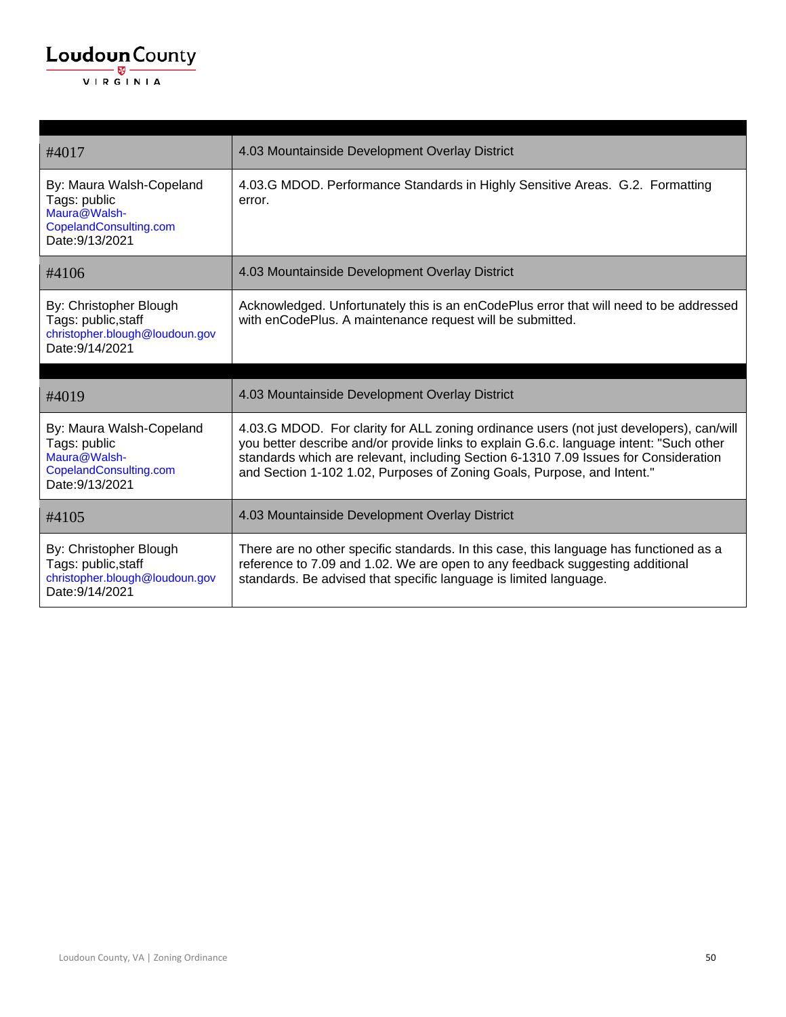| #4017                                                                                                 | 4.03 Mountainside Development Overlay District                                                                                                                                                                                                                                                                                                        |
|-------------------------------------------------------------------------------------------------------|-------------------------------------------------------------------------------------------------------------------------------------------------------------------------------------------------------------------------------------------------------------------------------------------------------------------------------------------------------|
| By: Maura Walsh-Copeland<br>Tags: public<br>Maura@Walsh-<br>CopelandConsulting.com<br>Date: 9/13/2021 | 4.03.G MDOD. Performance Standards in Highly Sensitive Areas. G.2. Formatting<br>error.                                                                                                                                                                                                                                                               |
| #4106                                                                                                 | 4.03 Mountainside Development Overlay District                                                                                                                                                                                                                                                                                                        |
| By: Christopher Blough<br>Tags: public, staff<br>christopher.blough@loudoun.gov<br>Date: 9/14/2021    | Acknowledged. Unfortunately this is an enCodePlus error that will need to be addressed<br>with enCodePlus. A maintenance request will be submitted.                                                                                                                                                                                                   |
|                                                                                                       |                                                                                                                                                                                                                                                                                                                                                       |
|                                                                                                       |                                                                                                                                                                                                                                                                                                                                                       |
| #4019                                                                                                 | 4.03 Mountainside Development Overlay District                                                                                                                                                                                                                                                                                                        |
| By: Maura Walsh-Copeland<br>Tags: public<br>Maura@Walsh-<br>CopelandConsulting.com<br>Date: 9/13/2021 | 4.03.G MDOD. For clarity for ALL zoning ordinance users (not just developers), can/will<br>you better describe and/or provide links to explain G.6.c. language intent: "Such other<br>standards which are relevant, including Section 6-1310 7.09 Issues for Consideration<br>and Section 1-102 1.02, Purposes of Zoning Goals, Purpose, and Intent." |
| #4105                                                                                                 | 4.03 Mountainside Development Overlay District                                                                                                                                                                                                                                                                                                        |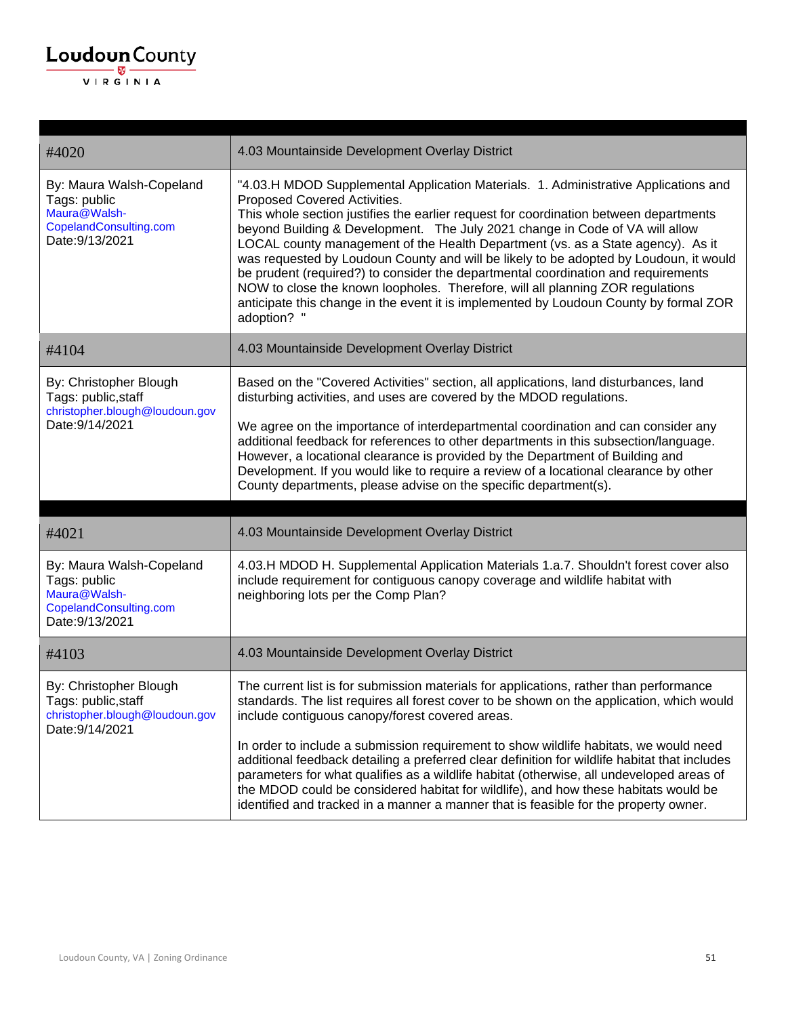| #4020                                                                                                 | 4.03 Mountainside Development Overlay District                                                                                                                                                                                                                                                                                                                                                                                                                                                                                                                                                                                                                                                                                                          |
|-------------------------------------------------------------------------------------------------------|---------------------------------------------------------------------------------------------------------------------------------------------------------------------------------------------------------------------------------------------------------------------------------------------------------------------------------------------------------------------------------------------------------------------------------------------------------------------------------------------------------------------------------------------------------------------------------------------------------------------------------------------------------------------------------------------------------------------------------------------------------|
| By: Maura Walsh-Copeland<br>Tags: public<br>Maura@Walsh-<br>CopelandConsulting.com<br>Date: 9/13/2021 | "4.03.H MDOD Supplemental Application Materials. 1. Administrative Applications and<br>Proposed Covered Activities.<br>This whole section justifies the earlier request for coordination between departments<br>beyond Building & Development. The July 2021 change in Code of VA will allow<br>LOCAL county management of the Health Department (vs. as a State agency). As it<br>was requested by Loudoun County and will be likely to be adopted by Loudoun, it would<br>be prudent (required?) to consider the departmental coordination and requirements<br>NOW to close the known loopholes. Therefore, will all planning ZOR regulations<br>anticipate this change in the event it is implemented by Loudoun County by formal ZOR<br>adoption? ' |
| #4104                                                                                                 | 4.03 Mountainside Development Overlay District                                                                                                                                                                                                                                                                                                                                                                                                                                                                                                                                                                                                                                                                                                          |
| By: Christopher Blough<br>Tags: public, staff<br>christopher.blough@loudoun.gov<br>Date: 9/14/2021    | Based on the "Covered Activities" section, all applications, land disturbances, land<br>disturbing activities, and uses are covered by the MDOD regulations.<br>We agree on the importance of interdepartmental coordination and can consider any<br>additional feedback for references to other departments in this subsection/language.<br>However, a locational clearance is provided by the Department of Building and<br>Development. If you would like to require a review of a locational clearance by other<br>County departments, please advise on the specific department(s).                                                                                                                                                                 |
|                                                                                                       |                                                                                                                                                                                                                                                                                                                                                                                                                                                                                                                                                                                                                                                                                                                                                         |
| #4021                                                                                                 | 4.03 Mountainside Development Overlay District                                                                                                                                                                                                                                                                                                                                                                                                                                                                                                                                                                                                                                                                                                          |
| By: Maura Walsh-Copeland<br>Tags: public<br>Maura@Walsh-<br>CopelandConsulting.com<br>Date: 9/13/2021 | 4.03.H MDOD H. Supplemental Application Materials 1.a.7. Shouldn't forest cover also<br>include requirement for contiguous canopy coverage and wildlife habitat with<br>neighboring lots per the Comp Plan?                                                                                                                                                                                                                                                                                                                                                                                                                                                                                                                                             |
| #4103                                                                                                 | 4.03 Mountainside Development Overlay District                                                                                                                                                                                                                                                                                                                                                                                                                                                                                                                                                                                                                                                                                                          |
| By: Christopher Blough<br>Tags: public, staff<br>christopher.blough@loudoun.gov<br>Date: 9/14/2021    | The current list is for submission materials for applications, rather than performance<br>standards. The list requires all forest cover to be shown on the application, which would<br>include contiguous canopy/forest covered areas.<br>In order to include a submission requirement to show wildlife habitats, we would need<br>additional feedback detailing a preferred clear definition for wildlife habitat that includes<br>parameters for what qualifies as a wildlife habitat (otherwise, all undeveloped areas of<br>the MDOD could be considered habitat for wildlife), and how these habitats would be<br>identified and tracked in a manner a manner that is feasible for the property owner.                                             |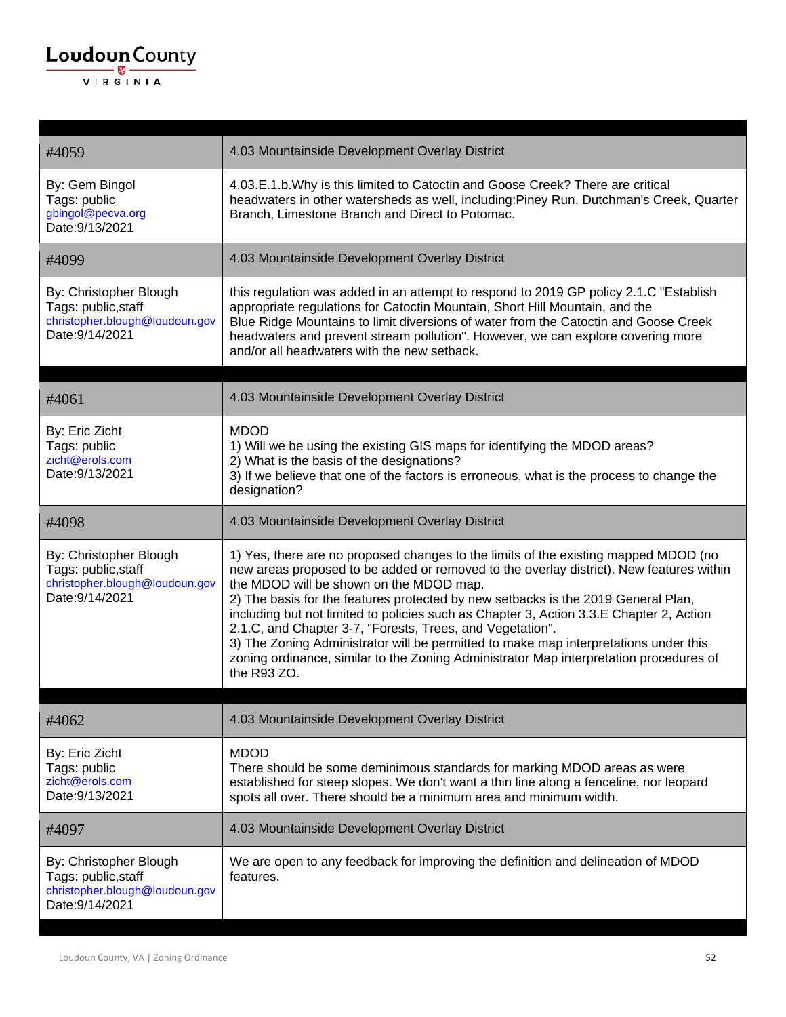#### $\underbrace{\textbf{Loudoun}\xspace}_{\text{VIR GINIA}}$

| #4059                                                                                              | 4.03 Mountainside Development Overlay District                                                                                                                                                                                                                                                                                                                                                                                                                                                                                                                                                                                                                          |
|----------------------------------------------------------------------------------------------------|-------------------------------------------------------------------------------------------------------------------------------------------------------------------------------------------------------------------------------------------------------------------------------------------------------------------------------------------------------------------------------------------------------------------------------------------------------------------------------------------------------------------------------------------------------------------------------------------------------------------------------------------------------------------------|
| By: Gem Bingol<br>Tags: public<br>gbingol@pecva.org<br>Date: 9/13/2021                             | 4.03.E.1.b. Why is this limited to Catoctin and Goose Creek? There are critical<br>headwaters in other watersheds as well, including:Piney Run, Dutchman's Creek, Quarter<br>Branch, Limestone Branch and Direct to Potomac.                                                                                                                                                                                                                                                                                                                                                                                                                                            |
| #4099                                                                                              | 4.03 Mountainside Development Overlay District                                                                                                                                                                                                                                                                                                                                                                                                                                                                                                                                                                                                                          |
| By: Christopher Blough<br>Tags: public, staff<br>christopher.blough@loudoun.gov<br>Date: 9/14/2021 | this regulation was added in an attempt to respond to 2019 GP policy 2.1.C "Establish<br>appropriate regulations for Catoctin Mountain, Short Hill Mountain, and the<br>Blue Ridge Mountains to limit diversions of water from the Catoctin and Goose Creek<br>headwaters and prevent stream pollution". However, we can explore covering more<br>and/or all headwaters with the new setback.                                                                                                                                                                                                                                                                           |
| #4061                                                                                              | 4.03 Mountainside Development Overlay District                                                                                                                                                                                                                                                                                                                                                                                                                                                                                                                                                                                                                          |
| By: Eric Zicht<br>Tags: public<br>zicht@erols.com<br>Date: 9/13/2021                               | <b>MDOD</b><br>1) Will we be using the existing GIS maps for identifying the MDOD areas?<br>2) What is the basis of the designations?<br>3) If we believe that one of the factors is erroneous, what is the process to change the<br>designation?                                                                                                                                                                                                                                                                                                                                                                                                                       |
| #4098                                                                                              | 4.03 Mountainside Development Overlay District                                                                                                                                                                                                                                                                                                                                                                                                                                                                                                                                                                                                                          |
| By: Christopher Blough<br>Tags: public, staff<br>christopher.blough@loudoun.gov<br>Date: 9/14/2021 | 1) Yes, there are no proposed changes to the limits of the existing mapped MDOD (no<br>new areas proposed to be added or removed to the overlay district). New features within<br>the MDOD will be shown on the MDOD map.<br>2) The basis for the features protected by new setbacks is the 2019 General Plan,<br>including but not limited to policies such as Chapter 3, Action 3.3.E Chapter 2, Action<br>2.1.C, and Chapter 3-7, "Forests, Trees, and Vegetation".<br>3) The Zoning Administrator will be permitted to make map interpretations under this<br>zoning ordinance, similar to the Zoning Administrator Map interpretation procedures of<br>the R93 ZO. |
| #4062                                                                                              | 4.03 Mountainside Development Overlay District                                                                                                                                                                                                                                                                                                                                                                                                                                                                                                                                                                                                                          |
| By: Eric Zicht<br>Tags: public<br>zicht@erols.com<br>Date: 9/13/2021                               | <b>MDOD</b><br>There should be some deminimous standards for marking MDOD areas as were<br>established for steep slopes. We don't want a thin line along a fenceline, nor leopard<br>spots all over. There should be a minimum area and minimum width.                                                                                                                                                                                                                                                                                                                                                                                                                  |
| #4097                                                                                              | 4.03 Mountainside Development Overlay District                                                                                                                                                                                                                                                                                                                                                                                                                                                                                                                                                                                                                          |
| By: Christopher Blough<br>Tags: public, staff<br>christopher.blough@loudoun.gov<br>Date: 9/14/2021 | We are open to any feedback for improving the definition and delineation of MDOD<br>features.                                                                                                                                                                                                                                                                                                                                                                                                                                                                                                                                                                           |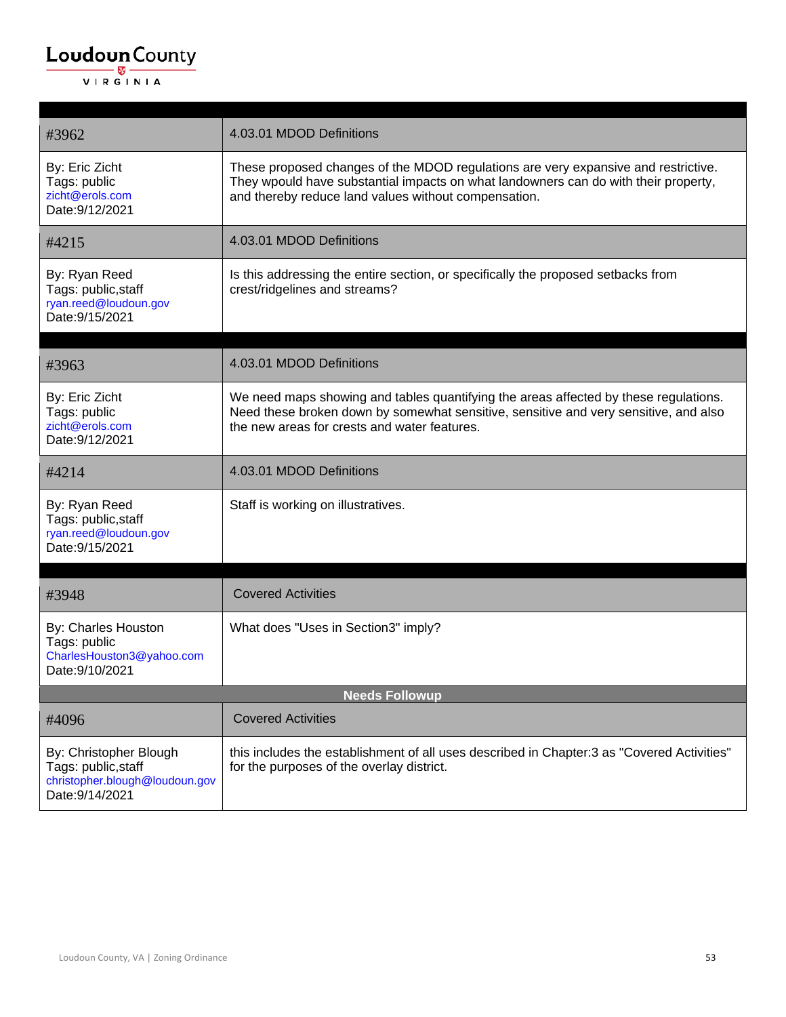| #3962                                                                                              | 4.03.01 MDOD Definitions                                                                                                                                                                                                          |
|----------------------------------------------------------------------------------------------------|-----------------------------------------------------------------------------------------------------------------------------------------------------------------------------------------------------------------------------------|
| By: Eric Zicht<br>Tags: public<br>zicht@erols.com<br>Date: 9/12/2021                               | These proposed changes of the MDOD regulations are very expansive and restrictive.<br>They wpould have substantial impacts on what landowners can do with their property,<br>and thereby reduce land values without compensation. |
| #4215                                                                                              | 4.03.01 MDOD Definitions                                                                                                                                                                                                          |
| By: Ryan Reed<br>Tags: public, staff<br>ryan.reed@loudoun.gov<br>Date: 9/15/2021                   | Is this addressing the entire section, or specifically the proposed setbacks from<br>crest/ridgelines and streams?                                                                                                                |
| #3963                                                                                              | 4.03.01 MDOD Definitions                                                                                                                                                                                                          |
| By: Eric Zicht<br>Tags: public<br>zicht@erols.com<br>Date: 9/12/2021                               | We need maps showing and tables quantifying the areas affected by these regulations.<br>Need these broken down by somewhat sensitive, sensitive and very sensitive, and also<br>the new areas for crests and water features.      |
| #4214                                                                                              | 4.03.01 MDOD Definitions                                                                                                                                                                                                          |
| By: Ryan Reed<br>Tags: public, staff<br>ryan.reed@loudoun.gov<br>Date: 9/15/2021                   | Staff is working on illustratives.                                                                                                                                                                                                |
| #3948                                                                                              | <b>Covered Activities</b>                                                                                                                                                                                                         |
| By: Charles Houston<br>Tags: public<br>CharlesHouston3@yahoo.com<br>Date: 9/10/2021                | What does "Uses in Section3" imply?                                                                                                                                                                                               |
| <b>Needs Followup</b>                                                                              |                                                                                                                                                                                                                                   |
| #4096                                                                                              | <b>Covered Activities</b>                                                                                                                                                                                                         |
| By: Christopher Blough<br>Tags: public, staff<br>christopher.blough@loudoun.gov<br>Date: 9/14/2021 | this includes the establishment of all uses described in Chapter:3 as "Covered Activities"<br>for the purposes of the overlay district.                                                                                           |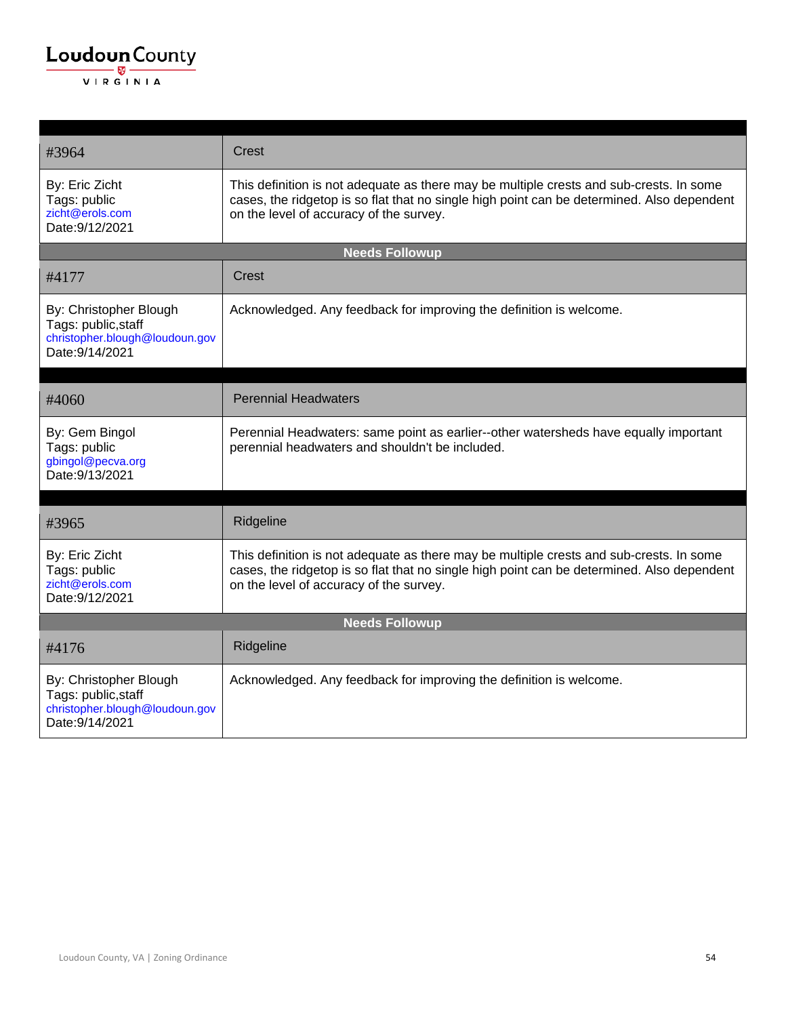| #3964                                                                                              | Crest                                                                                                                                                                                                                            |  |
|----------------------------------------------------------------------------------------------------|----------------------------------------------------------------------------------------------------------------------------------------------------------------------------------------------------------------------------------|--|
| By: Eric Zicht<br>Tags: public<br>zicht@erols.com<br>Date: 9/12/2021                               | This definition is not adequate as there may be multiple crests and sub-crests. In some<br>cases, the ridgetop is so flat that no single high point can be determined. Also dependent<br>on the level of accuracy of the survey. |  |
| <b>Needs Followup</b>                                                                              |                                                                                                                                                                                                                                  |  |
| #4177                                                                                              | Crest                                                                                                                                                                                                                            |  |
| By: Christopher Blough<br>Tags: public, staff<br>christopher.blough@loudoun.gov<br>Date: 9/14/2021 | Acknowledged. Any feedback for improving the definition is welcome.                                                                                                                                                              |  |
| #4060                                                                                              | <b>Perennial Headwaters</b>                                                                                                                                                                                                      |  |
| By: Gem Bingol<br>Tags: public<br>gbingol@pecva.org<br>Date: 9/13/2021                             | Perennial Headwaters: same point as earlier--other watersheds have equally important<br>perennial headwaters and shouldn't be included.                                                                                          |  |
|                                                                                                    |                                                                                                                                                                                                                                  |  |
| #3965                                                                                              | Ridgeline                                                                                                                                                                                                                        |  |
| By: Eric Zicht<br>Tags: public<br>zicht@erols.com<br>Date: 9/12/2021                               | This definition is not adequate as there may be multiple crests and sub-crests. In some<br>cases, the ridgetop is so flat that no single high point can be determined. Also dependent<br>on the level of accuracy of the survey. |  |
| <b>Needs Followup</b>                                                                              |                                                                                                                                                                                                                                  |  |
| #4176                                                                                              | Ridgeline                                                                                                                                                                                                                        |  |
| By: Christopher Blough<br>Tags: public, staff<br>christopher.blough@loudoun.gov<br>Date: 9/14/2021 | Acknowledged. Any feedback for improving the definition is welcome.                                                                                                                                                              |  |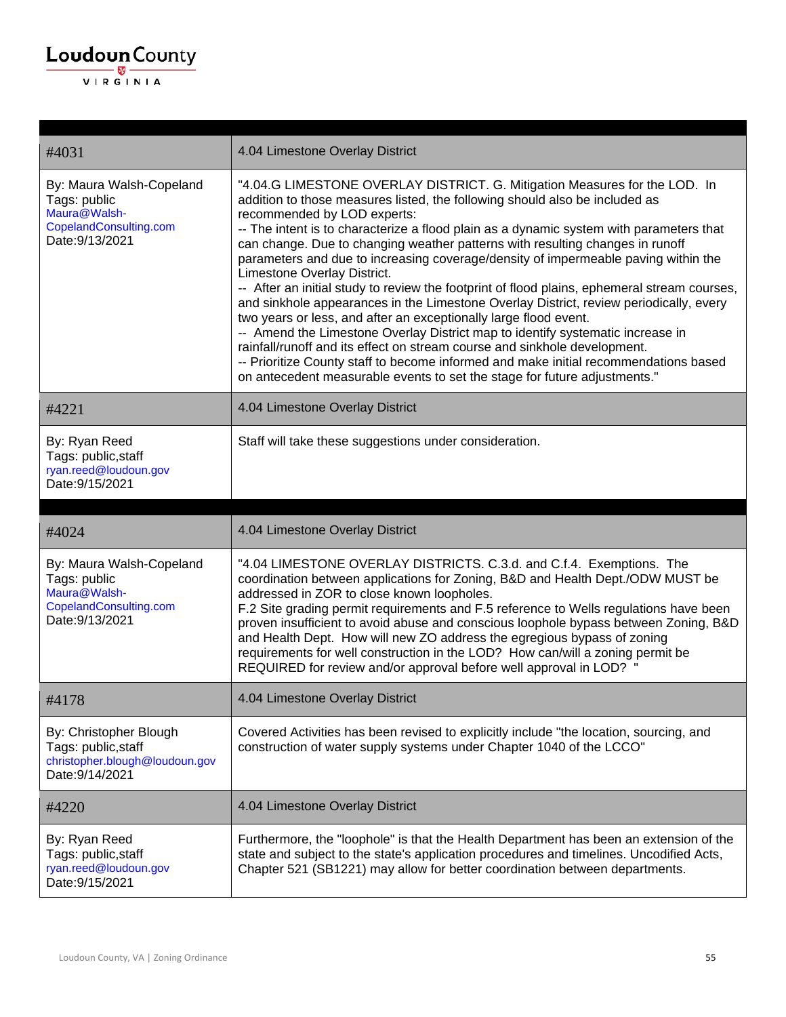| #4031                                                                                                 | 4.04 Limestone Overlay District                                                                                                                                                                                                                                                                                                                                                                                                                                                                                                                                                                                                                                                                                                                                                                                                                                                                                                                                                                                                                                                             |
|-------------------------------------------------------------------------------------------------------|---------------------------------------------------------------------------------------------------------------------------------------------------------------------------------------------------------------------------------------------------------------------------------------------------------------------------------------------------------------------------------------------------------------------------------------------------------------------------------------------------------------------------------------------------------------------------------------------------------------------------------------------------------------------------------------------------------------------------------------------------------------------------------------------------------------------------------------------------------------------------------------------------------------------------------------------------------------------------------------------------------------------------------------------------------------------------------------------|
| By: Maura Walsh-Copeland<br>Tags: public<br>Maura@Walsh-<br>CopelandConsulting.com<br>Date: 9/13/2021 | "4.04.G LIMESTONE OVERLAY DISTRICT. G. Mitigation Measures for the LOD. In<br>addition to those measures listed, the following should also be included as<br>recommended by LOD experts:<br>-- The intent is to characterize a flood plain as a dynamic system with parameters that<br>can change. Due to changing weather patterns with resulting changes in runoff<br>parameters and due to increasing coverage/density of impermeable paving within the<br>Limestone Overlay District.<br>-- After an initial study to review the footprint of flood plains, ephemeral stream courses,<br>and sinkhole appearances in the Limestone Overlay District, review periodically, every<br>two years or less, and after an exceptionally large flood event.<br>-- Amend the Limestone Overlay District map to identify systematic increase in<br>rainfall/runoff and its effect on stream course and sinkhole development.<br>-- Prioritize County staff to become informed and make initial recommendations based<br>on antecedent measurable events to set the stage for future adjustments." |
| #4221                                                                                                 | 4.04 Limestone Overlay District                                                                                                                                                                                                                                                                                                                                                                                                                                                                                                                                                                                                                                                                                                                                                                                                                                                                                                                                                                                                                                                             |
| By: Ryan Reed<br>Tags: public, staff<br>ryan.reed@loudoun.gov<br>Date: 9/15/2021                      | Staff will take these suggestions under consideration.                                                                                                                                                                                                                                                                                                                                                                                                                                                                                                                                                                                                                                                                                                                                                                                                                                                                                                                                                                                                                                      |
|                                                                                                       |                                                                                                                                                                                                                                                                                                                                                                                                                                                                                                                                                                                                                                                                                                                                                                                                                                                                                                                                                                                                                                                                                             |
| #4024                                                                                                 | 4.04 Limestone Overlay District                                                                                                                                                                                                                                                                                                                                                                                                                                                                                                                                                                                                                                                                                                                                                                                                                                                                                                                                                                                                                                                             |
| By: Maura Walsh-Copeland<br>Tags: public<br>Maura@Walsh-<br>CopelandConsulting.com<br>Date: 9/13/2021 | "4.04 LIMESTONE OVERLAY DISTRICTS. C.3.d. and C.f.4. Exemptions. The<br>coordination between applications for Zoning, B&D and Health Dept./ODW MUST be<br>addressed in ZOR to close known loopholes.<br>F.2 Site grading permit requirements and F.5 reference to Wells regulations have been<br>proven insufficient to avoid abuse and conscious loophole bypass between Zoning, B&D<br>and Health Dept. How will new ZO address the egregious bypass of zoning<br>requirements for well construction in the LOD? How can/will a zoning permit be<br>REQUIRED for review and/or approval before well approval in LOD? "                                                                                                                                                                                                                                                                                                                                                                                                                                                                    |
| #4178                                                                                                 | 4.04 Limestone Overlay District                                                                                                                                                                                                                                                                                                                                                                                                                                                                                                                                                                                                                                                                                                                                                                                                                                                                                                                                                                                                                                                             |
| By: Christopher Blough<br>Tags: public, staff<br>christopher.blough@loudoun.gov<br>Date: 9/14/2021    | Covered Activities has been revised to explicitly include "the location, sourcing, and<br>construction of water supply systems under Chapter 1040 of the LCCO"                                                                                                                                                                                                                                                                                                                                                                                                                                                                                                                                                                                                                                                                                                                                                                                                                                                                                                                              |
| #4220                                                                                                 | 4.04 Limestone Overlay District                                                                                                                                                                                                                                                                                                                                                                                                                                                                                                                                                                                                                                                                                                                                                                                                                                                                                                                                                                                                                                                             |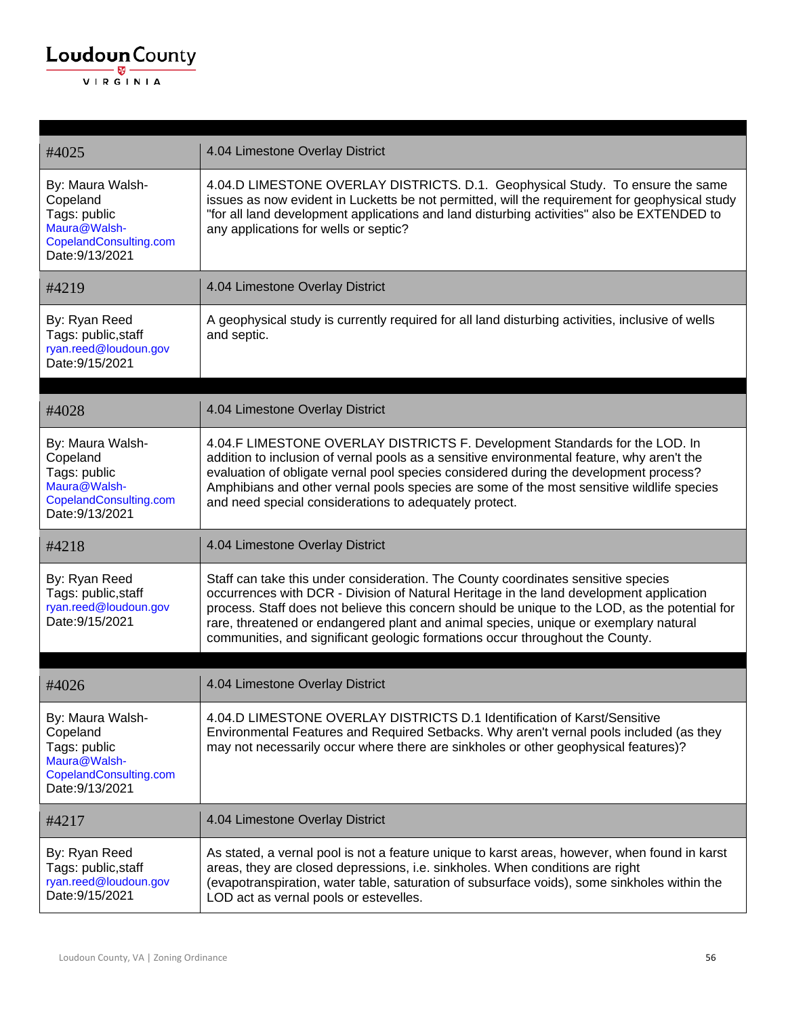

| #4025                                                                                                     | 4.04 Limestone Overlay District                                                                                                                                                                                                                                                                                                                                                                                                                         |
|-----------------------------------------------------------------------------------------------------------|---------------------------------------------------------------------------------------------------------------------------------------------------------------------------------------------------------------------------------------------------------------------------------------------------------------------------------------------------------------------------------------------------------------------------------------------------------|
| By: Maura Walsh-<br>Copeland<br>Tags: public<br>Maura@Walsh-<br>CopelandConsulting.com<br>Date: 9/13/2021 | 4.04.D LIMESTONE OVERLAY DISTRICTS. D.1. Geophysical Study. To ensure the same<br>issues as now evident in Lucketts be not permitted, will the requirement for geophysical study<br>"for all land development applications and land disturbing activities" also be EXTENDED to<br>any applications for wells or septic?                                                                                                                                 |
| #4219                                                                                                     | 4.04 Limestone Overlay District                                                                                                                                                                                                                                                                                                                                                                                                                         |
| By: Ryan Reed<br>Tags: public, staff<br>ryan.reed@loudoun.gov<br>Date: 9/15/2021                          | A geophysical study is currently required for all land disturbing activities, inclusive of wells<br>and septic.                                                                                                                                                                                                                                                                                                                                         |
| #4028                                                                                                     | 4.04 Limestone Overlay District                                                                                                                                                                                                                                                                                                                                                                                                                         |
| By: Maura Walsh-<br>Copeland<br>Tags: public<br>Maura@Walsh-<br>CopelandConsulting.com<br>Date: 9/13/2021 | 4.04.F LIMESTONE OVERLAY DISTRICTS F. Development Standards for the LOD. In<br>addition to inclusion of vernal pools as a sensitive environmental feature, why aren't the<br>evaluation of obligate vernal pool species considered during the development process?<br>Amphibians and other vernal pools species are some of the most sensitive wildlife species<br>and need special considerations to adequately protect.                               |
| #4218                                                                                                     | 4.04 Limestone Overlay District                                                                                                                                                                                                                                                                                                                                                                                                                         |
| By: Ryan Reed<br>Tags: public, staff<br>ryan.reed@loudoun.gov<br>Date: 9/15/2021                          | Staff can take this under consideration. The County coordinates sensitive species<br>occurrences with DCR - Division of Natural Heritage in the land development application<br>process. Staff does not believe this concern should be unique to the LOD, as the potential for<br>rare, threatened or endangered plant and animal species, unique or exemplary natural<br>communities, and significant geologic formations occur throughout the County. |
| #4026                                                                                                     | 4.04 Limestone Overlay District                                                                                                                                                                                                                                                                                                                                                                                                                         |
| By: Maura Walsh-<br>Copeland<br>Tags: public<br>Maura@Walsh-<br>CopelandConsulting.com<br>Date: 9/13/2021 | 4.04.D LIMESTONE OVERLAY DISTRICTS D.1 Identification of Karst/Sensitive<br>Environmental Features and Required Setbacks. Why aren't vernal pools included (as they<br>may not necessarily occur where there are sinkholes or other geophysical features)?                                                                                                                                                                                              |
| #4217                                                                                                     | 4.04 Limestone Overlay District                                                                                                                                                                                                                                                                                                                                                                                                                         |
| By: Ryan Reed<br>Tags: public, staff<br>ryan.reed@loudoun.gov<br>Date: 9/15/2021                          | As stated, a vernal pool is not a feature unique to karst areas, however, when found in karst<br>areas, they are closed depressions, i.e. sinkholes. When conditions are right<br>(evapotranspiration, water table, saturation of subsurface voids), some sinkholes within the<br>LOD act as vernal pools or estevelles.                                                                                                                                |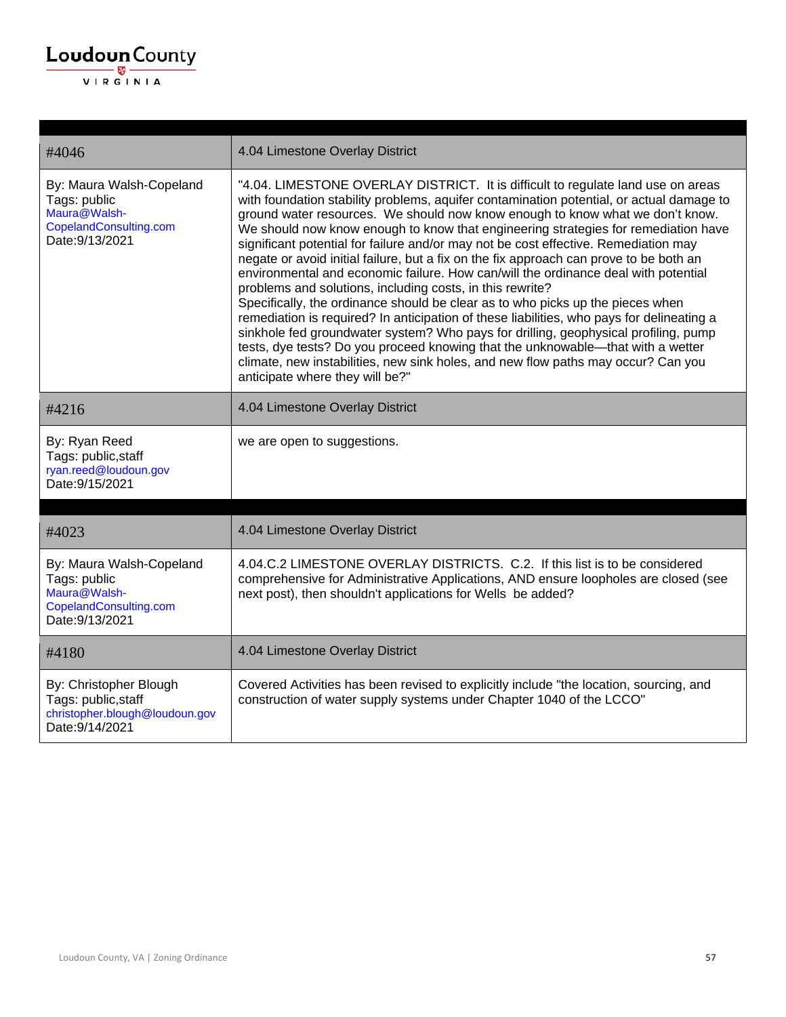| #4046                                                                                                 | 4.04 Limestone Overlay District                                                                                                                                                                                                                                                                                                                                                                                                                                                                                                                                                                                                                                                                                                                                                                                                                                                                                                                                                                                                                                                                                                                                          |
|-------------------------------------------------------------------------------------------------------|--------------------------------------------------------------------------------------------------------------------------------------------------------------------------------------------------------------------------------------------------------------------------------------------------------------------------------------------------------------------------------------------------------------------------------------------------------------------------------------------------------------------------------------------------------------------------------------------------------------------------------------------------------------------------------------------------------------------------------------------------------------------------------------------------------------------------------------------------------------------------------------------------------------------------------------------------------------------------------------------------------------------------------------------------------------------------------------------------------------------------------------------------------------------------|
| By: Maura Walsh-Copeland<br>Tags: public<br>Maura@Walsh-<br>CopelandConsulting.com<br>Date: 9/13/2021 | "4.04. LIMESTONE OVERLAY DISTRICT. It is difficult to regulate land use on areas<br>with foundation stability problems, aquifer contamination potential, or actual damage to<br>ground water resources. We should now know enough to know what we don't know.<br>We should now know enough to know that engineering strategies for remediation have<br>significant potential for failure and/or may not be cost effective. Remediation may<br>negate or avoid initial failure, but a fix on the fix approach can prove to be both an<br>environmental and economic failure. How can/will the ordinance deal with potential<br>problems and solutions, including costs, in this rewrite?<br>Specifically, the ordinance should be clear as to who picks up the pieces when<br>remediation is required? In anticipation of these liabilities, who pays for delineating a<br>sinkhole fed groundwater system? Who pays for drilling, geophysical profiling, pump<br>tests, dye tests? Do you proceed knowing that the unknowable—that with a wetter<br>climate, new instabilities, new sink holes, and new flow paths may occur? Can you<br>anticipate where they will be?" |
| #4216                                                                                                 | 4.04 Limestone Overlay District                                                                                                                                                                                                                                                                                                                                                                                                                                                                                                                                                                                                                                                                                                                                                                                                                                                                                                                                                                                                                                                                                                                                          |
| By: Ryan Reed<br>Tags: public, staff<br>ryan.reed@loudoun.gov<br>Date: 9/15/2021                      | we are open to suggestions.                                                                                                                                                                                                                                                                                                                                                                                                                                                                                                                                                                                                                                                                                                                                                                                                                                                                                                                                                                                                                                                                                                                                              |
| #4023                                                                                                 | 4.04 Limestone Overlay District                                                                                                                                                                                                                                                                                                                                                                                                                                                                                                                                                                                                                                                                                                                                                                                                                                                                                                                                                                                                                                                                                                                                          |
| By: Maura Walsh-Copeland<br>Tags: public<br>Maura@Walsh-<br>CopelandConsulting.com<br>Date: 9/13/2021 | 4.04.C.2 LIMESTONE OVERLAY DISTRICTS. C.2. If this list is to be considered<br>comprehensive for Administrative Applications, AND ensure loopholes are closed (see<br>next post), then shouldn't applications for Wells be added?                                                                                                                                                                                                                                                                                                                                                                                                                                                                                                                                                                                                                                                                                                                                                                                                                                                                                                                                        |
| #4180                                                                                                 | 4.04 Limestone Overlay District                                                                                                                                                                                                                                                                                                                                                                                                                                                                                                                                                                                                                                                                                                                                                                                                                                                                                                                                                                                                                                                                                                                                          |
| By: Christopher Blough<br>Tags: public, staff<br>christopher.blough@loudoun.gov<br>Date: 9/14/2021    | Covered Activities has been revised to explicitly include "the location, sourcing, and<br>construction of water supply systems under Chapter 1040 of the LCCO"                                                                                                                                                                                                                                                                                                                                                                                                                                                                                                                                                                                                                                                                                                                                                                                                                                                                                                                                                                                                           |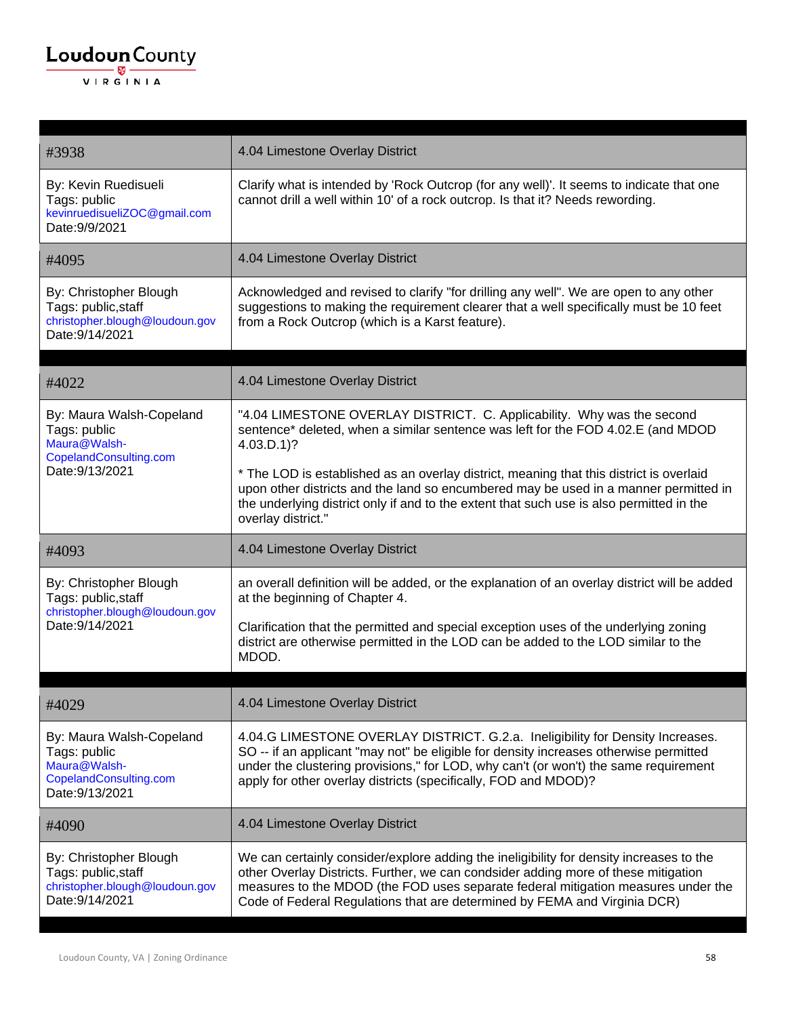#### $\underbrace{\textbf{Loudoun}\xspace}_{\text{VIR GINIA}}$

| #3938                                                                                                 | 4.04 Limestone Overlay District                                                                                                                                                                                                                                                                                                    |
|-------------------------------------------------------------------------------------------------------|------------------------------------------------------------------------------------------------------------------------------------------------------------------------------------------------------------------------------------------------------------------------------------------------------------------------------------|
| By: Kevin Ruedisueli<br>Tags: public<br>kevinruedisueliZOC@gmail.com<br>Date: 9/9/2021                | Clarify what is intended by 'Rock Outcrop (for any well)'. It seems to indicate that one<br>cannot drill a well within 10' of a rock outcrop. Is that it? Needs rewording.                                                                                                                                                         |
| #4095                                                                                                 | 4.04 Limestone Overlay District                                                                                                                                                                                                                                                                                                    |
| By: Christopher Blough<br>Tags: public, staff<br>christopher.blough@loudoun.gov<br>Date: 9/14/2021    | Acknowledged and revised to clarify "for drilling any well". We are open to any other<br>suggestions to making the requirement clearer that a well specifically must be 10 feet<br>from a Rock Outcrop (which is a Karst feature).                                                                                                 |
| #4022                                                                                                 | 4.04 Limestone Overlay District                                                                                                                                                                                                                                                                                                    |
| By: Maura Walsh-Copeland<br>Tags: public<br>Maura@Walsh-<br>CopelandConsulting.com                    | "4.04 LIMESTONE OVERLAY DISTRICT. C. Applicability. Why was the second<br>sentence* deleted, when a similar sentence was left for the FOD 4.02.E (and MDOD<br>$4.03.D.1$ ?                                                                                                                                                         |
| Date: 9/13/2021                                                                                       | * The LOD is established as an overlay district, meaning that this district is overlaid<br>upon other districts and the land so encumbered may be used in a manner permitted in<br>the underlying district only if and to the extent that such use is also permitted in the<br>overlay district."                                  |
|                                                                                                       |                                                                                                                                                                                                                                                                                                                                    |
| #4093                                                                                                 | 4.04 Limestone Overlay District                                                                                                                                                                                                                                                                                                    |
| By: Christopher Blough<br>Tags: public, staff<br>christopher.blough@loudoun.gov                       | an overall definition will be added, or the explanation of an overlay district will be added<br>at the beginning of Chapter 4.                                                                                                                                                                                                     |
| Date: 9/14/2021                                                                                       | Clarification that the permitted and special exception uses of the underlying zoning<br>district are otherwise permitted in the LOD can be added to the LOD similar to the<br>MDOD.                                                                                                                                                |
|                                                                                                       |                                                                                                                                                                                                                                                                                                                                    |
| #4029                                                                                                 | 4.04 Limestone Overlay District                                                                                                                                                                                                                                                                                                    |
| By: Maura Walsh-Copeland<br>Tags: public<br>Maura@Walsh-<br>CopelandConsulting.com<br>Date: 9/13/2021 | 4.04.G LIMESTONE OVERLAY DISTRICT. G.2.a. Ineligibility for Density Increases.<br>SO -- if an applicant "may not" be eligible for density increases otherwise permitted<br>under the clustering provisions," for LOD, why can't (or won't) the same requirement<br>apply for other overlay districts (specifically, FOD and MDOD)? |
| #4090                                                                                                 | 4.04 Limestone Overlay District                                                                                                                                                                                                                                                                                                    |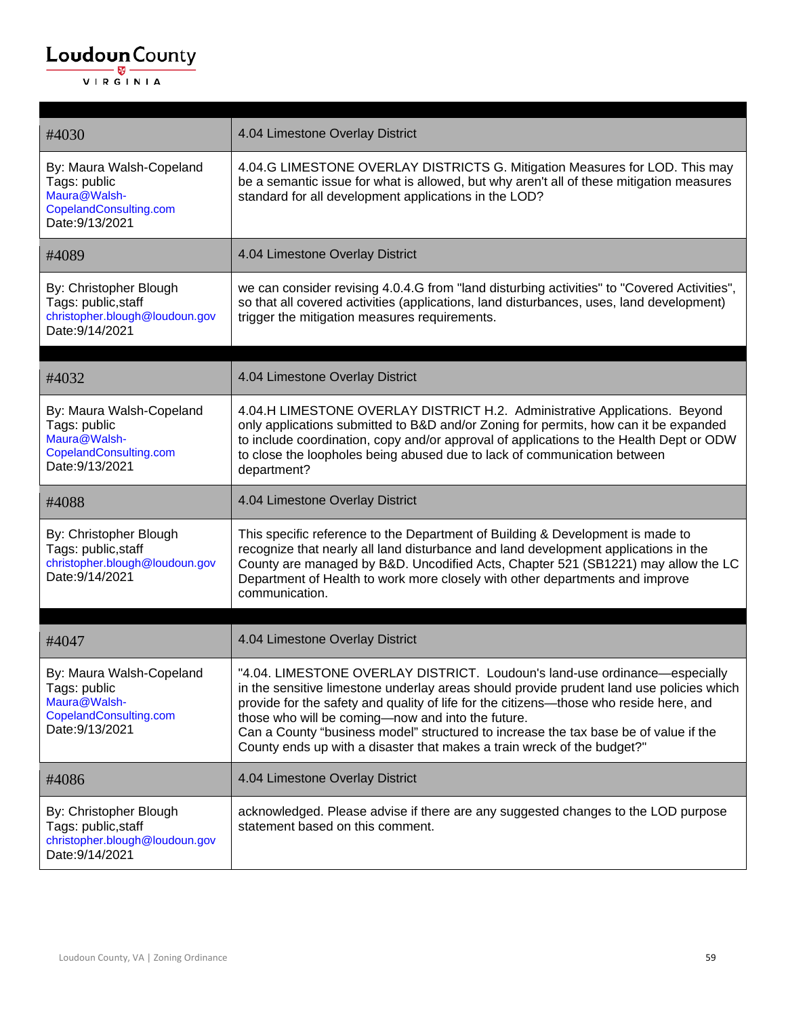| #4030                                                                                                 | 4.04 Limestone Overlay District                                                                                                                                                                                                                                                                                                                                                                                                                                                          |
|-------------------------------------------------------------------------------------------------------|------------------------------------------------------------------------------------------------------------------------------------------------------------------------------------------------------------------------------------------------------------------------------------------------------------------------------------------------------------------------------------------------------------------------------------------------------------------------------------------|
| By: Maura Walsh-Copeland<br>Tags: public<br>Maura@Walsh-<br>CopelandConsulting.com<br>Date: 9/13/2021 | 4.04.G LIMESTONE OVERLAY DISTRICTS G. Mitigation Measures for LOD. This may<br>be a semantic issue for what is allowed, but why aren't all of these mitigation measures<br>standard for all development applications in the LOD?                                                                                                                                                                                                                                                         |
| #4089                                                                                                 | 4.04 Limestone Overlay District                                                                                                                                                                                                                                                                                                                                                                                                                                                          |
| By: Christopher Blough<br>Tags: public, staff<br>christopher.blough@loudoun.gov<br>Date: 9/14/2021    | we can consider revising 4.0.4.G from "land disturbing activities" to "Covered Activities",<br>so that all covered activities (applications, land disturbances, uses, land development)<br>trigger the mitigation measures requirements.                                                                                                                                                                                                                                                 |
| #4032                                                                                                 | 4.04 Limestone Overlay District                                                                                                                                                                                                                                                                                                                                                                                                                                                          |
| By: Maura Walsh-Copeland<br>Tags: public<br>Maura@Walsh-<br>CopelandConsulting.com<br>Date: 9/13/2021 | 4.04.H LIMESTONE OVERLAY DISTRICT H.2. Administrative Applications. Beyond<br>only applications submitted to B&D and/or Zoning for permits, how can it be expanded<br>to include coordination, copy and/or approval of applications to the Health Dept or ODW<br>to close the loopholes being abused due to lack of communication between<br>department?                                                                                                                                 |
| #4088                                                                                                 | 4.04 Limestone Overlay District                                                                                                                                                                                                                                                                                                                                                                                                                                                          |
| By: Christopher Blough<br>Tags: public, staff<br>christopher.blough@loudoun.gov<br>Date: 9/14/2021    | This specific reference to the Department of Building & Development is made to<br>recognize that nearly all land disturbance and land development applications in the<br>County are managed by B&D. Uncodified Acts, Chapter 521 (SB1221) may allow the LC<br>Department of Health to work more closely with other departments and improve<br>communication.                                                                                                                             |
| #4047                                                                                                 | 4.04 Limestone Overlay District                                                                                                                                                                                                                                                                                                                                                                                                                                                          |
| By: Maura Walsh-Copeland<br>Tags: public<br>Maura@Walsh-<br>CopelandConsulting.com<br>Date: 9/13/2021 | "4.04. LIMESTONE OVERLAY DISTRICT. Loudoun's land-use ordinance-especially<br>in the sensitive limestone underlay areas should provide prudent land use policies which<br>provide for the safety and quality of life for the citizens—those who reside here, and<br>those who will be coming-now and into the future.<br>Can a County "business model" structured to increase the tax base be of value if the<br>County ends up with a disaster that makes a train wreck of the budget?" |
| #4086                                                                                                 | 4.04 Limestone Overlay District                                                                                                                                                                                                                                                                                                                                                                                                                                                          |
| By: Christopher Blough<br>Tags: public, staff<br>christopher.blough@loudoun.gov<br>Date: 9/14/2021    | acknowledged. Please advise if there are any suggested changes to the LOD purpose<br>statement based on this comment.                                                                                                                                                                                                                                                                                                                                                                    |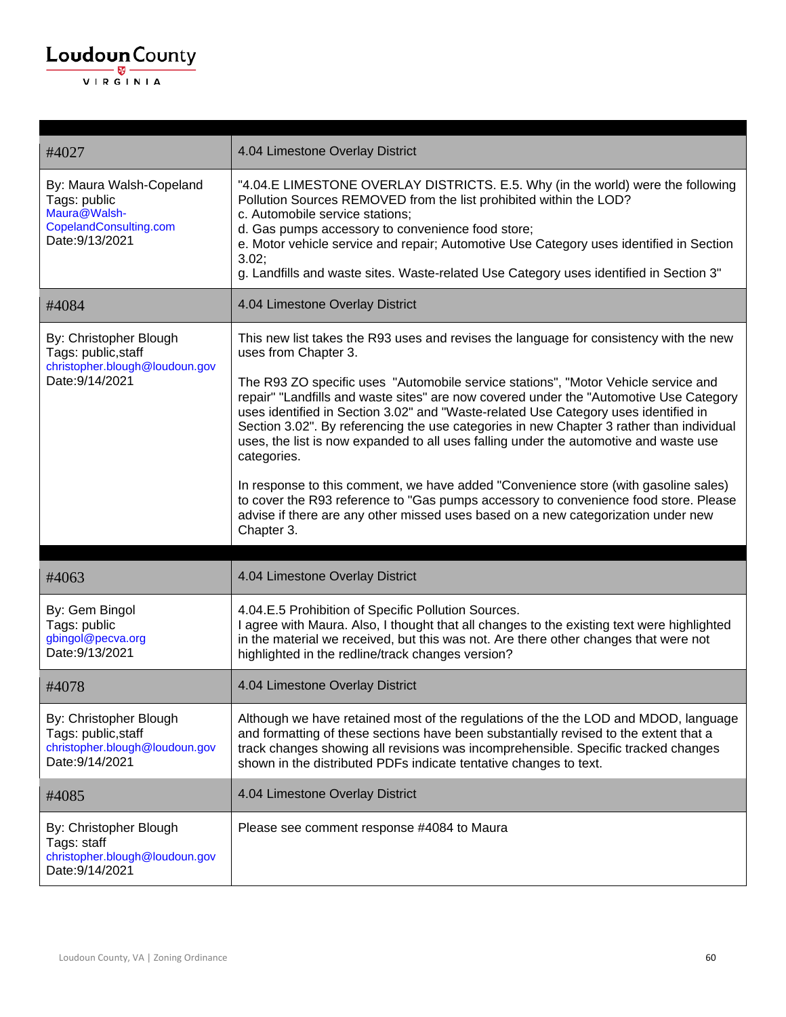#### $\underbrace{\textbf{Loudoun}\xspace}_{\text{VIR GINIA}}$

| #4027                                                                                                 | 4.04 Limestone Overlay District                                                                                                                                                                                                                                                                                                                                                                                                                                                                                                                                                                                                                                                                                                                                                                                                                                             |
|-------------------------------------------------------------------------------------------------------|-----------------------------------------------------------------------------------------------------------------------------------------------------------------------------------------------------------------------------------------------------------------------------------------------------------------------------------------------------------------------------------------------------------------------------------------------------------------------------------------------------------------------------------------------------------------------------------------------------------------------------------------------------------------------------------------------------------------------------------------------------------------------------------------------------------------------------------------------------------------------------|
| By: Maura Walsh-Copeland<br>Tags: public<br>Maura@Walsh-<br>CopelandConsulting.com<br>Date: 9/13/2021 | "4.04.E LIMESTONE OVERLAY DISTRICTS. E.5. Why (in the world) were the following<br>Pollution Sources REMOVED from the list prohibited within the LOD?<br>c. Automobile service stations;<br>d. Gas pumps accessory to convenience food store;<br>e. Motor vehicle service and repair; Automotive Use Category uses identified in Section<br>3.02;<br>g. Landfills and waste sites. Waste-related Use Category uses identified in Section 3"                                                                                                                                                                                                                                                                                                                                                                                                                                 |
| #4084                                                                                                 | 4.04 Limestone Overlay District                                                                                                                                                                                                                                                                                                                                                                                                                                                                                                                                                                                                                                                                                                                                                                                                                                             |
| By: Christopher Blough<br>Tags: public, staff<br>christopher.blough@loudoun.gov<br>Date: 9/14/2021    | This new list takes the R93 uses and revises the language for consistency with the new<br>uses from Chapter 3.<br>The R93 ZO specific uses "Automobile service stations", "Motor Vehicle service and<br>repair" "Landfills and waste sites" are now covered under the "Automotive Use Category<br>uses identified in Section 3.02" and "Waste-related Use Category uses identified in<br>Section 3.02". By referencing the use categories in new Chapter 3 rather than individual<br>uses, the list is now expanded to all uses falling under the automotive and waste use<br>categories.<br>In response to this comment, we have added "Convenience store (with gasoline sales)<br>to cover the R93 reference to "Gas pumps accessory to convenience food store. Please<br>advise if there are any other missed uses based on a new categorization under new<br>Chapter 3. |
| #4063                                                                                                 | 4.04 Limestone Overlay District                                                                                                                                                                                                                                                                                                                                                                                                                                                                                                                                                                                                                                                                                                                                                                                                                                             |
| By: Gem Bingol<br>Tags: public<br>gbingol@pecva.org<br>Date: 9/13/2021                                | 4.04.E.5 Prohibition of Specific Pollution Sources.<br>I agree with Maura. Also, I thought that all changes to the existing text were highlighted<br>in the material we received, but this was not. Are there other changes that were not<br>highlighted in the redline/track changes version?                                                                                                                                                                                                                                                                                                                                                                                                                                                                                                                                                                              |
| #4078                                                                                                 | 4.04 Limestone Overlay District                                                                                                                                                                                                                                                                                                                                                                                                                                                                                                                                                                                                                                                                                                                                                                                                                                             |
| By: Christopher Blough<br>Tags: public, staff<br>christopher.blough@loudoun.gov<br>Date: 9/14/2021    | Although we have retained most of the regulations of the the LOD and MDOD, language<br>and formatting of these sections have been substantially revised to the extent that a<br>track changes showing all revisions was incomprehensible. Specific tracked changes<br>shown in the distributed PDFs indicate tentative changes to text.                                                                                                                                                                                                                                                                                                                                                                                                                                                                                                                                     |
| #4085                                                                                                 | 4.04 Limestone Overlay District                                                                                                                                                                                                                                                                                                                                                                                                                                                                                                                                                                                                                                                                                                                                                                                                                                             |
| By: Christopher Blough<br>Tags: staff<br>christopher.blough@loudoun.gov<br>Date: 9/14/2021            | Please see comment response #4084 to Maura                                                                                                                                                                                                                                                                                                                                                                                                                                                                                                                                                                                                                                                                                                                                                                                                                                  |